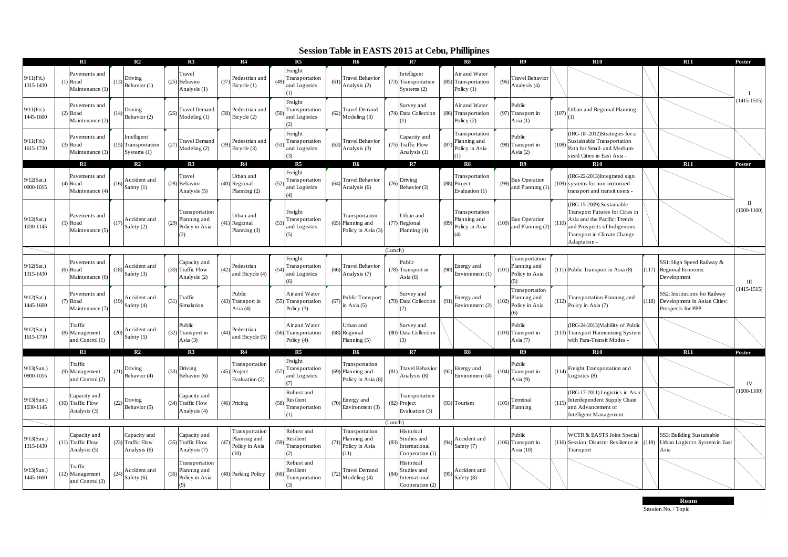## **Session Table in EASTS 2015 at Cebu, Phillipines**

|                            | R1                                                          |      | R <sub>2</sub>                                      |      | R <sub>3</sub>                                          |      | R4                                                       |                   | R <sub>5</sub>                                       |      | <b>R6</b>                                                 |         | R7                                                            |      | R8                                                   |       | R9                                                      |       | <b>R10</b>                                                                                                                                                                 |      | <b>R11</b>                                                                         | Poster                        |
|----------------------------|-------------------------------------------------------------|------|-----------------------------------------------------|------|---------------------------------------------------------|------|----------------------------------------------------------|-------------------|------------------------------------------------------|------|-----------------------------------------------------------|---------|---------------------------------------------------------------|------|------------------------------------------------------|-------|---------------------------------------------------------|-------|----------------------------------------------------------------------------------------------------------------------------------------------------------------------------|------|------------------------------------------------------------------------------------|-------------------------------|
| 9/11(Fri.)<br>1315-1430    | Pavements and<br>Road<br>Maintenance (1)                    | (13) | <b>Driving</b><br>Behavior (1)                      | (25) | <b>Travel</b><br>Behavior<br>Analysis (1)               | (37) | Pedestrian and<br>Bicycle (1)                            | (4 <sup>0</sup> ) | Freight<br>Transportation<br>and Logistics<br>(1)    | (61) | <b>Travel Behavior</b><br>Analysis (2)                    |         | Intelligent<br>(73) Transportation<br>Systems $(2)$           |      | Air and Water<br>(85) Transportation<br>Policy $(1)$ | (96)  | <b>Travel Behavior</b><br>Analysis (4)                  |       |                                                                                                                                                                            |      |                                                                                    |                               |
| 9/11(Fri.)<br>1445-1600    | Pavements and<br>Road<br>Maintenance (2)                    |      | Driving<br>Behavior <sub>(2)</sub>                  | (26) | <b>Fravel Demand</b><br>Modeling (1)                    |      | Pedestrian and<br>Bicycle (2)                            | (50)              | Freight<br>Transportation<br>and Logistics<br>(2)    | (62) | Travel Demand<br>Modeling (3)                             |         | Survey and<br>(74) Data Collection                            | 686  | Air and Water<br>Transportation<br>Policy $(2)$      |       | Public<br>$(97)$ Transport in<br>Asia $(1)$             | (107) | Urban and Regional Planning                                                                                                                                                |      |                                                                                    | $(1415 - 1515)$               |
| 9/11(Fri.)<br>1615-1730    | Pavements and<br>Road<br>Maintenance (3)                    | (15) | ntelligent<br>Transportation<br>Systems $(1)$       | (27) | <b>Travel Demand</b><br>Modeling (2)                    | (39) | Pedestrian and<br>Bicycle (3)                            | (5)               | Freight<br>Transportation<br>and Logistics           | (63) | <b>Travel Behavior</b><br>Analysis (3)                    |         | Capacity and<br>(75) Traffic Flow<br>Analysis (1)             | (87) | Transportation<br>Planning and<br>Policy in Asia     |       | Public<br>(98) Transport in<br>$\text{Sia}(2)$          | (108  | (IRG-18-2012)Strategies for a<br>Sustainable Transportation<br>Path for Small- and Medium-<br>sized Cities in East Asia -                                                  |      |                                                                                    |                               |
|                            | R1                                                          |      | R2                                                  |      | R3                                                      |      | R4                                                       |                   | R <sub>5</sub>                                       |      | R6                                                        |         | R7                                                            |      | R8                                                   |       | R9                                                      |       | $\mathbf{R}10$                                                                                                                                                             |      | R11                                                                                | Poster                        |
| 9/12(Sat.)<br>0900-1015    | Pavements and<br>Road<br>Maintenance (4)                    |      | <b>Accident</b> and<br>Safety (1)                   | (28) | Travel<br>Behavior<br>Analysis (5)                      |      | Jrban and<br>(40) Regional<br>Planning (2)               | (5)               | Freight<br>Transportation<br>and Logistics<br>(4)    | (64) | <b>Travel Behavior</b><br>Analysis (6)                    | (76)    | Driving<br>Behavior (3)                                       |      | Transportation<br>(88) Project<br>Evaluation (1)     | (99)  | <b>Bus Operation</b><br>and Planning (1)                |       | (IRG-22-2013)Integrated sign<br>(109) systems for non-motorized<br>transport and transit users -                                                                           |      |                                                                                    |                               |
| $9/12$ (Sat.)<br>1030-1145 | Pavements and<br>Road<br>Maintenance (5)                    | (17) | Accident and<br>Safety (2)                          | (29) | Transportation<br>Planning and<br>Policy in Asia<br>(2) |      | Urban and<br>(41) Regional<br>Planning (3)               | $(5^{\circ}$      | Freight<br>Transportation<br>and Logistics<br>(5)    |      | Transportation<br>(65) Planning and<br>Policy in Asia (3) |         | Urban and<br>(77) Regional<br>Planning (4)                    | (89) | Transportation<br>Planning and<br>Policy in Asia     | (100) | <b>Bus</b> Operation<br>and Planning (2)                | (110) | (IRG-15-2009) Sustainable<br>Transport Futures for Cities in<br>Asia and the Pacific: Trends<br>and Prospects of Indigenous<br>Transport in Climate Change<br>Adaptation - |      |                                                                                    | $\mathbf{I}$<br>$(1000-1100)$ |
|                            |                                                             |      |                                                     |      |                                                         |      |                                                          |                   |                                                      |      |                                                           | (Lunch) |                                                               |      |                                                      |       |                                                         |       |                                                                                                                                                                            |      |                                                                                    |                               |
| $9/12$ (Sat.)<br>1315-1430 | Pavements and<br>Road<br>Maintenance (6)                    |      | Accident and<br>Safety (3)                          |      | Capacity and<br>$(30)$ Traffic Flow<br>Analysis (2)     | (42) | Pedestrian<br>and Bicycle (4)                            | (5)               | Freight<br>Transportation<br>and Logistics<br>6      | (66) | <b>Travel Behavior</b><br>Analysis (7)                    |         | Public<br>(78) Transport in<br>Asia $(6)$                     | (90) | Energy and<br>Environment (1)                        | (101) | Transportation<br>Planning and<br>Policy in Asia        |       | (111) Public Transport in Asia (8)                                                                                                                                         |      | SS1: High Speed Railway &<br>117) Regional Economic<br>Development                 | $\mathbf{III}$                |
| 9/12(Sat.)<br>1445-1600    | Pavements and<br>Road<br>$\sqrt{2}$<br>Maintenance (7       | (19) | Accident and<br>Safety (4)                          | (31) | Traffic<br>Simulation                                   |      | Public<br>(43) Transport in<br>Asia $(4)$                |                   | Air and Water<br>(55) Transportation<br>Policy $(3)$ | (67) | Public Transport<br>in Asia $(5)$                         |         | Survey and<br>(79) Data Collection                            | (9)  | Energy and<br>Environment (2)                        | (102) | Transportation<br>Planning and<br>Policy in Asia<br>(6) | (112) | Transportation Planning and<br>Policy in Asia (7)                                                                                                                          | 118) | SS2: Institutions for Railway<br>Development in Asian Cities:<br>Prospects for PPP | $(1415 - 1515)$               |
| 9/12(Sat.)<br>1615-1730    | Traffic<br>Management<br>and Control (1)                    | (20) | Accident and<br>Safety (5)                          |      | Public<br>(32) Transport in<br>Asia $(3)$               | (44) | Pedestrian<br>ind Bicycle (5)                            |                   | Air and Water<br>(56) Transportation<br>Policy (4)   |      | Jrban and<br>(68) Regional<br>Planning (5)                |         | Survey and<br>(80) Data Collection                            |      |                                                      |       | Public<br>(103) Transport in<br>Asia $(7)$              |       | (IRG-24-2013) Viability of Public<br>(113) Transport Harmonizing System<br>with Para-Transit Modes -                                                                       |      |                                                                                    |                               |
|                            | R1                                                          |      | R2                                                  |      | R3                                                      |      | R4                                                       |                   | R <sub>5</sub>                                       |      | <b>R6</b>                                                 |         | R7                                                            |      | R8                                                   |       | R9                                                      |       | R10                                                                                                                                                                        |      | <b>R11</b>                                                                         | Poster                        |
| 9/13(Sun.)<br>0900-1015    | Traffic<br>Management<br>(9)<br>and Control (2)             | (21) | <b>Driving</b><br>Behavior (4)                      | (33) | Driving<br>Behavior (6)                                 |      | Transportation<br>(45) Project<br>Evaluation (2)         | (5)               | Freight<br>Transportation<br>and Logistics           |      | Transportation<br>(69) Planning and<br>Policy in Asia (8) | (81)    | Travel Behavior<br>Analysis (8)                               | (92) | Energy and<br>Environment (4)                        |       | Public<br>(104) Transport in<br>Asia $(9)$              |       | (114) Freight Transportation and<br>Logistics (8)                                                                                                                          |      |                                                                                    | <b>IV</b>                     |
| $9/13$ (Sun.)<br>1030-1145 | Capacity and<br><b>Traffic Flow</b><br>(10)<br>Analysis (3) | (22) | Driving<br>Behavior (5)                             | (34) | Capacity and<br><b>Traffic Flow</b><br>Analysis (4)     |      | (46) Pricing                                             | (5)               | Robust and<br>Resilient<br>Transportation<br>(1)     | (70) | Energy and<br>Environment (3)                             |         | Transportation<br>(82) Project<br>Evaluation (3)              |      | (93) Tourism                                         | (105) | Terminal<br>Planning                                    | (115) | (IRG-17-2011) Logistics in Asia<br>Interdependent Supply Chain<br>and Advancement of<br>Intelligent Management                                                             |      |                                                                                    | $1000 - 1100$                 |
|                            |                                                             |      |                                                     |      |                                                         |      |                                                          |                   |                                                      |      |                                                           | (Lunch) |                                                               |      |                                                      |       |                                                         |       |                                                                                                                                                                            |      |                                                                                    |                               |
| 9/13(Sun.)<br>1315-1430    | Capacity and<br><b>Traffic Flow</b><br>Analysis (5)         | (23) | Capacity and<br><b>Traffic Flow</b><br>Analysis (6) |      | Capacity and<br>$(35)$ Traffic Flow<br>Analysis (7)     | (47) | Transportation<br>Planning and<br>Policy in Asia<br>(10) | (5)               | Robust and<br>Resilient<br>Transportation<br>(2)     | (71) | Transportation<br>Planning and<br>Policy in Asia<br>(11)  | (83)    | Historical<br>Studies and<br>International<br>Cooperation (1) | (94) | Accident and<br>Safety (7)                           |       | Public<br>(106) Transport in<br>Asia $(10)$             |       | <b>WCTR &amp; EASTS Joint Special</b><br>(116) Session: Disaster Resilience in<br>Transport                                                                                |      | SS3: Building Sustainable<br>(119) Urban Logistics System in East<br>Asia          |                               |
| 9/13(Sun.)<br>1445-1600    | Traffic<br>Management<br>and Control (3)                    | (24) | Accident and<br>Safety (6)                          | (36) | Fransportation<br>Planning and<br>Policy in Asia<br>9)  |      | (48) Parking Policy                                      |                   | Robust and<br>Resilient<br>Transportation<br>(3)     | (72) | Travel Demand<br>Modeling (4)                             | (84)    | Historical<br>Studies and<br>International<br>Cooperation (2) | (95) | Accident and<br>Safety (8)                           |       |                                                         |       |                                                                                                                                                                            |      |                                                                                    |                               |

Session No. / Topic **Room**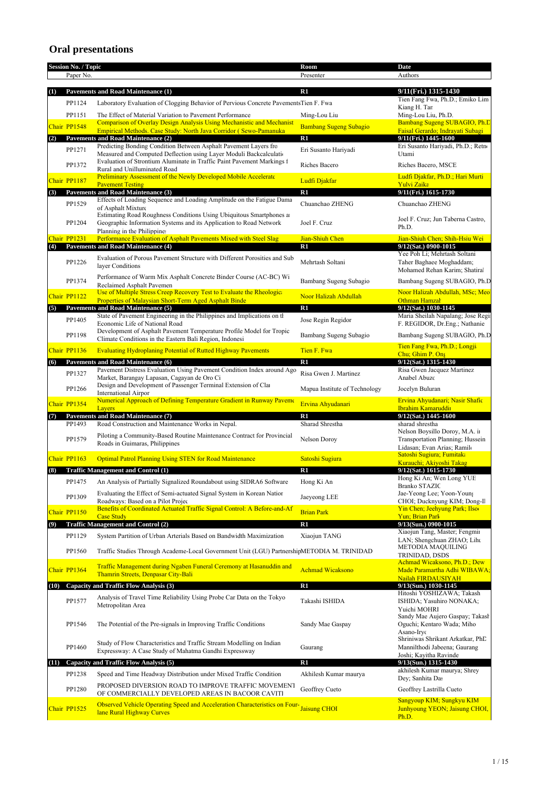## **Oral presentations**

|      | <b>Session No. / Topic</b><br>Paper No. |                                                                                                                                                                  | Room<br>Presenter                            | Date<br>Authors                                                                                   |
|------|-----------------------------------------|------------------------------------------------------------------------------------------------------------------------------------------------------------------|----------------------------------------------|---------------------------------------------------------------------------------------------------|
|      |                                         |                                                                                                                                                                  |                                              |                                                                                                   |
| (1)  |                                         | <b>Pavements and Road Maintenance (1)</b>                                                                                                                        | $\mathbf{R}1$                                | 9/11(Fri.) 1315-1430<br>Tien Fang Fwa, Ph.D.; Emiko Lim                                           |
|      | PP1124<br>PP1151                        | Laboratory Evaluation of Clogging Behavior of Pervious Concrete PavementsTien F. Fwa<br>The Effect of Material Variation to Pavement Performance                 | Ming-Lou Liu                                 | Kiang H. Tar<br>Ming-Lou Liu, Ph.D.                                                               |
|      | Chair PP1548                            | <b>Comparison of Overlay Design Analysis Using Mechanistic and Mechanist</b><br>Empirical Methods. Case Study: North Java Corridor (Sewo-Pamanuka                | <b>Bambang Sugeng Subagio</b>                | Bambang Sugeng SUBAGIO, Ph.D<br>Faisal Gerardo; Indravati Subagi                                  |
| (2)  |                                         | Pavements and Road Maintenance (2)<br>Predicting Bonding Condition Between Asphalt Pavement Layers fro                                                           | R1                                           | 9/11(Fri.) 1445-1600<br>Eri Susanto Hariyadi, Ph.D.; Retn                                         |
|      | PP1271                                  | Measured and Computed Deflection using Layer Moduli Backcalculation<br>Evaluation of Strontium Aluminate in Traffic Paint Pavement Markings f                    | Eri Susanto Hariyadi                         | Utami                                                                                             |
|      | PP1372                                  | Rural and Unilluminated Road<br><b>Preliminary Assessment of the Newly Developed Mobile Accelerate</b>                                                           | Riches Bacero                                | Riches Bacero, MSCE<br>Ludfi Djakfar, Ph.D.; Hari Murti                                           |
|      | Chair PP1187                            | <b>Pavement Testing</b>                                                                                                                                          | Ludfi Djakfar                                | Yulvi Zaika                                                                                       |
| (3)  |                                         | <b>Pavements and Road Maintenance (3)</b><br>Effects of Loading Sequence and Loading Amplitude on the Fatigue Dama                                               | R1                                           | 9/11(Fri.) 1615-1730                                                                              |
|      | PP1529<br>PP1204                        | of Asphalt Mixture<br>Estimating Road Roughness Conditions Using Ubiquitous Smartphones at<br>Geographic Information Systems and its Application to Road Network | Chuanchao ZHENG<br>Joel F. Cruz              | Chuanchao ZHENG<br>Joel F. Cruz; Jun Taberna Castro,                                              |
|      |                                         | Planning in the Philippine:                                                                                                                                      |                                              | Ph.D.                                                                                             |
| (4)  | Chair PP1231                            | Performance Evaluation of Asphalt Pavements Mixed with Steel Slag<br><b>Pavements and Road Maintenance (4)</b>                                                   | Jian-Shiuh Chen<br>R1                        | Jian-Shiuh Chen; Shih-Hsiu Wei<br>9/12(Sat.) 0900-1015                                            |
|      | PP1226                                  | Evaluation of Porous Pavement Structure with Different Porosities and Sub<br>layer Conditions                                                                    | Mehrtash Soltani                             | Yee Poh Li; Mehrtash Soltani<br>Taher Baghaee Moghaddam;<br>Mohamed Rehan Karim; Shatiral         |
|      | PP1374                                  | Performance of Warm Mix Asphalt Concrete Binder Course (AC-BC) Wi<br>Reclaimed Asphalt Pavemen                                                                   | Bambang Sugeng Subagio                       | Bambang Sugeng SUBAGIO, Ph.D                                                                      |
|      | Chair PP1122                            | Use of Multiple Stress Creep Recovery Test to Evaluate the Rheologic<br>Properties of Malaysian Short-Term Aged Asphalt Binde                                    | Noor Halizah Abdullah                        | Noor Halizah Abdullah, MSc; Meo<br>Othman Hamzal                                                  |
| (5)  |                                         | Pavements and Road Maintenance (5)<br>State of Pavement Engineering in the Philippines and Implications on th                                                    | $\mathbf{R}1$                                | 9/12(Sat.) 1030-1145<br>Maria Sheilah Napalang; Jose Regi                                         |
|      | PP1405<br>PP1198                        | Economic Life of National Road<br>Development of Asphalt Pavement Temperature Profile Model for Tropic                                                           | Jose Regin Regidor<br>Bambang Sugeng Subagio | F. REGIDOR, Dr.Eng.; Nathanie<br>Bambang Sugeng SUBAGIO, Ph.D                                     |
|      | Chair PP1136                            | Climate Conditions in the Eastern Bali Region, Indonesi                                                                                                          | Tien F. Fwa                                  | Tien Fang Fwa, Ph.D.; Longji                                                                      |
| (6)  |                                         | <b>Evaluating Hydroplaning Potential of Rutted Highway Pavements</b><br>Pavements and Road Maintenance (6)                                                       | $\mathbf{R}1$                                | Chu; Ghim P. Ons<br>9/12(Sat.) 1315-1430                                                          |
|      | PP1327                                  | Pavement Distress Evaluation Using Pavement Condition Index around Ago<br>Market, Barangay Lapasan, Cagayan de Oro Ci                                            | Risa Gwen J. Martinez                        | Risa Gwen Jacquez Martinez<br>Anabel Abuzc                                                        |
|      | PP1266                                  | Design and Development of Passenger Terminal Extension of Clar<br><b>International Airpor</b>                                                                    | Mapua Institute of Technology                | Jocelyn Buluran                                                                                   |
|      | Chair PP1354                            | Numerical Approach of Defining Temperature Gradient in Runway Paveme<br>Layers<br><b>Pavements and Road Maintenance (7)</b>                                      | Ervina Ahyudanari<br>R1                      | Ervina Ahyudanari; Nasir Shafic<br>Ibrahim Kamaruddin<br>9/12(Sat.) 1445-1600                     |
| (7)  | PP1493                                  | Road Construction and Maintenance Works in Nepal.                                                                                                                | Sharad Shrestha                              | sharad shrestha                                                                                   |
|      | PP1579                                  | Piloting a Community-Based Routine Maintenance Contract for Provincial<br>Roads in Guimaras, Philippines                                                         | Nelson Doroy                                 | Nelson Boysillo Doroy, M.A. ii<br>Transportation Planning; Hussein<br>Lidasan; Evan Arias; Ramil- |
|      | Chair PP1163                            | <b>Optimal Patrol Planning Using STEN for Road Maintenance</b>                                                                                                   | Satoshi Sugiura                              | Satoshi Sugiura; Fumitak:<br>Kurauchi; Akiyoshi Takag                                             |
| (8)  |                                         | <b>Traffic Management and Control (1)</b>                                                                                                                        | R1                                           | 9/12(Sat.) 1615-1730                                                                              |
|      | PP1475                                  | An Analysis of Partially Signalized Roundabout using SIDRA6 Software                                                                                             | Hong Ki An                                   | Hong Ki An; Wen Long YUE<br><b>Branko STAZIC</b>                                                  |
|      | PP1309                                  | Evaluating the Effect of Semi-actuated Signal System in Korean Nation<br>Roadways: Based on a Pilot Projec                                                       | Jaeyeong LEE                                 | Jae-Yeong Lee; Yoon-Young<br>CHOI; Ducknyung KIM; Dong-Il                                         |
|      | Chair PP1150                            | Benefits of Coordinated Actuated Traffic Signal Control: A Before-and-Af<br><b>Case Study</b>                                                                    | <b>Brian Park</b>                            | Yin Chen; Jeehyung Park; Ilsoc<br><b>Yun</b> ; Brian Park                                         |
| (9)  |                                         | <b>Traffic Management and Control (2)</b>                                                                                                                        | $\mathbf{R}1$                                | $9/13$ (Sun.) 0900-1015                                                                           |
|      | PP1129                                  | System Partition of Urban Arterials Based on Bandwidth Maximization                                                                                              | Xiaojun TANG                                 | Xiaojun Tang, Master; Fengmir<br>LAN; Shengchuan ZHAO; Lihu                                       |
|      | PP1560                                  | Traffic Studies Through Academe-Local Government Unit (LGU) PartnershipMETODIA M. TRINIDAD                                                                       |                                              | METODIA MAQUILING<br><b>TRINIDAD, DSDS</b>                                                        |
|      | Chair PP1364                            | Traffic Management during Ngaben Funeral Ceremony at Hasanuddin and<br>Thamrin Streets, Denpasar City-Bali                                                       | <b>Achmad Wicaksono</b>                      | Achmad Wicaksono, Ph.D.; Dew<br>Made Paramartha Adhi WIBAWA;<br>Nailah FIRDAUSIYAH                |
| (10) |                                         | Capacity and Traffic Flow Analysis (3)                                                                                                                           | $R1$                                         | 9/13(Sun.) 1030-1145<br>Hitoshi YOSHIZAWA; Takash                                                 |
|      | PP1577                                  | Analysis of Travel Time Reliability Using Probe Car Data on the Tokyo<br>Metropolitan Area                                                                       | Takashi ISHIDA                               | ISHIDA; Yasuhiro NONAKA;<br>Yuichi MOHRI<br>Sandy Mae Aujero Gaspay; Takasł                       |
|      | PP1546                                  | The Potential of the Pre-signals in Improving Traffic Conditions                                                                                                 | Sandy Mae Gaspay                             | Oguchi; Kentaro Wada; Miho<br>Asano-Iryc                                                          |
|      | PP1460                                  | Study of Flow Characteristics and Traffic Stream Modelling on Indian<br>Expressway: A Case Study of Mahatma Gandhi Expressway                                    | Gaurang                                      | Shriniwas Shrikant Arkatkar, PhD<br>Mannilthodi Jabeena; Gaurang<br>Joshi; Kayitha Ravinde        |
| (11) |                                         | Capacity and Traffic Flow Analysis (5)                                                                                                                           | R1                                           | 9/13(Sun.) 1315-1430                                                                              |
|      | PP1238                                  | Speed and Time Headway Distribution under Mixed Traffic Condition<br>PROPOSED DIVERSION ROAD TO IMPROVE TRAFFIC MOVEMENT                                         | Akhilesh Kumar maurya                        | akhilesh Kumar maurya; Shrey<br>Dey; Sanhita Das                                                  |
|      | PP1280                                  | OF COMMERCIALLY DEVELOPED AREAS IN BACOOR CAVITI                                                                                                                 | Geoffrey Cueto                               | Geoffrey Lastrilla Cueto<br>Sangyoup KIM; Sungkyu KIM                                             |
|      | Chair PP1525                            | Observed Vehicle Operating Speed and Acceleration Characteristics on Four-Jaisung CHOI<br>lane Rural Highway Curves                                              |                                              | Junhyoung YEON; Jaisung CHOI,<br>Ph.D.                                                            |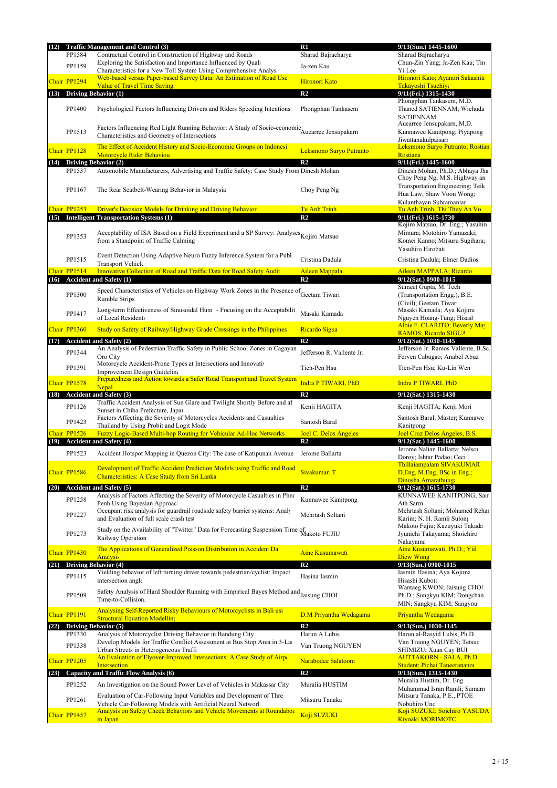| (12) |              | <b>Traffic Management and Control (3)</b>                                                                                                       | R1                                             | 9/13(Sun.) 1445-1600                                                                          |
|------|--------------|-------------------------------------------------------------------------------------------------------------------------------------------------|------------------------------------------------|-----------------------------------------------------------------------------------------------|
|      | PP1584       | Contractual Control in Construction of Highway and Roads                                                                                        | Sharad Bajracharya                             | Sharad Bajracharya                                                                            |
|      | PP1159       | Exploring the Satisfaction and Importance Influenced by Quali<br>Characteristics for a New Toll System Using Comprehensive Analys               | Ja-zen Kau                                     | Chun-Zin Yang; Ja-Zen Kau; Tin<br>Yi Lee                                                      |
|      | Chair PP1294 | Web-based versus Paper-based Survey Data: An Estimation of Road Use                                                                             | Hironori Kato                                  | Hironori Kato; Ayanori Sakashita                                                              |
|      |              | <b>Value of Travel Time Saving:</b>                                                                                                             |                                                | <b>Takayoshi Tsuchiya</b>                                                                     |
| (13) |              | Driving Behavior (1)                                                                                                                            | R <sub>2</sub>                                 | 9/11(Fri.) 1315-1430<br>Phongphan Tankasem, M.D.                                              |
|      | PP1400       | Psychological Factors Influencing Drivers and Riders Speeding Intentions                                                                        | Phongphan Tankasem                             | Thaned SATIENNAM; Wichuda<br><b>SATIENNAM</b>                                                 |
|      | PP1513       | Factors Influencing Red Light Running Behavior: A Study of Socio-economic Auearree Jensupakarn<br>Characteristics and Geometry of Intersections |                                                | Auearree Jensupakarn, M.D.<br>Kunnawee Kanitpong; Piyapong<br>Jiwattanakulpaisarı             |
|      | Chair PP1128 | The Effect of Accident History and Socio-Economic Groups on Indonesi                                                                            | Leksmono Suryo Putranto                        | Leksmono Suryo Putranto; Rostian                                                              |
|      |              | <b>Motorcycle Rider Behaviou</b><br>(14) Driving Behavior (2)                                                                                   | R <sub>2</sub>                                 | <b>Rostiana</b><br>9/11(Fri.) 1445-1600                                                       |
|      | PP1537       | Automobile Manufacturers, Advertising and Traffic Safety: Case Study From Dinesh Mohan                                                          |                                                | Dinesh Mohan, Ph.D.; Abhaya Jha<br>Choy Peng Ng, M.S. Highway an                              |
|      | PP1167       | The Rear Seatbelt-Wearing Behavior in Malaysia                                                                                                  | Choy Peng Ng                                   | Transportation Engineering; Teik<br>Hua Law; Shaw Voon Wong;<br>Kulanthayan Subramanian       |
|      | Chair PP1253 | <b>Driver's Decision Models for Drinking and Driving Behavior</b>                                                                               | <b>Tu Anh Trinh</b>                            | Tu Anh Trinh; Thi Thuy An Vo                                                                  |
| (15) |              | <b>Intelligent Transportation Systems (1)</b>                                                                                                   | R <sub>2</sub>                                 | 9/11(Fri.) 1615-1730<br>Kojiro Matsuo, Dr. Eng.; Yasuhir                                      |
|      | PP1353       | Acceptability of ISA Based on a Field Experiment and a SP Survey: Analyses Kojiro Matsuo<br>from a Standpoint of Traffic Calming                |                                                | Mimura; Motohiro Yamazaki;<br>Komei Kanno; Mitsuru Sugihara;<br>Yasuhiro Hirobata             |
|      | PP1515       | Event Detection Using Adaptive Neuro Fuzzy Inference System for a Publ<br><b>Transport Vehicle</b>                                              | Cristina Dadula                                | Cristina Dadula; Elmer Dadios                                                                 |
|      | Chair PP1514 | <b>Innovative Collection of Road and Traffic Data for Road Safety Audit</b>                                                                     | <b>Aileen Mappala</b>                          | Aileen MAPPALA; Ricardo                                                                       |
|      |              | (16) Accident and Safety (1)                                                                                                                    | R <sub>2</sub>                                 | 9/12(Sat.) 0900-1015                                                                          |
|      | PP1300       | Speed Characteristics of Vehicles on Highway Work Zones in the Presence of Geetam Tiwari<br><b>Rumble Strips</b>                                |                                                | Sumeet Gupta, M. Tech<br>(Transportation Engg.), B.E.<br>(Civil): Geetam Tiwari               |
|      | PP1417       | Long-term Effectiveness of Sinusoidal Hum - Focusing on the Acceptabilit                                                                        | Masaki Kamada                                  | Masaki Kamada; Aya Kojima                                                                     |
|      |              | of Local Residents                                                                                                                              |                                                | Nguyen Hoang-Tung; Hisash<br>Albie F. CLARITO; Beverly May                                    |
|      | Chair PP1360 | Study on Safety of Railway/Highway Grade Crossings in the Philippines                                                                           | Ricardo Sigua                                  | <b>RAMOS</b> ; Ricardo SIGUA                                                                  |
|      |              | (17) Accident and Safety (2)<br>An Analysis of Pedestrian Traffic Safety in Public School Zones in Cagayan                                      | R <sub>2</sub>                                 | 9/12(Sat.) 1030-1145<br>Jefferson Jr. Ramos Vallente, B.Sc.                                   |
|      | PP1344       | Oro City                                                                                                                                        | Jefferson R. Vallente Jr.                      | Ferven Cabugao; Anabel Abuzo                                                                  |
|      | PP1391       | Motorcycle Accident-Prone Types at Intersections and Innovativ<br><b>Improvement Design Guideline</b>                                           | Tien-Pen Hsu                                   | Tien-Pen Hsu; Ku-Lin Wen                                                                      |
|      | Chair PP1578 | Preparedness and Action towards a Safer Road Transport and Travel System<br>Nepal                                                               | <b>Indra P TIWARI, PhD</b>                     | <b>Indra P TIWARI, PhD</b>                                                                    |
|      |              | (18) Accident and Safety (3)                                                                                                                    | R <sub>2</sub>                                 | 9/12(Sat.) 1315-1430                                                                          |
|      | PP1126       | Traffic Accident Analysis of Sun Glare and Twilight Shortly Before and af                                                                       | Kenji HAGITA                                   | Kenji HAGITA; Kenji Mori                                                                      |
|      | PP1423       | Sunset in Chiba Prefecture, Japan<br>Factors Affecting the Severity of Motorcycles Accidents and Casualties                                     |                                                | Santosh Baral, Master; Kunnawe                                                                |
|      |              | Thailand by Using Probit and Logit Mode                                                                                                         | Santosh Baral                                  | Kanitpong                                                                                     |
| (19) | Chair PP1526 | Fuzzy Logic-Based Multi-hop Routing for Vehicular Ad-Hoc Networks<br><b>Accident and Safety (4)</b>                                             | <b>Joel C. Delos Angeles</b><br>R <sub>2</sub> | Joel Cruz Delos Angeles, B.S.<br>9/12(Sat.) 1445-1600                                         |
|      | PP1523       | Accident Hotspot Mapping in Quezon City: The case of Katipunan Avenue                                                                           | Jerome Ballarta                                | Jerome Nalian Ballarta; Nelson                                                                |
|      |              |                                                                                                                                                 |                                                | Doroy; Ishtar Padao; Ceci<br>Thillaiampalam SIVAKUMAR                                         |
|      | Chair PP1586 | Development of Traffic Accident Prediction Models using Traffic and Road                                                                        | Sivakumar. T                                   | D.Eng, M.Eng, BSc in Eng.;                                                                    |
|      |              | Characteristics: A Case Study from Sri Lanka                                                                                                    |                                                | Dinusha Amarathung                                                                            |
| (20) |              | Accident and Safety (5)<br>Analysis of Factors Affecting the Severity of Motorcycle Casualties in Phno                                          | R <sub>2</sub>                                 | 9/12(Sat.) 1615-1730<br>KUNNAWEE KANITPONG; San                                               |
|      | PP1258       | Penh Using Bayesian Approac                                                                                                                     | Kunnawee Kanitpong                             | Ath Sarm                                                                                      |
|      | PP1227       | Occupant risk analysis for guardrail roadside safety barrier systems: Analy<br>and Evaluation of full scale crash test                          | Mehrtash Soltani                               | Mehrtash Soltani; Mohamed Rehar<br>Karim; N. H. Ramli Sulon;<br>Makoto Fujiu; Kazuyuki Takada |
|      | PP1273       | Study on the Availability of "Twitter" Data for Forecasting Suspension Time of Makoto FUJIU<br>Railway Operation                                |                                                | Jyunichi Takayama; Shoichiro<br>Nakayama                                                      |
|      | Chair PP1430 | The Applications of Generalized Poisson Distribution in Accident Da<br><b>Analysis</b>                                                          | Aine Kusumawati                                | Aine Kusumawati, Ph.D.; Yiil<br>Diew Wong                                                     |
| (21) |              | <b>Driving Behavior (4)</b>                                                                                                                     | R <sub>2</sub>                                 | 9/13(Sun.) 0900-1015                                                                          |
|      | PP1415       | Yielding behavior of left turning driver towards pedestrian/cyclist: Impact                                                                     | Hasina Iasmin                                  | Iasmin Hasina; Aya Kojima                                                                     |
|      | PP1509       | intersection angle<br>Safety Analysis of Hard Shoulder Running with Empirical Bayes Method and Jaisung CHOI                                     |                                                | Hisashi Kubota<br>Wantaeg KWON; Jaisung CHOl<br>Ph.D.; Sungkyu KIM; Dongchan                  |
|      |              | Time-to-Collision.<br>Analysing Self-Reported Risky Behaviours of Motorcyclists in Bali usi                                                     |                                                | MIN; Sangkyu KIM; Sangyou                                                                     |
|      | Chair PP1191 | <b>Structural Equation Modelling</b>                                                                                                            | D.M Priyantha Wedagama                         | Priyantha Wedagama                                                                            |
|      |              | (22) Driving Behavior (5)                                                                                                                       | $\mathbb{R}^2$                                 | 9/13(Sun.) 1030-1145                                                                          |
|      | PP1330       | Analysis of Motorcyclist Driving Behavior in Bandung City<br>Develop Models for Traffic Conflict Assessment at Bus Stop Area in 3-La            | Harun A Lubis                                  | Harun al-Rasyid Lubis, Ph.D.<br>Van Truong NGUYEN; Tetsuc                                     |
|      | PP1338       | Urban Streets in Heterogeneous Traffi                                                                                                           | Van Truong NGUYEN                              | SHIMIZU; Xuan Cay BUI                                                                         |
|      | Chair PP1205 | An Evaluation of Flyover-Improved Intersections: A Case Study of Airpo                                                                          | Narabodee Salatoom                             | <b>AUTTAKORN - SALA, Ph.D</b>                                                                 |
| (23) |              | Intersection<br>Capacity and Traffic Flow Analysis (6)                                                                                          | R <sub>2</sub>                                 | Student; Pichai Taneerananoi<br>$9/13$ (Sun.) 1315-1430                                       |
|      | PP1252       | An Investigation on the Sound Power Level of Vehicles in Makassar City                                                                          | Muralia HUSTIM                                 | Muralia Hustim, Dr. Eng.                                                                      |
|      | PP1261       | Evaluation of Car-Following Input Variables and Development of Thre                                                                             | Mitsuru Tanaka                                 | Muhammad Isran Ramli; Sumarn<br>Mitsuru Tanaka, P.E., PTOE                                    |
|      |              | Vehicle Car-Following Models with Artificial Neural Networl<br><b>Analysis on Safety Check Behaviors and Vehicle Movements at Roundabot</b>     |                                                | Nobuhiro Unc<br>Koji SUZUKI; Soichiro YASUDA                                                  |
|      | Chair PP1457 | in Japan                                                                                                                                        | Koji SUZUKI                                    | <b>Kiyoaki MORIMOTC</b>                                                                       |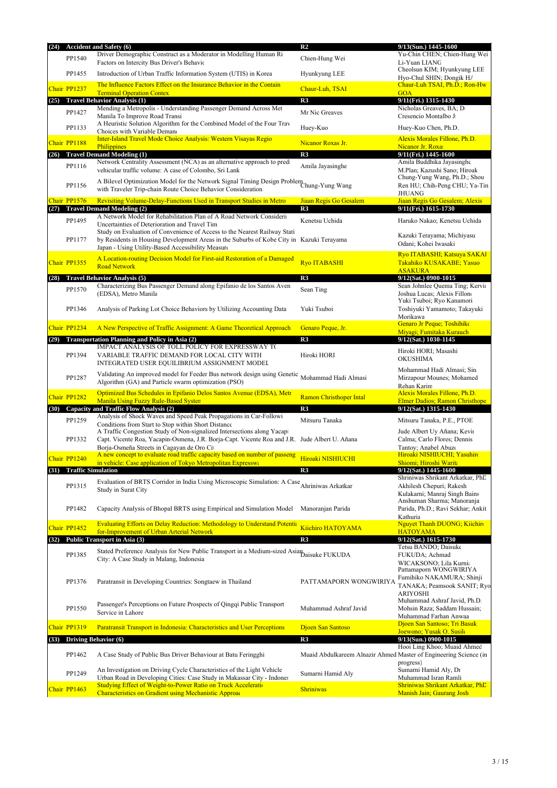|      |                           | (24) Accident and Safety (6)                                                                                                                                                                                           | R <sub>2</sub>                                                    | 9/13(Sun.) 1445-1600                                                                        |
|------|---------------------------|------------------------------------------------------------------------------------------------------------------------------------------------------------------------------------------------------------------------|-------------------------------------------------------------------|---------------------------------------------------------------------------------------------|
|      | PP1540                    | Driver Demographic Construct as a Moderator in Modelling Human Ri<br>Factors on Intercity Bus Driver's Behavic                                                                                                         | Chien-Hung Wei                                                    | Yu-Chin CHEN; Chien-Hung Wei<br>Li-Yuan LIANG                                               |
|      | PP1455                    | Introduction of Urban Traffic Information System (UTIS) in Korea                                                                                                                                                       | Hyunkyung LEE                                                     | Cheolsun KIM; Hyunkyung LEE<br>Hyo-Chul SHIN; Dongik H/                                     |
|      | Chair PP1237              | The Influence Factors Effect on the Insurance Behavior in the Contain<br><b>Terminal Operation Contex</b>                                                                                                              | Chaur-Luh, TSAI                                                   | Chaur-Luh TSAI, Ph.D.; Ron-Hw<br><b>GOA</b>                                                 |
| (25) |                           | <b>Travel Behavior Analysis (1)</b>                                                                                                                                                                                    | R <sub>3</sub>                                                    | 9/11(Fri.) 1315-1430                                                                        |
|      | PP1427                    | Mending a Metropolis - Understanding Passenger Demand Across Met<br>Manila To Improve Road Transi                                                                                                                      | Mr Nic Greaves                                                    | Nicholas Greaves, BA; D.<br>Cresencio Montalbo J                                            |
|      | PP1133                    | A Heuristic Solution Algorithm for the Combined Model of the Four Trav<br>Choices with Variable Demano<br><b>Inter-Island Travel Mode Choice Analysis: Western Visayas Regio</b>                                       | Huey-Kuo                                                          | Huey-Kuo Chen, Ph.D.                                                                        |
|      | Chair PP1188              | Philippines                                                                                                                                                                                                            | Nicanor Roxas Jr.                                                 | Alexis Morales Fillone, Ph.D.<br>Nicanor Jr. Roxa:                                          |
| (26) |                           | <b>Travel Demand Modeling (1)</b><br>Network Centrality Assessment (NCA) as an alternative approach to pred                                                                                                            | R3                                                                | 9/11(Fri.) 1445-1600<br>Amila Buddhika Jayasinghe                                           |
|      | PP1116                    | vehicular traffic volume: A case of Colombo, Sri Lank                                                                                                                                                                  | Amila Jayasinghe                                                  | M.Plan; Kazushi Sano; Hiroak<br>Chung-Yung Wang, Ph.D.; Shou                                |
|      | PP1156                    | A Bilevel Optimization Model for the Network Signal Timing Design Problem<br>Chung-Yung Wang<br>with Traveler Trip-chain Route Choice Behavior Consideration                                                           |                                                                   | Ren HU; Chih-Peng CHU; Ya-Tin<br><b>JHUANG</b>                                              |
| (27) | Chair PP1576              | Revisiting Volume-Delay-Functions Used in Transport Studies in Metro<br><b>Travel Demand Modeling (2)</b>                                                                                                              | Jiaan Regis Go Gesalem<br>R <sub>3</sub>                          | Jiaan Regis Go Gesalem; Alexis<br>9/11(Fri.) 1615-1730                                      |
|      |                           | A Network Model for Rehabilitation Plan of A Road Network Considerii                                                                                                                                                   |                                                                   |                                                                                             |
|      | PP1495<br>PP1177          | Uncertainties of Deterioration and Travel Tim<br>Study on Evaluation of Convenience of Access to the Nearest Railway Stati<br>by Residents in Housing Development Areas in the Suburbs of Kobe City in Kazuki Terayama | Kenetsu Uchida                                                    | Haruko Nakao; Kenetsu Uchida<br>Kazuki Terayama; Michiyasu                                  |
|      |                           | Japan - Using Utility-Based Accessibility Measure                                                                                                                                                                      |                                                                   | Odani; Kohei Iwasaki<br>Ryo ITABASHI; Katsuya SAKAI                                         |
|      | Chair PP1355              | A Location-routing Decision Model for First-aid Restoration of a Damaged<br><b>Road Network</b>                                                                                                                        | <b>Ryo ITABASHI</b>                                               | Takahiko KUSAKABE; Yasuo<br><b>ASAKURA</b>                                                  |
| (28) |                           | <b>Travel Behavior Analysis (5)</b>                                                                                                                                                                                    | R <sub>3</sub>                                                    | 9/12(Sat.) 0900-1015                                                                        |
|      | PP1570                    | Characterizing Bus Passenger Demand along Epifanio de los Santos Aven<br>(EDSA), Metro Manila                                                                                                                          | Sean Ting                                                         | Sean Johnlee Quema Ting; Kervin<br>Joshua Lucas; Alexis Fillon<br>Yuki Tsuboi; Ryo Kanamori |
|      | PP1346                    | Analysis of Parking Lot Choice Behaviors by Utilizing Accounting Data                                                                                                                                                  | Yuki Tsuboi                                                       | Toshiyuki Yamamoto; Takayuki<br>Morikawa                                                    |
|      | Chair PP1234              | A New Perspective of Traffic Assignment: A Game Theoretical Approach                                                                                                                                                   | Genaro Peque, Jr.                                                 | Genaro Jr Peque; Toshihiko<br>Miyagi: Fumitaka Kurauch                                      |
| (29) |                           | <b>Transportation Planning and Policy in Asia (2)</b>                                                                                                                                                                  | R <sub>3</sub>                                                    | 9/12(Sat.) 1030-1145                                                                        |
|      | PP1394                    | IMPACT ANALYSIS OF TOLL POLICY FOR EXPRESSWAY TO<br>VARIABLE TRAFFIC DEMAND FOR LOCAL CITY WITH<br>INTEGRATED USER EQUILIBRIUM ASSIGNMENT MODEL                                                                        | Hiroki HORI                                                       | Hiroki HORI; Masashi<br><b>OKUSHIMA</b>                                                     |
|      | PP1287                    | Validating An improved model for Feeder Bus network design using Genetic<br>Algorithm (GA) and Particle swarm optimization (PSO)                                                                                       | Mohammad Hadi Almasi                                              | Mohammad Hadi Almasi; Sin<br>Mirzapour Mounes; Mohamed<br>Rehan Karim                       |
|      | Chair PP1282              | Optimized Bus Schedules in Epifanio Delos Santos Avenue (EDSA), Metr                                                                                                                                                   | <b>Ramon Christhoper Intal</b>                                    | Alexis Morales Fillone, Ph.D.                                                               |
| (30) |                           | <b>Manila Using Fuzzy Rule-Based Systen</b><br>Capacity and Traffic Flow Analysis (2)                                                                                                                                  | R <sub>3</sub>                                                    | <b>Elmer Dadios</b> ; Ramon Christhope<br>9/12(Sat.) 1315-1430                              |
|      | PP1259                    | Analysis of Shock Waves and Speed Peak Propagations in Car-Followi<br>Conditions from Start to Stop within Short Distance                                                                                              | Mitsuru Tanaka                                                    | Mitsuru Tanaka, P.E., PTOE                                                                  |
|      | PP1332                    | A Traffic Congestion Study of Non-signalized Intersections along Yacap<br>Capt. Vicente Roa, Yacapin-Osmena, J.R. Borja-Capt. Vicente Roa and J.R. Jude Albert U. Añana<br>Borja-Osmeña Streets in Cagayan de Oro Ci   |                                                                   | Jude Albert Uy Añana; Kevir<br>Calma; Carlo Flores; Dennis<br>Tantoy; Anabel Abuzo          |
|      | Chair PP1240              | A new concept to evaluate road traffic capacity based on number of passeng                                                                                                                                             | Hiroaki NISHIUCHI                                                 | Hiroaki NISHIUCHI; Yasuhiro                                                                 |
| (31) | <b>Traffic Simulation</b> | in vehicle: Case application of Tokyo Metropolitan Expresswa                                                                                                                                                           | R <sub>3</sub>                                                    | Shiomi; Hiroshi Warita<br>9/12(Sat.) 1445-1600                                              |
|      |                           |                                                                                                                                                                                                                        |                                                                   | Shriniwas Shrikant Arkatkar, PhD                                                            |
|      | PP1315                    | Evaluation of BRTS Corridor in India Using Microscopic Simulation: A Case Ahriniwas Arkatkar<br>Study in Surat City                                                                                                    |                                                                   | Akhilesh Chepuri; Rakesh<br>Kulakarni; Manraj Singh Bains<br>Anshuman Sharma; Manoranja     |
|      | PP1482                    | Capacity Analysis of Bhopal BRTS using Empirical and Simulation Model                                                                                                                                                  | Manoranjan Parida                                                 | Parida, Ph.D.; Ravi Sekhar; Ankit<br>Kathuria                                               |
|      | Chair PP1452              | <b>Evaluating Efforts on Delay Reduction: Methodology to Understand Potentia</b><br>for-Improvement of Urban Arterial Network                                                                                          | <b>Kiichiro HATOYAMA</b>                                          | Nguyet Thanh DUONG; Kiichir<br><b>HATOYAMA</b>                                              |
| (32) |                           | Public Transport in Asia (3)                                                                                                                                                                                           | R <sub>3</sub>                                                    | 9/12(Sat.) 1615-1730                                                                        |
|      | PP1385                    | Stated Preference Analysis for New Public Transport in a Medium-sized Asian Daisuke FUKUDA<br>City: A Case Study in Malang, Indonesia                                                                                  |                                                                   | Tetsu BANDO; Daisuke<br>FUKUDA; Achmad<br>WICAKSONO; Lila Kurnia<br>Pattamaporn WONGWIRIYA  |
|      | PP1376                    | Paratransit in Developing Countries: Songtaew in Thailand                                                                                                                                                              | PATTAMAPORN WONGWIRIYA                                            | Fumihiko NAKAMURA; Shinji<br>TANAKA; Peamsook SANIT; Ryo<br><b>ARIYOSHI</b>                 |
|      | PP1550                    | Passenger's Perceptions on Future Prospects of Qingqi Public Transport<br>Service in Lahore                                                                                                                            | Muhammad Ashraf Javid                                             | Muhammad Ashraf Javid, Ph.D.<br>Mohsin Raza; Saddam Hussain;<br>Muhammad Farhan Anwaa       |
|      | Chair PP1319              | <b>Paratransit Transport in Indonesia: Characteristics and User Perceptions</b>                                                                                                                                        | Djoen San Santoso                                                 | Djoen San Santoso; Tri Basuk<br>Joewono; Yusak O. Susik                                     |
| (33) |                           | <b>Driving Behavior (6)</b>                                                                                                                                                                                            | R3                                                                | 9/13(Sun.) 0900-1015                                                                        |
|      | PP1462                    | A Case Study of Public Bus Driver Behaviour at Batu Feringghi                                                                                                                                                          | Muaid Abdulkareem Alnazir Ahmed Master of Engineering Science (in | Hooi Ling Khoo; Muaid Ahmed<br>progress)                                                    |
|      | PP1249                    | An Investigation on Driving Cycle Characteristics of the Light Vehicle<br>Urban Road in Developing Cities: Case Study in Makassar City - Indones                                                                       | Sumarni Hamid Aly                                                 | Sumarni Hamid Aly, Dr<br>Muhammad Isran Ramli                                               |
|      | Chair PP1463              | <b>Studying Effect of Weight-to-Power Ratio on Truck Acceleration</b><br><b>Characteristics on Gradient using Mechanistic Approaction</b>                                                                              | <b>Shriniwas</b>                                                  | Shriniwas Shrikant Arkatkar, PhD<br>Manish Jain; Gaurang Josh                               |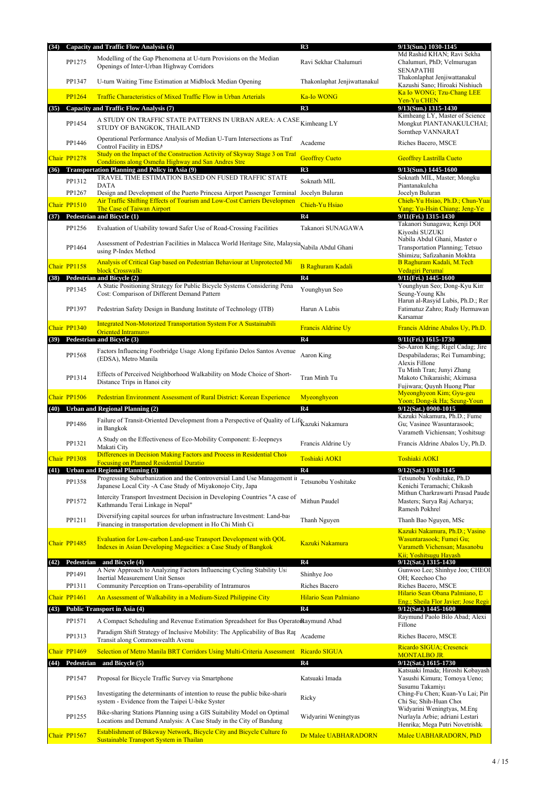| (34) |               | <b>Capacity and Traffic Flow Analysis (4)</b>                                                                                                                           | R3                           | 9/13(Sun.) 1030-1145                                                                              |
|------|---------------|-------------------------------------------------------------------------------------------------------------------------------------------------------------------------|------------------------------|---------------------------------------------------------------------------------------------------|
|      | PP1275        | Modelling of the Gap Phenomena at U-turn Provisions on the Median<br>Openings of Inter-Urban Highway Corridors                                                          | Ravi Sekhar Chalumuri        | Md Rashid KHAN; Ravi Sekha<br>Chalumuri, PhD; Velmurugan<br><b>SENAPATHI</b>                      |
|      | PP1347        | U-turn Waiting Time Estimation at Midblock Median Opening                                                                                                               | Thakonlaphat Jenjiwattanakul | Thakonlaphat Jenjiwattanakul<br>Kazushi Sano; Hiroaki Nishiuch                                    |
|      | <b>PP1264</b> | Traffic Characteristics of Mixed Traffic Flow in Urban Arterials                                                                                                        | <b>Ka-Io WONG</b>            | Ka Io WONG; Tzu-Chang LEE<br>Yen-Yu CHEN                                                          |
| (35) |               | Capacity and Traffic Flow Analysis (7)                                                                                                                                  | R3                           | 9/13(Sun.) 1315-1430                                                                              |
|      | PP1454        | A STUDY ON TRAFFIC STATE PATTERNS IN URBAN AREA: A CASE Kimheang LY<br>STUDY OF BANGKOK, THAILAND                                                                       |                              | Kimheang LY, Master of Science<br>Mongkut PIANTANAKULCHAI;<br>Sornthep VANNARAT                   |
|      | PP1446        | Operational Performance Analysis of Median U-Turn Intersections as Traf<br>Control Facility in EDSA                                                                     | Academe                      | Riches Bacero, MSCE                                                                               |
|      | Chair PP1278  | Study on the Impact of the Construction Activity of Skyway Stage 3 on Traf<br>Conditions along Osmeña Highway and San Andres Stre                                       | <b>Geoffrey Cueto</b>        | <b>Geoffrey Lastrilla Cueto</b>                                                                   |
|      |               | (36) Transportation Planning and Policy in Asia (9)                                                                                                                     | R3                           | 9/13(Sun.) 1445-1600                                                                              |
|      | PP1312        | TRAVEL TIME ESTIMATION BASED ON FUSED TRAFFIC STATE<br><b>DATA</b>                                                                                                      | Soknath MIL                  | Soknath MIL, Master; Mongku<br>Piantanakulcha                                                     |
|      | PP1267        | Design and Development of the Puerto Princesa Airport Passenger Terminal                                                                                                | Jocelyn Buluran              | Jocelyn Buluran                                                                                   |
|      | Chair PP1510  | Air Traffic Shifting Effects of Tourism and Low-Cost Carriers Developmen<br>The Case of Taiwan Airport                                                                  | Chieh-Yu Hsiao               | Chieh-Yu Hsiao, Ph.D.; Chun-Yuai<br>Yang; Yu-Hsin Chiang; Jeng-Ye                                 |
| (37) |               | Pedestrian and Bicycle (1)                                                                                                                                              | R4                           | 9/11(Fri.) 1315-1430<br>Takanori Sunagawa; Kenji DOI                                              |
|      | PP1256        | Evaluation of Usability toward Safer Use of Road-Crossing Facilities<br>Assessment of Pedestrian Facilities in Malacca World Heritage Site, Malaysia Nabila Abdul Ghani | Takanori SUNAGAWA            | Kiyoshi SUZUKI<br>Nabila Abdul Ghani, Master o                                                    |
|      | PP1464        | using P-Index Method                                                                                                                                                    |                              | Transportation Planning; Tetsuo<br>Shimizu; Safizahanin Mokhta                                    |
|      | Chair PP1158  | Analysis of Critical Gap based on Pedestrian Behaviour at Unprotected Mi<br>block Crosswalks                                                                            | <b>B Raghuram Kadali</b>     | B Raghuram Kadali, M.Tech<br>Vedagiri Peruma                                                      |
| (38) |               | Pedestrian and Bicycle (2)<br>A Static Positioning Strategy for Public Bicycle Systems Considering Pena                                                                 | R4                           | 9/11(Fri.) 1445-1600<br>Younghyun Seo; Dong-Kyu Kin                                               |
|      | PP1345        | Cost: Comparison of Different Demand Pattern                                                                                                                            | Younghyun Seo                | Seung-Young Kho<br>Harun al-Rasyid Lubis, Ph.D.; Ren                                              |
|      | PP1397        | Pedestrian Safety Design in Bandung Institute of Technology (ITB)                                                                                                       | Harun A Lubis                | Fatimatuz Zahro; Rudy Hermawan<br>Karsamar                                                        |
|      | Chair PP1340  | <b>Integrated Non-Motorized Transportation System For A Sustainabili</b><br><b>Oriented Intramuros</b>                                                                  | <b>Francis Aldrine Uy</b>    | Francis Aldrine Abalos Uy, Ph.D.                                                                  |
| (39) |               | Pedestrian and Bicycle (3)                                                                                                                                              | R4                           | 9/11(Fri.) 1615-1730<br>So-Aaron King; Rigel Cadag; Jire                                          |
|      | PP1568        | Factors Influencing Footbridge Usage Along Epifanio Delos Santos Avenue<br>(EDSA), Metro Manila                                                                         | Aaron King                   | Despabiladeras; Rei Tumambing;<br>Alexis Fillone                                                  |
|      | PP1314        | Effects of Perceived Neighborhood Walkability on Mode Choice of Short-<br>Distance Trips in Hanoi city                                                                  | Tran Minh Tu                 | Tu Minh Tran; Junyi Zhang<br>Makoto Chikaraishi; Akimasa<br>Fujiwara; Quynh Huong Phar            |
|      | Chair PP1506  | Pedestrian Environment Assessment of Rural District: Korean Experience                                                                                                  | Myeonghyeon                  | Myeonghyeon Kim; Gyu-geu                                                                          |
|      |               |                                                                                                                                                                         |                              | Yoon; Dong-ik Ha; Seung-Youn                                                                      |
|      |               |                                                                                                                                                                         |                              |                                                                                                   |
| (40) | PP1486        | <b>Urban and Regional Planning (2)</b><br>Failure of Transit-Oriented Development from a Perspective of Quality of Life Kazuki Nakamura<br>in Bangkok                   | R4                           | 9/12(Sat.) 0900-1015<br>Kazuki Nakamura, Ph.D.; Fume<br>Gu; Vasinee Wasuntarasook;                |
|      | PP1321        | A Study on the Effectiveness of Eco-Mobility Component: E-Jeepneys<br>Makati City                                                                                       | Francis Aldrine Uy           | Varameth Vichiensan; Yoshitsug<br>Francis Aldrine Abalos Uy, Ph.D.                                |
|      | Chair PP1308  | Differences in Decision Making Factors and Process in Residential Choi                                                                                                  | Toshiaki AOKI                | <b>Toshiaki AOKI</b>                                                                              |
| (41) |               | <b>Focusing on Planned Residential Duratio</b><br><b>Urban and Regional Planning (3)</b>                                                                                | R4                           | 9/12(Sat.) 1030-1145                                                                              |
|      | PP1358        | Progressing Suburbanization and the Controversial Land Use Management in                                                                                                | Tetsunobu Yoshitake          | Tetsunobu Yoshitake, Ph.D                                                                         |
|      | PP1572        | Japanese Local City - A Case Study of Miyakonojo City, Japa<br>Intercity Transport Investment Decision in Developing Countries "A case of                               | Mithun Paudel                | Kenichi Teramachi; Chikash<br>Masters; Surya Raj Acharya;                                         |
|      | PP1211        | Kathmandu Terai Linkage in Nepal"<br>Diversifying capital sources for urban infrastructure Investment: Land-bas                                                         | Thanh Nguyen                 | Ramesh Pokhrel<br>Thanh Bao Nguyen, MSc                                                           |
|      |               | Financing in transportation development in Ho Chi Minh Ci                                                                                                               |                              | Kazuki Nakamura, Ph.D.; Vasine                                                                    |
|      | Chair PP1485  | Evaluation for Low-carbon Land-use Transport Development with QOL                                                                                                       | Kazuki Nakamura              | Wasuntarasook; Fumei Gu;<br>Varameth Vichensan; Masanobu                                          |
|      |               | Indexes in Asian Developing Megacities: a Case Study of Bangkok                                                                                                         |                              | Mithun Charkrawarti Prasad Paude<br>Kii: Yoshitsugu Havash                                        |
|      |               | (42) Pedestrian and Bicycle (4)                                                                                                                                         | R4                           | 9/12(Sat.) 1315-1430                                                                              |
|      | PP1491        | A New Approach to Analyzing Factors Influencing Cycling Stability Usi<br>Inertial Measurement Unit Senso:                                                               | Shinhye Joo                  | OH; Keechoo Cho:                                                                                  |
|      | PP1311        | Community Perception on Trans-operability of Intramuros                                                                                                                 | Riches Bacero                | Gunwoo Lee; Shinhye Joo; CHEOI<br>Riches Bacero, MSCE                                             |
|      | Chair PP1461  | An Assessment of Walkability in a Medium-Sized Philippine City                                                                                                          | Hilario Sean Palmiano        | Hilario Sean Obana Palmiano, L<br>Eng.; Sheila Flor Javier; Jose Regi                             |
| (43) |               | <b>Public Transport in Asia (4)</b>                                                                                                                                     | R4                           | 9/12(Sat.) 1445-1600                                                                              |
|      | PP1571        | A Compact Scheduling and Revenue Estimation Spreadsheet for Bus Operatoraymund Abad                                                                                     |                              | Raymund Paolo Bilo Abad; Alexi<br>Fillone                                                         |
|      | PP1313        | Paradigm Shift Strategy of Inclusive Mobility: The Applicability of Bus Rap<br>Transit along Commonwealth Avenu                                                         | Academe                      | Riches Bacero, MSCE                                                                               |
|      | Chair PP1469  | Selection of Metro Manila BRT Corridors Using Multi-Criteria Assessment                                                                                                 | Ricardo SIGUA                | Ricardo SIGUA; Cresencio<br><b>MONTALBO JR.</b>                                                   |
| (44) | Pedestrian    | and Bicycle (5)                                                                                                                                                         | R4                           | $9/12$ (Sat.) 1615-1730                                                                           |
|      | PP1547        | Proposal for Bicycle Traffic Survey via Smartphone                                                                                                                      | Katsuaki Imada               | Katsuaki Imada; Hiroshi Kobayash<br>Yasushi Kimura; Tomoya Ueno;<br>Susumu Takamiya               |
|      | PP1563        | Investigating the determinants of intention to reuse the public bike-sharing<br>system - Evidence from the Taipei U-bike Syster                                         | Ricky                        | Ching-Fu Chen; Kuan-Yu Lai; Pin<br>Chi Su; Shih-Huan Chot                                         |
|      | PP1255        | Bike-sharing Stations Planning using a GIS Suitability Model on Optimal<br>Locations and Demand Analysis: A Case Study in the City of Bandung                           | Widyarini Weningtyas         | Widyarini Weningtyas, M.Eng<br>Nurlayla Arbie; adriani Lestari<br>Henrika; Mega Putri Novetrishka |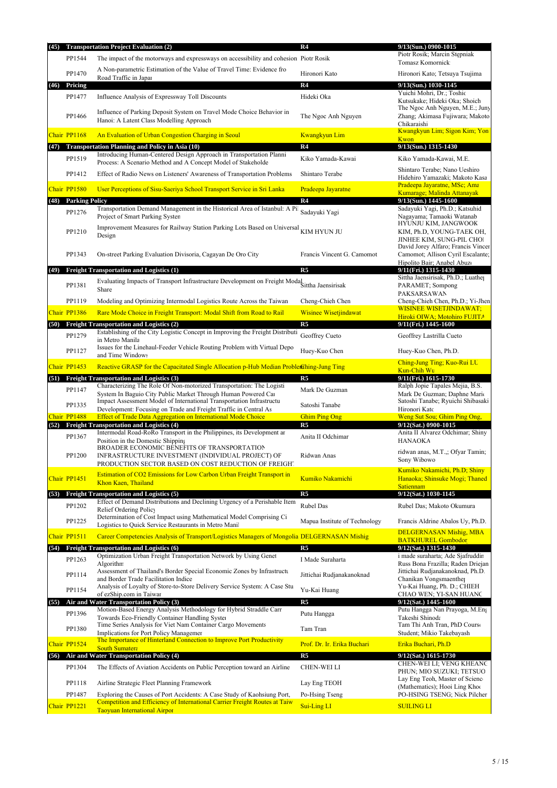| PP1544<br>The impact of the motorways and expressways on accessibility and cohesion Piotr Rosik<br>Tomasz Komornick<br>A Non-parametric Estimation of the Value of Travel Time: Evidence fro<br>PP1470<br>Hironori Kato<br>Hironori Kato; Tetsuya Tsujima<br>Road Traffic in Japar<br>R <sub>4</sub><br>Pricing<br>9/13(Sun.) 1030-1145<br>(46)<br>Yuichi Mohri, Dr.; Toshic<br>PP1477<br>Hideki Oka<br>Influence Analysis of Expressway Toll Discounts<br>Kutsukake; Hideki Oka; Shoich<br>The Ngoc Anh Nguyen, M.E.; Juny<br>Influence of Parking Deposit System on Travel Mode Choice Behavior in<br>PP1466<br>The Ngoc Anh Nguyen<br>Hanoi: A Latent Class Modelling Approach<br>Chikaraish<br>Kwangkyun Lim; Sigon Kim; Yon<br>Chair PP1168<br>An Evaluation of Urban Congestion Charging in Seoul<br><b>Kwangkyun Lim</b><br>Kwon<br>R <sub>4</sub><br>(47) Transportation Planning and Policy in Asia (10)<br>9/13(Sun.) 1315-1430<br>Introducing Human-Centered Design Approach in Transportation Planni<br>PP1519<br>Kiko Yamada-Kawai<br>Kiko Yamada-Kawai, M.E.<br>Process: A Scenario Method and A Concept Model of Stakeholde<br>Shintaro Terabe; Nano Ueshiro<br>PP1412<br>Effect of Radio News on Listeners' Awareness of Transportation Problems<br>Shintaro Terabe<br>Hidehiro Yamazaki; Makoto Kasa<br>Pradeepa Jayaratne, MSc; Ama<br>Chair PP1580<br>User Perceptions of Sisu-Saeriya School Transport Service in Sri Lanka<br>Pradeepa Jayaratne<br>Kumarage; Malinda Attanayak<br>R <sub>4</sub><br><b>Parking Policy</b><br>9/13(Sun.) 1445-1600<br>(48)<br>Transportation Demand Management in the Historical Area of Istanbul: A Pil<br>Sadayuki Yagi, Ph.D.; Katsuhid<br>Sadayuki Yagi<br>PP1276<br>Project of Smart Parking System<br>Nagayama; Tamaoki Watanab<br>HYUNJU KIM, JANGWOOK<br>Improvement Measures for Railway Station Parking Lots Based on Universal<br>KIM HYUN JU<br>PP1210<br>KIM, Ph.D, YOUNG-TAEK OH,<br>Design<br>JINHEE KIM, SUNG-PIL CHOI<br>David Jorey Alfaro; Francis Vincer<br>PP1343<br>Francis Vincent G. Camomot<br>On-street Parking Evaluation Divisoria, Cagayan De Oro City<br>Hipolito Bair; Anabel Abuzo<br>R <sub>5</sub><br><b>Freight Transportation and Logistics (1)</b><br>9/11(Fri.) 1315-1430<br>(49)<br>Sittha Jaensirisak, Ph.D.; Luather<br>Evaluating Impacts of Transport Infrastructure Development on Freight Modal Sittha Jaensirisak<br>PP1381<br>PARAMET; Sompong<br>Share<br>PAKSARSAWAN<br>PP1119<br>Modeling and Optimizing Intermodal Logistics Route Across the Taiwan<br>Cheng-Chieh Chen<br><b>WISINEE WISETJINDAWAT;</b><br>Chair PP1386<br>Rare Mode Choice in Freight Transport: Modal Shift from Road to Rail<br><b>Wisinee Wisetjindawat</b><br>Hiroki OIWA; Motohiro FUJITA<br>R <sub>5</sub><br>9/11(Fri.) 1445-1600<br><b>Freight Transportation and Logistics (2)</b><br>(50)<br>Establishing of the City Logistic Concept in Improving the Freight Distributi<br>Geoffrey Cueto<br>PP1279<br>Geoffrey Lastrilla Cueto<br>in Metro Manila<br>Issues for the Linehaul-Feeder Vehicle Routing Problem with Virtual Depo<br>PP1127<br>Huey-Kuo Chen<br>Huey-Kuo Chen, Ph.D.<br>and Time Windows<br>Ching-Jung Ting; Kuo-Rui LU<br>Chair PP1453<br>Reactive GRASP for the Capacitated Single Allocation p-Hub Median Problem Ghing-Jung Ting<br>Kun-Chih Wu<br><b>Freight Transportation and Logistics (3)</b><br>R <sub>5</sub><br>9/11(Fri.) 1615-1730<br>(51)<br>Characterizing The Role Of Non-motorized Transportation: The Logisti<br>Ralph Jopie Tapales Mejia, B.S.<br>PP1147<br>Mark De Guzman<br>System In Baguio City Public Market Through Human Powered Car<br>Mark De Guzman; Daphne Mario<br>Impact Assessment Model of International Transportation Infrastructu<br>Satoshi Tanabe; Ryuichi Shibasaki<br>PP1335<br>Satoshi Tanabe<br>Development: Focusing on Trade and Freight Traffic in Central As<br>Hironori Katc<br>Chair PP1488<br><b>Effect of Trade Data Aggregation on International Mode Choice</b><br><b>Ghim Ping Ong</b><br>Weng Sut Sou; Ghim Ping Ong.<br><b>Freight Transportation and Logistics (4)</b><br>R <sub>5</sub><br>9/12(Sat.) 0900-1015<br>(52)<br>Intermodal Road-RoRo Transport in the Philippines, its Development ar<br>Anita II Alvarez Odchimar; Shiny<br>PP1367<br>Anita II Odchimar<br>Position in the Domestic Shipping<br><b>HANAOKA</b><br>BROADER ECONOMIC BENEFITS OF TRANSPORTATION<br>ridwan anas, M.T.,; Ofyar Tamin;<br>PP1200<br>INFRASTRUCTURE INVESTMENT (INDIVIDUAL PROJECT) OF<br>Ridwan Anas<br>Sony Wibowo<br>PRODUCTION SECTOR BASED ON COST REDUCTION OF FREIGHT<br>Kumiko Nakamichi, Ph.D; Shiny<br>Estimation of CO2 Emissions for Low Carbon Urban Freight Transport in<br>Chair PP1451<br>Kumiko Nakamichi<br>Hanaoka; Shinsuke Mogi; Thaned<br>Khon Kaen, Thailand<br><b>Satiennam</b><br>9/12(Sat.) 1030-1145<br><b>Freight Transportation and Logistics (5)</b><br>R <sub>5</sub><br>(53)<br>Effect of Demand Distributions and Declining Urgency of a Perishable Item<br>Rubel Das<br>PP1202<br>Rubel Das; Makoto Okumura<br>Relief Ordering Policy<br>Determination of Cost Impact using Mathematical Model Comprising Ci<br>PP1225<br>Mapua Institute of Technology<br>Francis Aldrine Abalos Uy, Ph.D.<br>Logistics to Quick Service Restaurants in Metro Mani<br>DELGERNASAN Mishig, MBA<br>Chair PP1511<br>Career Competencies Analysis of Transport/Logistics Managers of Mongolia DELGERNASAN Mishig<br><b>BATKHUREL Gombodor</b><br>(54) Freight Transportation and Logistics (6)<br>R <sub>5</sub><br>9/12(Sat.) 1315-1430<br>Optimization Urban Freight Transportation Network by Using Genet<br>i made suraharta; Ade Sjafruddir<br>PP1263<br>I Made Suraharta<br>Algorithm<br>Assessment of Thailand's Border Special Economic Zones by Infrastructu<br>Jittichai Rudjanakanoknad, Ph.D.<br>PP1114<br>Jittichai Rudjanakanoknad<br>and Border Trade Facilitation Indice<br>Chanikan Vongsmaenther<br>Analysis of Loyalty of Store-to-Store Delivery Service System: A Case Stu<br>Yu-Kai Huang, Ph. D.; CHIEH<br>PP1154<br>Yu-Kai Huang<br>of ezShip.com in Taiwar<br>CHAO WEN; YI-SAN HUANC<br>R <sub>5</sub><br>Air and Water Transportation Policy (3)<br>$9/12$ (Sat.) 1445-1600<br>(55)<br>Motion-Based Energy Analysis Methodology for Hybrid Straddle Carr<br>Putu Hangga Nan Prayoga, M.En<br>PP1396<br>Putu Hangga<br>Towards Eco-Friendly Container Handling Syste<br>Takeshi Shinoda<br>Time Series Analysis for Viet Nam Container Cargo Movements<br>Tam Thi Anh Tran, PhD Course<br>Tam Tran<br>PP1380<br>Implications for Port Policy Managemer<br>Student; Mikio Takebayash<br>The Importance of Hinterland Connection to Improve Port Productivity<br>Chair PP1524<br>Prof. Dr. Ir. Erika Buchari<br>Erika Buchari, Ph.D<br><b>South Sumatera</b><br>(56) Air and Water Transportation Policy (4)<br>R <sub>5</sub><br>9/12(Sat.) 1615-1730<br>PP1304<br>The Effects of Aviation Accidents on Public Perception toward an Airline<br><b>CHEN-WEILI</b><br>PHUN; MIO SUZUKI; TETSUO<br>Lay Eng Teoh, Master of Scienc<br>PP1118<br>Airline Strategic Fleet Planning Framework<br>Lay Eng TEOH<br>(Mathematics); Hooi Ling Khoo<br>PP1487<br>Exploring the Causes of Port Accidents: A Case Study of Kaohsiung Port,<br>PO-HSING TSENG; Nick Pilcher<br>Po-Hsing Tseng<br>Competition and Efficiency of International Carrier Freight Routes at Taiw<br>Chair PP1221<br>Sui-Ling LI<br><b>SUILING LI</b><br><b>Taoyuan International Airpor</b> | (45) | <b>Transportation Project Evaluation (2)</b> | R4 | 9/13(Sun.) 0900-1015              |
|-------------------------------------------------------------------------------------------------------------------------------------------------------------------------------------------------------------------------------------------------------------------------------------------------------------------------------------------------------------------------------------------------------------------------------------------------------------------------------------------------------------------------------------------------------------------------------------------------------------------------------------------------------------------------------------------------------------------------------------------------------------------------------------------------------------------------------------------------------------------------------------------------------------------------------------------------------------------------------------------------------------------------------------------------------------------------------------------------------------------------------------------------------------------------------------------------------------------------------------------------------------------------------------------------------------------------------------------------------------------------------------------------------------------------------------------------------------------------------------------------------------------------------------------------------------------------------------------------------------------------------------------------------------------------------------------------------------------------------------------------------------------------------------------------------------------------------------------------------------------------------------------------------------------------------------------------------------------------------------------------------------------------------------------------------------------------------------------------------------------------------------------------------------------------------------------------------------------------------------------------------------------------------------------------------------------------------------------------------------------------------------------------------------------------------------------------------------------------------------------------------------------------------------------------------------------------------------------------------------------------------------------------------------------------------------------------------------------------------------------------------------------------------------------------------------------------------------------------------------------------------------------------------------------------------------------------------------------------------------------------------------------------------------------------------------------------------------------------------------------------------------------------------------------------------------------------------------------------------------------------------------------------------------------------------------------------------------------------------------------------------------------------------------------------------------------------------------------------------------------------------------------------------------------------------------------------------------------------------------------------------------------------------------------------------------------------------------------------------------------------------------------------------------------------------------------------------------------------------------------------------------------------------------------------------------------------------------------------------------------------------------------------------------------------------------------------------------------------------------------------------------------------------------------------------------------------------------------------------------------------------------------------------------------------------------------------------------------------------------------------------------------------------------------------------------------------------------------------------------------------------------------------------------------------------------------------------------------------------------------------------------------------------------------------------------------------------------------------------------------------------------------------------------------------------------------------------------------------------------------------------------------------------------------------------------------------------------------------------------------------------------------------------------------------------------------------------------------------------------------------------------------------------------------------------------------------------------------------------------------------------------------------------------------------------------------------------------------------------------------------------------------------------------------------------------------------------------------------------------------------------------------------------------------------------------------------------------------------------------------------------------------------------------------------------------------------------------------------------------------------------------------------------------------------------------------------------------------------------------------------------------------------------------------------------------------------------------------------------------------------------------------------------------------------------------------------------------------------------------------------------------------------------------------------------------------------------------------------------------------------------------------------------------------------------------------------------------------------------------------------------------------------------------------------------------------------------------------------------------------------------------------------------------------------------------------------------------------------------------------------------------------------------------------------------------------------------------------------------------------------------------------------------------------------------------------------------------------------------------------------------------------------------------------------------------------------------------------------------------------------------------------------------------------------------------------------------------------------------------------------------------------------------------------------------------------------------------------------------------------------------------------------------------------------------------------------------------------------------------------------------------------------------------------------------------------------------------------------------------------------------------------------------------------------------|------|----------------------------------------------|----|-----------------------------------|
|                                                                                                                                                                                                                                                                                                                                                                                                                                                                                                                                                                                                                                                                                                                                                                                                                                                                                                                                                                                                                                                                                                                                                                                                                                                                                                                                                                                                                                                                                                                                                                                                                                                                                                                                                                                                                                                                                                                                                                                                                                                                                                                                                                                                                                                                                                                                                                                                                                                                                                                                                                                                                                                                                                                                                                                                                                                                                                                                                                                                                                                                                                                                                                                                                                                                                                                                                                                                                                                                                                                                                                                                                                                                                                                                                                                                                                                                                                                                                                                                                                                                                                                                                                                                                                                                                                                                                                                                                                                                                                                                                                                                                                                                                                                                                                                                                                                                                                                                                                                                                                                                                                                                                                                                                                                                                                                                                                                                                                                                                                                                                                                                                                                                                                                                                                                                                                                                                                                                                                                                                                                                                                                                                                                                                                                                                                                                                                                                                                                                                                                                                                                                                                                                                                                                                                                                                                                                                                                                                                                                                                                                                                                                                                                                                                                                                                                                                                                                                                                                                                                                                       |      |                                              |    | Piotr Rosik; Marcin Stepniak      |
|                                                                                                                                                                                                                                                                                                                                                                                                                                                                                                                                                                                                                                                                                                                                                                                                                                                                                                                                                                                                                                                                                                                                                                                                                                                                                                                                                                                                                                                                                                                                                                                                                                                                                                                                                                                                                                                                                                                                                                                                                                                                                                                                                                                                                                                                                                                                                                                                                                                                                                                                                                                                                                                                                                                                                                                                                                                                                                                                                                                                                                                                                                                                                                                                                                                                                                                                                                                                                                                                                                                                                                                                                                                                                                                                                                                                                                                                                                                                                                                                                                                                                                                                                                                                                                                                                                                                                                                                                                                                                                                                                                                                                                                                                                                                                                                                                                                                                                                                                                                                                                                                                                                                                                                                                                                                                                                                                                                                                                                                                                                                                                                                                                                                                                                                                                                                                                                                                                                                                                                                                                                                                                                                                                                                                                                                                                                                                                                                                                                                                                                                                                                                                                                                                                                                                                                                                                                                                                                                                                                                                                                                                                                                                                                                                                                                                                                                                                                                                                                                                                                                                       |      |                                              |    |                                   |
|                                                                                                                                                                                                                                                                                                                                                                                                                                                                                                                                                                                                                                                                                                                                                                                                                                                                                                                                                                                                                                                                                                                                                                                                                                                                                                                                                                                                                                                                                                                                                                                                                                                                                                                                                                                                                                                                                                                                                                                                                                                                                                                                                                                                                                                                                                                                                                                                                                                                                                                                                                                                                                                                                                                                                                                                                                                                                                                                                                                                                                                                                                                                                                                                                                                                                                                                                                                                                                                                                                                                                                                                                                                                                                                                                                                                                                                                                                                                                                                                                                                                                                                                                                                                                                                                                                                                                                                                                                                                                                                                                                                                                                                                                                                                                                                                                                                                                                                                                                                                                                                                                                                                                                                                                                                                                                                                                                                                                                                                                                                                                                                                                                                                                                                                                                                                                                                                                                                                                                                                                                                                                                                                                                                                                                                                                                                                                                                                                                                                                                                                                                                                                                                                                                                                                                                                                                                                                                                                                                                                                                                                                                                                                                                                                                                                                                                                                                                                                                                                                                                                                       |      |                                              |    |                                   |
|                                                                                                                                                                                                                                                                                                                                                                                                                                                                                                                                                                                                                                                                                                                                                                                                                                                                                                                                                                                                                                                                                                                                                                                                                                                                                                                                                                                                                                                                                                                                                                                                                                                                                                                                                                                                                                                                                                                                                                                                                                                                                                                                                                                                                                                                                                                                                                                                                                                                                                                                                                                                                                                                                                                                                                                                                                                                                                                                                                                                                                                                                                                                                                                                                                                                                                                                                                                                                                                                                                                                                                                                                                                                                                                                                                                                                                                                                                                                                                                                                                                                                                                                                                                                                                                                                                                                                                                                                                                                                                                                                                                                                                                                                                                                                                                                                                                                                                                                                                                                                                                                                                                                                                                                                                                                                                                                                                                                                                                                                                                                                                                                                                                                                                                                                                                                                                                                                                                                                                                                                                                                                                                                                                                                                                                                                                                                                                                                                                                                                                                                                                                                                                                                                                                                                                                                                                                                                                                                                                                                                                                                                                                                                                                                                                                                                                                                                                                                                                                                                                                                                       |      |                                              |    |                                   |
|                                                                                                                                                                                                                                                                                                                                                                                                                                                                                                                                                                                                                                                                                                                                                                                                                                                                                                                                                                                                                                                                                                                                                                                                                                                                                                                                                                                                                                                                                                                                                                                                                                                                                                                                                                                                                                                                                                                                                                                                                                                                                                                                                                                                                                                                                                                                                                                                                                                                                                                                                                                                                                                                                                                                                                                                                                                                                                                                                                                                                                                                                                                                                                                                                                                                                                                                                                                                                                                                                                                                                                                                                                                                                                                                                                                                                                                                                                                                                                                                                                                                                                                                                                                                                                                                                                                                                                                                                                                                                                                                                                                                                                                                                                                                                                                                                                                                                                                                                                                                                                                                                                                                                                                                                                                                                                                                                                                                                                                                                                                                                                                                                                                                                                                                                                                                                                                                                                                                                                                                                                                                                                                                                                                                                                                                                                                                                                                                                                                                                                                                                                                                                                                                                                                                                                                                                                                                                                                                                                                                                                                                                                                                                                                                                                                                                                                                                                                                                                                                                                                                                       |      |                                              |    | Zhang; Akimasa Fujiwara; Makoto   |
|                                                                                                                                                                                                                                                                                                                                                                                                                                                                                                                                                                                                                                                                                                                                                                                                                                                                                                                                                                                                                                                                                                                                                                                                                                                                                                                                                                                                                                                                                                                                                                                                                                                                                                                                                                                                                                                                                                                                                                                                                                                                                                                                                                                                                                                                                                                                                                                                                                                                                                                                                                                                                                                                                                                                                                                                                                                                                                                                                                                                                                                                                                                                                                                                                                                                                                                                                                                                                                                                                                                                                                                                                                                                                                                                                                                                                                                                                                                                                                                                                                                                                                                                                                                                                                                                                                                                                                                                                                                                                                                                                                                                                                                                                                                                                                                                                                                                                                                                                                                                                                                                                                                                                                                                                                                                                                                                                                                                                                                                                                                                                                                                                                                                                                                                                                                                                                                                                                                                                                                                                                                                                                                                                                                                                                                                                                                                                                                                                                                                                                                                                                                                                                                                                                                                                                                                                                                                                                                                                                                                                                                                                                                                                                                                                                                                                                                                                                                                                                                                                                                                                       |      |                                              |    |                                   |
|                                                                                                                                                                                                                                                                                                                                                                                                                                                                                                                                                                                                                                                                                                                                                                                                                                                                                                                                                                                                                                                                                                                                                                                                                                                                                                                                                                                                                                                                                                                                                                                                                                                                                                                                                                                                                                                                                                                                                                                                                                                                                                                                                                                                                                                                                                                                                                                                                                                                                                                                                                                                                                                                                                                                                                                                                                                                                                                                                                                                                                                                                                                                                                                                                                                                                                                                                                                                                                                                                                                                                                                                                                                                                                                                                                                                                                                                                                                                                                                                                                                                                                                                                                                                                                                                                                                                                                                                                                                                                                                                                                                                                                                                                                                                                                                                                                                                                                                                                                                                                                                                                                                                                                                                                                                                                                                                                                                                                                                                                                                                                                                                                                                                                                                                                                                                                                                                                                                                                                                                                                                                                                                                                                                                                                                                                                                                                                                                                                                                                                                                                                                                                                                                                                                                                                                                                                                                                                                                                                                                                                                                                                                                                                                                                                                                                                                                                                                                                                                                                                                                                       |      |                                              |    |                                   |
|                                                                                                                                                                                                                                                                                                                                                                                                                                                                                                                                                                                                                                                                                                                                                                                                                                                                                                                                                                                                                                                                                                                                                                                                                                                                                                                                                                                                                                                                                                                                                                                                                                                                                                                                                                                                                                                                                                                                                                                                                                                                                                                                                                                                                                                                                                                                                                                                                                                                                                                                                                                                                                                                                                                                                                                                                                                                                                                                                                                                                                                                                                                                                                                                                                                                                                                                                                                                                                                                                                                                                                                                                                                                                                                                                                                                                                                                                                                                                                                                                                                                                                                                                                                                                                                                                                                                                                                                                                                                                                                                                                                                                                                                                                                                                                                                                                                                                                                                                                                                                                                                                                                                                                                                                                                                                                                                                                                                                                                                                                                                                                                                                                                                                                                                                                                                                                                                                                                                                                                                                                                                                                                                                                                                                                                                                                                                                                                                                                                                                                                                                                                                                                                                                                                                                                                                                                                                                                                                                                                                                                                                                                                                                                                                                                                                                                                                                                                                                                                                                                                                                       |      |                                              |    |                                   |
|                                                                                                                                                                                                                                                                                                                                                                                                                                                                                                                                                                                                                                                                                                                                                                                                                                                                                                                                                                                                                                                                                                                                                                                                                                                                                                                                                                                                                                                                                                                                                                                                                                                                                                                                                                                                                                                                                                                                                                                                                                                                                                                                                                                                                                                                                                                                                                                                                                                                                                                                                                                                                                                                                                                                                                                                                                                                                                                                                                                                                                                                                                                                                                                                                                                                                                                                                                                                                                                                                                                                                                                                                                                                                                                                                                                                                                                                                                                                                                                                                                                                                                                                                                                                                                                                                                                                                                                                                                                                                                                                                                                                                                                                                                                                                                                                                                                                                                                                                                                                                                                                                                                                                                                                                                                                                                                                                                                                                                                                                                                                                                                                                                                                                                                                                                                                                                                                                                                                                                                                                                                                                                                                                                                                                                                                                                                                                                                                                                                                                                                                                                                                                                                                                                                                                                                                                                                                                                                                                                                                                                                                                                                                                                                                                                                                                                                                                                                                                                                                                                                                                       |      |                                              |    |                                   |
|                                                                                                                                                                                                                                                                                                                                                                                                                                                                                                                                                                                                                                                                                                                                                                                                                                                                                                                                                                                                                                                                                                                                                                                                                                                                                                                                                                                                                                                                                                                                                                                                                                                                                                                                                                                                                                                                                                                                                                                                                                                                                                                                                                                                                                                                                                                                                                                                                                                                                                                                                                                                                                                                                                                                                                                                                                                                                                                                                                                                                                                                                                                                                                                                                                                                                                                                                                                                                                                                                                                                                                                                                                                                                                                                                                                                                                                                                                                                                                                                                                                                                                                                                                                                                                                                                                                                                                                                                                                                                                                                                                                                                                                                                                                                                                                                                                                                                                                                                                                                                                                                                                                                                                                                                                                                                                                                                                                                                                                                                                                                                                                                                                                                                                                                                                                                                                                                                                                                                                                                                                                                                                                                                                                                                                                                                                                                                                                                                                                                                                                                                                                                                                                                                                                                                                                                                                                                                                                                                                                                                                                                                                                                                                                                                                                                                                                                                                                                                                                                                                                                                       |      |                                              |    |                                   |
|                                                                                                                                                                                                                                                                                                                                                                                                                                                                                                                                                                                                                                                                                                                                                                                                                                                                                                                                                                                                                                                                                                                                                                                                                                                                                                                                                                                                                                                                                                                                                                                                                                                                                                                                                                                                                                                                                                                                                                                                                                                                                                                                                                                                                                                                                                                                                                                                                                                                                                                                                                                                                                                                                                                                                                                                                                                                                                                                                                                                                                                                                                                                                                                                                                                                                                                                                                                                                                                                                                                                                                                                                                                                                                                                                                                                                                                                                                                                                                                                                                                                                                                                                                                                                                                                                                                                                                                                                                                                                                                                                                                                                                                                                                                                                                                                                                                                                                                                                                                                                                                                                                                                                                                                                                                                                                                                                                                                                                                                                                                                                                                                                                                                                                                                                                                                                                                                                                                                                                                                                                                                                                                                                                                                                                                                                                                                                                                                                                                                                                                                                                                                                                                                                                                                                                                                                                                                                                                                                                                                                                                                                                                                                                                                                                                                                                                                                                                                                                                                                                                                                       |      |                                              |    |                                   |
|                                                                                                                                                                                                                                                                                                                                                                                                                                                                                                                                                                                                                                                                                                                                                                                                                                                                                                                                                                                                                                                                                                                                                                                                                                                                                                                                                                                                                                                                                                                                                                                                                                                                                                                                                                                                                                                                                                                                                                                                                                                                                                                                                                                                                                                                                                                                                                                                                                                                                                                                                                                                                                                                                                                                                                                                                                                                                                                                                                                                                                                                                                                                                                                                                                                                                                                                                                                                                                                                                                                                                                                                                                                                                                                                                                                                                                                                                                                                                                                                                                                                                                                                                                                                                                                                                                                                                                                                                                                                                                                                                                                                                                                                                                                                                                                                                                                                                                                                                                                                                                                                                                                                                                                                                                                                                                                                                                                                                                                                                                                                                                                                                                                                                                                                                                                                                                                                                                                                                                                                                                                                                                                                                                                                                                                                                                                                                                                                                                                                                                                                                                                                                                                                                                                                                                                                                                                                                                                                                                                                                                                                                                                                                                                                                                                                                                                                                                                                                                                                                                                                                       |      |                                              |    |                                   |
|                                                                                                                                                                                                                                                                                                                                                                                                                                                                                                                                                                                                                                                                                                                                                                                                                                                                                                                                                                                                                                                                                                                                                                                                                                                                                                                                                                                                                                                                                                                                                                                                                                                                                                                                                                                                                                                                                                                                                                                                                                                                                                                                                                                                                                                                                                                                                                                                                                                                                                                                                                                                                                                                                                                                                                                                                                                                                                                                                                                                                                                                                                                                                                                                                                                                                                                                                                                                                                                                                                                                                                                                                                                                                                                                                                                                                                                                                                                                                                                                                                                                                                                                                                                                                                                                                                                                                                                                                                                                                                                                                                                                                                                                                                                                                                                                                                                                                                                                                                                                                                                                                                                                                                                                                                                                                                                                                                                                                                                                                                                                                                                                                                                                                                                                                                                                                                                                                                                                                                                                                                                                                                                                                                                                                                                                                                                                                                                                                                                                                                                                                                                                                                                                                                                                                                                                                                                                                                                                                                                                                                                                                                                                                                                                                                                                                                                                                                                                                                                                                                                                                       |      |                                              |    |                                   |
|                                                                                                                                                                                                                                                                                                                                                                                                                                                                                                                                                                                                                                                                                                                                                                                                                                                                                                                                                                                                                                                                                                                                                                                                                                                                                                                                                                                                                                                                                                                                                                                                                                                                                                                                                                                                                                                                                                                                                                                                                                                                                                                                                                                                                                                                                                                                                                                                                                                                                                                                                                                                                                                                                                                                                                                                                                                                                                                                                                                                                                                                                                                                                                                                                                                                                                                                                                                                                                                                                                                                                                                                                                                                                                                                                                                                                                                                                                                                                                                                                                                                                                                                                                                                                                                                                                                                                                                                                                                                                                                                                                                                                                                                                                                                                                                                                                                                                                                                                                                                                                                                                                                                                                                                                                                                                                                                                                                                                                                                                                                                                                                                                                                                                                                                                                                                                                                                                                                                                                                                                                                                                                                                                                                                                                                                                                                                                                                                                                                                                                                                                                                                                                                                                                                                                                                                                                                                                                                                                                                                                                                                                                                                                                                                                                                                                                                                                                                                                                                                                                                                                       |      |                                              |    | Camomot; Allison Cyril Escalante; |
|                                                                                                                                                                                                                                                                                                                                                                                                                                                                                                                                                                                                                                                                                                                                                                                                                                                                                                                                                                                                                                                                                                                                                                                                                                                                                                                                                                                                                                                                                                                                                                                                                                                                                                                                                                                                                                                                                                                                                                                                                                                                                                                                                                                                                                                                                                                                                                                                                                                                                                                                                                                                                                                                                                                                                                                                                                                                                                                                                                                                                                                                                                                                                                                                                                                                                                                                                                                                                                                                                                                                                                                                                                                                                                                                                                                                                                                                                                                                                                                                                                                                                                                                                                                                                                                                                                                                                                                                                                                                                                                                                                                                                                                                                                                                                                                                                                                                                                                                                                                                                                                                                                                                                                                                                                                                                                                                                                                                                                                                                                                                                                                                                                                                                                                                                                                                                                                                                                                                                                                                                                                                                                                                                                                                                                                                                                                                                                                                                                                                                                                                                                                                                                                                                                                                                                                                                                                                                                                                                                                                                                                                                                                                                                                                                                                                                                                                                                                                                                                                                                                                                       |      |                                              |    |                                   |
|                                                                                                                                                                                                                                                                                                                                                                                                                                                                                                                                                                                                                                                                                                                                                                                                                                                                                                                                                                                                                                                                                                                                                                                                                                                                                                                                                                                                                                                                                                                                                                                                                                                                                                                                                                                                                                                                                                                                                                                                                                                                                                                                                                                                                                                                                                                                                                                                                                                                                                                                                                                                                                                                                                                                                                                                                                                                                                                                                                                                                                                                                                                                                                                                                                                                                                                                                                                                                                                                                                                                                                                                                                                                                                                                                                                                                                                                                                                                                                                                                                                                                                                                                                                                                                                                                                                                                                                                                                                                                                                                                                                                                                                                                                                                                                                                                                                                                                                                                                                                                                                                                                                                                                                                                                                                                                                                                                                                                                                                                                                                                                                                                                                                                                                                                                                                                                                                                                                                                                                                                                                                                                                                                                                                                                                                                                                                                                                                                                                                                                                                                                                                                                                                                                                                                                                                                                                                                                                                                                                                                                                                                                                                                                                                                                                                                                                                                                                                                                                                                                                                                       |      |                                              |    |                                   |
|                                                                                                                                                                                                                                                                                                                                                                                                                                                                                                                                                                                                                                                                                                                                                                                                                                                                                                                                                                                                                                                                                                                                                                                                                                                                                                                                                                                                                                                                                                                                                                                                                                                                                                                                                                                                                                                                                                                                                                                                                                                                                                                                                                                                                                                                                                                                                                                                                                                                                                                                                                                                                                                                                                                                                                                                                                                                                                                                                                                                                                                                                                                                                                                                                                                                                                                                                                                                                                                                                                                                                                                                                                                                                                                                                                                                                                                                                                                                                                                                                                                                                                                                                                                                                                                                                                                                                                                                                                                                                                                                                                                                                                                                                                                                                                                                                                                                                                                                                                                                                                                                                                                                                                                                                                                                                                                                                                                                                                                                                                                                                                                                                                                                                                                                                                                                                                                                                                                                                                                                                                                                                                                                                                                                                                                                                                                                                                                                                                                                                                                                                                                                                                                                                                                                                                                                                                                                                                                                                                                                                                                                                                                                                                                                                                                                                                                                                                                                                                                                                                                                                       |      |                                              |    | Cheng-Chieh Chen, Ph.D.; Yi-Jhen  |
|                                                                                                                                                                                                                                                                                                                                                                                                                                                                                                                                                                                                                                                                                                                                                                                                                                                                                                                                                                                                                                                                                                                                                                                                                                                                                                                                                                                                                                                                                                                                                                                                                                                                                                                                                                                                                                                                                                                                                                                                                                                                                                                                                                                                                                                                                                                                                                                                                                                                                                                                                                                                                                                                                                                                                                                                                                                                                                                                                                                                                                                                                                                                                                                                                                                                                                                                                                                                                                                                                                                                                                                                                                                                                                                                                                                                                                                                                                                                                                                                                                                                                                                                                                                                                                                                                                                                                                                                                                                                                                                                                                                                                                                                                                                                                                                                                                                                                                                                                                                                                                                                                                                                                                                                                                                                                                                                                                                                                                                                                                                                                                                                                                                                                                                                                                                                                                                                                                                                                                                                                                                                                                                                                                                                                                                                                                                                                                                                                                                                                                                                                                                                                                                                                                                                                                                                                                                                                                                                                                                                                                                                                                                                                                                                                                                                                                                                                                                                                                                                                                                                                       |      |                                              |    |                                   |
|                                                                                                                                                                                                                                                                                                                                                                                                                                                                                                                                                                                                                                                                                                                                                                                                                                                                                                                                                                                                                                                                                                                                                                                                                                                                                                                                                                                                                                                                                                                                                                                                                                                                                                                                                                                                                                                                                                                                                                                                                                                                                                                                                                                                                                                                                                                                                                                                                                                                                                                                                                                                                                                                                                                                                                                                                                                                                                                                                                                                                                                                                                                                                                                                                                                                                                                                                                                                                                                                                                                                                                                                                                                                                                                                                                                                                                                                                                                                                                                                                                                                                                                                                                                                                                                                                                                                                                                                                                                                                                                                                                                                                                                                                                                                                                                                                                                                                                                                                                                                                                                                                                                                                                                                                                                                                                                                                                                                                                                                                                                                                                                                                                                                                                                                                                                                                                                                                                                                                                                                                                                                                                                                                                                                                                                                                                                                                                                                                                                                                                                                                                                                                                                                                                                                                                                                                                                                                                                                                                                                                                                                                                                                                                                                                                                                                                                                                                                                                                                                                                                                                       |      |                                              |    |                                   |
|                                                                                                                                                                                                                                                                                                                                                                                                                                                                                                                                                                                                                                                                                                                                                                                                                                                                                                                                                                                                                                                                                                                                                                                                                                                                                                                                                                                                                                                                                                                                                                                                                                                                                                                                                                                                                                                                                                                                                                                                                                                                                                                                                                                                                                                                                                                                                                                                                                                                                                                                                                                                                                                                                                                                                                                                                                                                                                                                                                                                                                                                                                                                                                                                                                                                                                                                                                                                                                                                                                                                                                                                                                                                                                                                                                                                                                                                                                                                                                                                                                                                                                                                                                                                                                                                                                                                                                                                                                                                                                                                                                                                                                                                                                                                                                                                                                                                                                                                                                                                                                                                                                                                                                                                                                                                                                                                                                                                                                                                                                                                                                                                                                                                                                                                                                                                                                                                                                                                                                                                                                                                                                                                                                                                                                                                                                                                                                                                                                                                                                                                                                                                                                                                                                                                                                                                                                                                                                                                                                                                                                                                                                                                                                                                                                                                                                                                                                                                                                                                                                                                                       |      |                                              |    |                                   |
|                                                                                                                                                                                                                                                                                                                                                                                                                                                                                                                                                                                                                                                                                                                                                                                                                                                                                                                                                                                                                                                                                                                                                                                                                                                                                                                                                                                                                                                                                                                                                                                                                                                                                                                                                                                                                                                                                                                                                                                                                                                                                                                                                                                                                                                                                                                                                                                                                                                                                                                                                                                                                                                                                                                                                                                                                                                                                                                                                                                                                                                                                                                                                                                                                                                                                                                                                                                                                                                                                                                                                                                                                                                                                                                                                                                                                                                                                                                                                                                                                                                                                                                                                                                                                                                                                                                                                                                                                                                                                                                                                                                                                                                                                                                                                                                                                                                                                                                                                                                                                                                                                                                                                                                                                                                                                                                                                                                                                                                                                                                                                                                                                                                                                                                                                                                                                                                                                                                                                                                                                                                                                                                                                                                                                                                                                                                                                                                                                                                                                                                                                                                                                                                                                                                                                                                                                                                                                                                                                                                                                                                                                                                                                                                                                                                                                                                                                                                                                                                                                                                                                       |      |                                              |    |                                   |
|                                                                                                                                                                                                                                                                                                                                                                                                                                                                                                                                                                                                                                                                                                                                                                                                                                                                                                                                                                                                                                                                                                                                                                                                                                                                                                                                                                                                                                                                                                                                                                                                                                                                                                                                                                                                                                                                                                                                                                                                                                                                                                                                                                                                                                                                                                                                                                                                                                                                                                                                                                                                                                                                                                                                                                                                                                                                                                                                                                                                                                                                                                                                                                                                                                                                                                                                                                                                                                                                                                                                                                                                                                                                                                                                                                                                                                                                                                                                                                                                                                                                                                                                                                                                                                                                                                                                                                                                                                                                                                                                                                                                                                                                                                                                                                                                                                                                                                                                                                                                                                                                                                                                                                                                                                                                                                                                                                                                                                                                                                                                                                                                                                                                                                                                                                                                                                                                                                                                                                                                                                                                                                                                                                                                                                                                                                                                                                                                                                                                                                                                                                                                                                                                                                                                                                                                                                                                                                                                                                                                                                                                                                                                                                                                                                                                                                                                                                                                                                                                                                                                                       |      |                                              |    |                                   |
|                                                                                                                                                                                                                                                                                                                                                                                                                                                                                                                                                                                                                                                                                                                                                                                                                                                                                                                                                                                                                                                                                                                                                                                                                                                                                                                                                                                                                                                                                                                                                                                                                                                                                                                                                                                                                                                                                                                                                                                                                                                                                                                                                                                                                                                                                                                                                                                                                                                                                                                                                                                                                                                                                                                                                                                                                                                                                                                                                                                                                                                                                                                                                                                                                                                                                                                                                                                                                                                                                                                                                                                                                                                                                                                                                                                                                                                                                                                                                                                                                                                                                                                                                                                                                                                                                                                                                                                                                                                                                                                                                                                                                                                                                                                                                                                                                                                                                                                                                                                                                                                                                                                                                                                                                                                                                                                                                                                                                                                                                                                                                                                                                                                                                                                                                                                                                                                                                                                                                                                                                                                                                                                                                                                                                                                                                                                                                                                                                                                                                                                                                                                                                                                                                                                                                                                                                                                                                                                                                                                                                                                                                                                                                                                                                                                                                                                                                                                                                                                                                                                                                       |      |                                              |    |                                   |
|                                                                                                                                                                                                                                                                                                                                                                                                                                                                                                                                                                                                                                                                                                                                                                                                                                                                                                                                                                                                                                                                                                                                                                                                                                                                                                                                                                                                                                                                                                                                                                                                                                                                                                                                                                                                                                                                                                                                                                                                                                                                                                                                                                                                                                                                                                                                                                                                                                                                                                                                                                                                                                                                                                                                                                                                                                                                                                                                                                                                                                                                                                                                                                                                                                                                                                                                                                                                                                                                                                                                                                                                                                                                                                                                                                                                                                                                                                                                                                                                                                                                                                                                                                                                                                                                                                                                                                                                                                                                                                                                                                                                                                                                                                                                                                                                                                                                                                                                                                                                                                                                                                                                                                                                                                                                                                                                                                                                                                                                                                                                                                                                                                                                                                                                                                                                                                                                                                                                                                                                                                                                                                                                                                                                                                                                                                                                                                                                                                                                                                                                                                                                                                                                                                                                                                                                                                                                                                                                                                                                                                                                                                                                                                                                                                                                                                                                                                                                                                                                                                                                                       |      |                                              |    |                                   |
|                                                                                                                                                                                                                                                                                                                                                                                                                                                                                                                                                                                                                                                                                                                                                                                                                                                                                                                                                                                                                                                                                                                                                                                                                                                                                                                                                                                                                                                                                                                                                                                                                                                                                                                                                                                                                                                                                                                                                                                                                                                                                                                                                                                                                                                                                                                                                                                                                                                                                                                                                                                                                                                                                                                                                                                                                                                                                                                                                                                                                                                                                                                                                                                                                                                                                                                                                                                                                                                                                                                                                                                                                                                                                                                                                                                                                                                                                                                                                                                                                                                                                                                                                                                                                                                                                                                                                                                                                                                                                                                                                                                                                                                                                                                                                                                                                                                                                                                                                                                                                                                                                                                                                                                                                                                                                                                                                                                                                                                                                                                                                                                                                                                                                                                                                                                                                                                                                                                                                                                                                                                                                                                                                                                                                                                                                                                                                                                                                                                                                                                                                                                                                                                                                                                                                                                                                                                                                                                                                                                                                                                                                                                                                                                                                                                                                                                                                                                                                                                                                                                                                       |      |                                              |    |                                   |
|                                                                                                                                                                                                                                                                                                                                                                                                                                                                                                                                                                                                                                                                                                                                                                                                                                                                                                                                                                                                                                                                                                                                                                                                                                                                                                                                                                                                                                                                                                                                                                                                                                                                                                                                                                                                                                                                                                                                                                                                                                                                                                                                                                                                                                                                                                                                                                                                                                                                                                                                                                                                                                                                                                                                                                                                                                                                                                                                                                                                                                                                                                                                                                                                                                                                                                                                                                                                                                                                                                                                                                                                                                                                                                                                                                                                                                                                                                                                                                                                                                                                                                                                                                                                                                                                                                                                                                                                                                                                                                                                                                                                                                                                                                                                                                                                                                                                                                                                                                                                                                                                                                                                                                                                                                                                                                                                                                                                                                                                                                                                                                                                                                                                                                                                                                                                                                                                                                                                                                                                                                                                                                                                                                                                                                                                                                                                                                                                                                                                                                                                                                                                                                                                                                                                                                                                                                                                                                                                                                                                                                                                                                                                                                                                                                                                                                                                                                                                                                                                                                                                                       |      |                                              |    |                                   |
|                                                                                                                                                                                                                                                                                                                                                                                                                                                                                                                                                                                                                                                                                                                                                                                                                                                                                                                                                                                                                                                                                                                                                                                                                                                                                                                                                                                                                                                                                                                                                                                                                                                                                                                                                                                                                                                                                                                                                                                                                                                                                                                                                                                                                                                                                                                                                                                                                                                                                                                                                                                                                                                                                                                                                                                                                                                                                                                                                                                                                                                                                                                                                                                                                                                                                                                                                                                                                                                                                                                                                                                                                                                                                                                                                                                                                                                                                                                                                                                                                                                                                                                                                                                                                                                                                                                                                                                                                                                                                                                                                                                                                                                                                                                                                                                                                                                                                                                                                                                                                                                                                                                                                                                                                                                                                                                                                                                                                                                                                                                                                                                                                                                                                                                                                                                                                                                                                                                                                                                                                                                                                                                                                                                                                                                                                                                                                                                                                                                                                                                                                                                                                                                                                                                                                                                                                                                                                                                                                                                                                                                                                                                                                                                                                                                                                                                                                                                                                                                                                                                                                       |      |                                              |    |                                   |
|                                                                                                                                                                                                                                                                                                                                                                                                                                                                                                                                                                                                                                                                                                                                                                                                                                                                                                                                                                                                                                                                                                                                                                                                                                                                                                                                                                                                                                                                                                                                                                                                                                                                                                                                                                                                                                                                                                                                                                                                                                                                                                                                                                                                                                                                                                                                                                                                                                                                                                                                                                                                                                                                                                                                                                                                                                                                                                                                                                                                                                                                                                                                                                                                                                                                                                                                                                                                                                                                                                                                                                                                                                                                                                                                                                                                                                                                                                                                                                                                                                                                                                                                                                                                                                                                                                                                                                                                                                                                                                                                                                                                                                                                                                                                                                                                                                                                                                                                                                                                                                                                                                                                                                                                                                                                                                                                                                                                                                                                                                                                                                                                                                                                                                                                                                                                                                                                                                                                                                                                                                                                                                                                                                                                                                                                                                                                                                                                                                                                                                                                                                                                                                                                                                                                                                                                                                                                                                                                                                                                                                                                                                                                                                                                                                                                                                                                                                                                                                                                                                                                                       |      |                                              |    |                                   |
|                                                                                                                                                                                                                                                                                                                                                                                                                                                                                                                                                                                                                                                                                                                                                                                                                                                                                                                                                                                                                                                                                                                                                                                                                                                                                                                                                                                                                                                                                                                                                                                                                                                                                                                                                                                                                                                                                                                                                                                                                                                                                                                                                                                                                                                                                                                                                                                                                                                                                                                                                                                                                                                                                                                                                                                                                                                                                                                                                                                                                                                                                                                                                                                                                                                                                                                                                                                                                                                                                                                                                                                                                                                                                                                                                                                                                                                                                                                                                                                                                                                                                                                                                                                                                                                                                                                                                                                                                                                                                                                                                                                                                                                                                                                                                                                                                                                                                                                                                                                                                                                                                                                                                                                                                                                                                                                                                                                                                                                                                                                                                                                                                                                                                                                                                                                                                                                                                                                                                                                                                                                                                                                                                                                                                                                                                                                                                                                                                                                                                                                                                                                                                                                                                                                                                                                                                                                                                                                                                                                                                                                                                                                                                                                                                                                                                                                                                                                                                                                                                                                                                       |      |                                              |    |                                   |
|                                                                                                                                                                                                                                                                                                                                                                                                                                                                                                                                                                                                                                                                                                                                                                                                                                                                                                                                                                                                                                                                                                                                                                                                                                                                                                                                                                                                                                                                                                                                                                                                                                                                                                                                                                                                                                                                                                                                                                                                                                                                                                                                                                                                                                                                                                                                                                                                                                                                                                                                                                                                                                                                                                                                                                                                                                                                                                                                                                                                                                                                                                                                                                                                                                                                                                                                                                                                                                                                                                                                                                                                                                                                                                                                                                                                                                                                                                                                                                                                                                                                                                                                                                                                                                                                                                                                                                                                                                                                                                                                                                                                                                                                                                                                                                                                                                                                                                                                                                                                                                                                                                                                                                                                                                                                                                                                                                                                                                                                                                                                                                                                                                                                                                                                                                                                                                                                                                                                                                                                                                                                                                                                                                                                                                                                                                                                                                                                                                                                                                                                                                                                                                                                                                                                                                                                                                                                                                                                                                                                                                                                                                                                                                                                                                                                                                                                                                                                                                                                                                                                                       |      |                                              |    |                                   |
|                                                                                                                                                                                                                                                                                                                                                                                                                                                                                                                                                                                                                                                                                                                                                                                                                                                                                                                                                                                                                                                                                                                                                                                                                                                                                                                                                                                                                                                                                                                                                                                                                                                                                                                                                                                                                                                                                                                                                                                                                                                                                                                                                                                                                                                                                                                                                                                                                                                                                                                                                                                                                                                                                                                                                                                                                                                                                                                                                                                                                                                                                                                                                                                                                                                                                                                                                                                                                                                                                                                                                                                                                                                                                                                                                                                                                                                                                                                                                                                                                                                                                                                                                                                                                                                                                                                                                                                                                                                                                                                                                                                                                                                                                                                                                                                                                                                                                                                                                                                                                                                                                                                                                                                                                                                                                                                                                                                                                                                                                                                                                                                                                                                                                                                                                                                                                                                                                                                                                                                                                                                                                                                                                                                                                                                                                                                                                                                                                                                                                                                                                                                                                                                                                                                                                                                                                                                                                                                                                                                                                                                                                                                                                                                                                                                                                                                                                                                                                                                                                                                                                       |      |                                              |    |                                   |
|                                                                                                                                                                                                                                                                                                                                                                                                                                                                                                                                                                                                                                                                                                                                                                                                                                                                                                                                                                                                                                                                                                                                                                                                                                                                                                                                                                                                                                                                                                                                                                                                                                                                                                                                                                                                                                                                                                                                                                                                                                                                                                                                                                                                                                                                                                                                                                                                                                                                                                                                                                                                                                                                                                                                                                                                                                                                                                                                                                                                                                                                                                                                                                                                                                                                                                                                                                                                                                                                                                                                                                                                                                                                                                                                                                                                                                                                                                                                                                                                                                                                                                                                                                                                                                                                                                                                                                                                                                                                                                                                                                                                                                                                                                                                                                                                                                                                                                                                                                                                                                                                                                                                                                                                                                                                                                                                                                                                                                                                                                                                                                                                                                                                                                                                                                                                                                                                                                                                                                                                                                                                                                                                                                                                                                                                                                                                                                                                                                                                                                                                                                                                                                                                                                                                                                                                                                                                                                                                                                                                                                                                                                                                                                                                                                                                                                                                                                                                                                                                                                                                                       |      |                                              |    |                                   |
|                                                                                                                                                                                                                                                                                                                                                                                                                                                                                                                                                                                                                                                                                                                                                                                                                                                                                                                                                                                                                                                                                                                                                                                                                                                                                                                                                                                                                                                                                                                                                                                                                                                                                                                                                                                                                                                                                                                                                                                                                                                                                                                                                                                                                                                                                                                                                                                                                                                                                                                                                                                                                                                                                                                                                                                                                                                                                                                                                                                                                                                                                                                                                                                                                                                                                                                                                                                                                                                                                                                                                                                                                                                                                                                                                                                                                                                                                                                                                                                                                                                                                                                                                                                                                                                                                                                                                                                                                                                                                                                                                                                                                                                                                                                                                                                                                                                                                                                                                                                                                                                                                                                                                                                                                                                                                                                                                                                                                                                                                                                                                                                                                                                                                                                                                                                                                                                                                                                                                                                                                                                                                                                                                                                                                                                                                                                                                                                                                                                                                                                                                                                                                                                                                                                                                                                                                                                                                                                                                                                                                                                                                                                                                                                                                                                                                                                                                                                                                                                                                                                                                       |      |                                              |    |                                   |
|                                                                                                                                                                                                                                                                                                                                                                                                                                                                                                                                                                                                                                                                                                                                                                                                                                                                                                                                                                                                                                                                                                                                                                                                                                                                                                                                                                                                                                                                                                                                                                                                                                                                                                                                                                                                                                                                                                                                                                                                                                                                                                                                                                                                                                                                                                                                                                                                                                                                                                                                                                                                                                                                                                                                                                                                                                                                                                                                                                                                                                                                                                                                                                                                                                                                                                                                                                                                                                                                                                                                                                                                                                                                                                                                                                                                                                                                                                                                                                                                                                                                                                                                                                                                                                                                                                                                                                                                                                                                                                                                                                                                                                                                                                                                                                                                                                                                                                                                                                                                                                                                                                                                                                                                                                                                                                                                                                                                                                                                                                                                                                                                                                                                                                                                                                                                                                                                                                                                                                                                                                                                                                                                                                                                                                                                                                                                                                                                                                                                                                                                                                                                                                                                                                                                                                                                                                                                                                                                                                                                                                                                                                                                                                                                                                                                                                                                                                                                                                                                                                                                                       |      |                                              |    |                                   |
|                                                                                                                                                                                                                                                                                                                                                                                                                                                                                                                                                                                                                                                                                                                                                                                                                                                                                                                                                                                                                                                                                                                                                                                                                                                                                                                                                                                                                                                                                                                                                                                                                                                                                                                                                                                                                                                                                                                                                                                                                                                                                                                                                                                                                                                                                                                                                                                                                                                                                                                                                                                                                                                                                                                                                                                                                                                                                                                                                                                                                                                                                                                                                                                                                                                                                                                                                                                                                                                                                                                                                                                                                                                                                                                                                                                                                                                                                                                                                                                                                                                                                                                                                                                                                                                                                                                                                                                                                                                                                                                                                                                                                                                                                                                                                                                                                                                                                                                                                                                                                                                                                                                                                                                                                                                                                                                                                                                                                                                                                                                                                                                                                                                                                                                                                                                                                                                                                                                                                                                                                                                                                                                                                                                                                                                                                                                                                                                                                                                                                                                                                                                                                                                                                                                                                                                                                                                                                                                                                                                                                                                                                                                                                                                                                                                                                                                                                                                                                                                                                                                                                       |      |                                              |    | Russ Bona Frazilla; Raden Driejan |
|                                                                                                                                                                                                                                                                                                                                                                                                                                                                                                                                                                                                                                                                                                                                                                                                                                                                                                                                                                                                                                                                                                                                                                                                                                                                                                                                                                                                                                                                                                                                                                                                                                                                                                                                                                                                                                                                                                                                                                                                                                                                                                                                                                                                                                                                                                                                                                                                                                                                                                                                                                                                                                                                                                                                                                                                                                                                                                                                                                                                                                                                                                                                                                                                                                                                                                                                                                                                                                                                                                                                                                                                                                                                                                                                                                                                                                                                                                                                                                                                                                                                                                                                                                                                                                                                                                                                                                                                                                                                                                                                                                                                                                                                                                                                                                                                                                                                                                                                                                                                                                                                                                                                                                                                                                                                                                                                                                                                                                                                                                                                                                                                                                                                                                                                                                                                                                                                                                                                                                                                                                                                                                                                                                                                                                                                                                                                                                                                                                                                                                                                                                                                                                                                                                                                                                                                                                                                                                                                                                                                                                                                                                                                                                                                                                                                                                                                                                                                                                                                                                                                                       |      |                                              |    |                                   |
|                                                                                                                                                                                                                                                                                                                                                                                                                                                                                                                                                                                                                                                                                                                                                                                                                                                                                                                                                                                                                                                                                                                                                                                                                                                                                                                                                                                                                                                                                                                                                                                                                                                                                                                                                                                                                                                                                                                                                                                                                                                                                                                                                                                                                                                                                                                                                                                                                                                                                                                                                                                                                                                                                                                                                                                                                                                                                                                                                                                                                                                                                                                                                                                                                                                                                                                                                                                                                                                                                                                                                                                                                                                                                                                                                                                                                                                                                                                                                                                                                                                                                                                                                                                                                                                                                                                                                                                                                                                                                                                                                                                                                                                                                                                                                                                                                                                                                                                                                                                                                                                                                                                                                                                                                                                                                                                                                                                                                                                                                                                                                                                                                                                                                                                                                                                                                                                                                                                                                                                                                                                                                                                                                                                                                                                                                                                                                                                                                                                                                                                                                                                                                                                                                                                                                                                                                                                                                                                                                                                                                                                                                                                                                                                                                                                                                                                                                                                                                                                                                                                                                       |      |                                              |    |                                   |
|                                                                                                                                                                                                                                                                                                                                                                                                                                                                                                                                                                                                                                                                                                                                                                                                                                                                                                                                                                                                                                                                                                                                                                                                                                                                                                                                                                                                                                                                                                                                                                                                                                                                                                                                                                                                                                                                                                                                                                                                                                                                                                                                                                                                                                                                                                                                                                                                                                                                                                                                                                                                                                                                                                                                                                                                                                                                                                                                                                                                                                                                                                                                                                                                                                                                                                                                                                                                                                                                                                                                                                                                                                                                                                                                                                                                                                                                                                                                                                                                                                                                                                                                                                                                                                                                                                                                                                                                                                                                                                                                                                                                                                                                                                                                                                                                                                                                                                                                                                                                                                                                                                                                                                                                                                                                                                                                                                                                                                                                                                                                                                                                                                                                                                                                                                                                                                                                                                                                                                                                                                                                                                                                                                                                                                                                                                                                                                                                                                                                                                                                                                                                                                                                                                                                                                                                                                                                                                                                                                                                                                                                                                                                                                                                                                                                                                                                                                                                                                                                                                                                                       |      |                                              |    |                                   |
|                                                                                                                                                                                                                                                                                                                                                                                                                                                                                                                                                                                                                                                                                                                                                                                                                                                                                                                                                                                                                                                                                                                                                                                                                                                                                                                                                                                                                                                                                                                                                                                                                                                                                                                                                                                                                                                                                                                                                                                                                                                                                                                                                                                                                                                                                                                                                                                                                                                                                                                                                                                                                                                                                                                                                                                                                                                                                                                                                                                                                                                                                                                                                                                                                                                                                                                                                                                                                                                                                                                                                                                                                                                                                                                                                                                                                                                                                                                                                                                                                                                                                                                                                                                                                                                                                                                                                                                                                                                                                                                                                                                                                                                                                                                                                                                                                                                                                                                                                                                                                                                                                                                                                                                                                                                                                                                                                                                                                                                                                                                                                                                                                                                                                                                                                                                                                                                                                                                                                                                                                                                                                                                                                                                                                                                                                                                                                                                                                                                                                                                                                                                                                                                                                                                                                                                                                                                                                                                                                                                                                                                                                                                                                                                                                                                                                                                                                                                                                                                                                                                                                       |      |                                              |    |                                   |
|                                                                                                                                                                                                                                                                                                                                                                                                                                                                                                                                                                                                                                                                                                                                                                                                                                                                                                                                                                                                                                                                                                                                                                                                                                                                                                                                                                                                                                                                                                                                                                                                                                                                                                                                                                                                                                                                                                                                                                                                                                                                                                                                                                                                                                                                                                                                                                                                                                                                                                                                                                                                                                                                                                                                                                                                                                                                                                                                                                                                                                                                                                                                                                                                                                                                                                                                                                                                                                                                                                                                                                                                                                                                                                                                                                                                                                                                                                                                                                                                                                                                                                                                                                                                                                                                                                                                                                                                                                                                                                                                                                                                                                                                                                                                                                                                                                                                                                                                                                                                                                                                                                                                                                                                                                                                                                                                                                                                                                                                                                                                                                                                                                                                                                                                                                                                                                                                                                                                                                                                                                                                                                                                                                                                                                                                                                                                                                                                                                                                                                                                                                                                                                                                                                                                                                                                                                                                                                                                                                                                                                                                                                                                                                                                                                                                                                                                                                                                                                                                                                                                                       |      |                                              |    |                                   |
|                                                                                                                                                                                                                                                                                                                                                                                                                                                                                                                                                                                                                                                                                                                                                                                                                                                                                                                                                                                                                                                                                                                                                                                                                                                                                                                                                                                                                                                                                                                                                                                                                                                                                                                                                                                                                                                                                                                                                                                                                                                                                                                                                                                                                                                                                                                                                                                                                                                                                                                                                                                                                                                                                                                                                                                                                                                                                                                                                                                                                                                                                                                                                                                                                                                                                                                                                                                                                                                                                                                                                                                                                                                                                                                                                                                                                                                                                                                                                                                                                                                                                                                                                                                                                                                                                                                                                                                                                                                                                                                                                                                                                                                                                                                                                                                                                                                                                                                                                                                                                                                                                                                                                                                                                                                                                                                                                                                                                                                                                                                                                                                                                                                                                                                                                                                                                                                                                                                                                                                                                                                                                                                                                                                                                                                                                                                                                                                                                                                                                                                                                                                                                                                                                                                                                                                                                                                                                                                                                                                                                                                                                                                                                                                                                                                                                                                                                                                                                                                                                                                                                       |      |                                              |    |                                   |
|                                                                                                                                                                                                                                                                                                                                                                                                                                                                                                                                                                                                                                                                                                                                                                                                                                                                                                                                                                                                                                                                                                                                                                                                                                                                                                                                                                                                                                                                                                                                                                                                                                                                                                                                                                                                                                                                                                                                                                                                                                                                                                                                                                                                                                                                                                                                                                                                                                                                                                                                                                                                                                                                                                                                                                                                                                                                                                                                                                                                                                                                                                                                                                                                                                                                                                                                                                                                                                                                                                                                                                                                                                                                                                                                                                                                                                                                                                                                                                                                                                                                                                                                                                                                                                                                                                                                                                                                                                                                                                                                                                                                                                                                                                                                                                                                                                                                                                                                                                                                                                                                                                                                                                                                                                                                                                                                                                                                                                                                                                                                                                                                                                                                                                                                                                                                                                                                                                                                                                                                                                                                                                                                                                                                                                                                                                                                                                                                                                                                                                                                                                                                                                                                                                                                                                                                                                                                                                                                                                                                                                                                                                                                                                                                                                                                                                                                                                                                                                                                                                                                                       |      |                                              |    | CHEN-WEI LI; VENG KHEANG          |
|                                                                                                                                                                                                                                                                                                                                                                                                                                                                                                                                                                                                                                                                                                                                                                                                                                                                                                                                                                                                                                                                                                                                                                                                                                                                                                                                                                                                                                                                                                                                                                                                                                                                                                                                                                                                                                                                                                                                                                                                                                                                                                                                                                                                                                                                                                                                                                                                                                                                                                                                                                                                                                                                                                                                                                                                                                                                                                                                                                                                                                                                                                                                                                                                                                                                                                                                                                                                                                                                                                                                                                                                                                                                                                                                                                                                                                                                                                                                                                                                                                                                                                                                                                                                                                                                                                                                                                                                                                                                                                                                                                                                                                                                                                                                                                                                                                                                                                                                                                                                                                                                                                                                                                                                                                                                                                                                                                                                                                                                                                                                                                                                                                                                                                                                                                                                                                                                                                                                                                                                                                                                                                                                                                                                                                                                                                                                                                                                                                                                                                                                                                                                                                                                                                                                                                                                                                                                                                                                                                                                                                                                                                                                                                                                                                                                                                                                                                                                                                                                                                                                                       |      |                                              |    |                                   |
|                                                                                                                                                                                                                                                                                                                                                                                                                                                                                                                                                                                                                                                                                                                                                                                                                                                                                                                                                                                                                                                                                                                                                                                                                                                                                                                                                                                                                                                                                                                                                                                                                                                                                                                                                                                                                                                                                                                                                                                                                                                                                                                                                                                                                                                                                                                                                                                                                                                                                                                                                                                                                                                                                                                                                                                                                                                                                                                                                                                                                                                                                                                                                                                                                                                                                                                                                                                                                                                                                                                                                                                                                                                                                                                                                                                                                                                                                                                                                                                                                                                                                                                                                                                                                                                                                                                                                                                                                                                                                                                                                                                                                                                                                                                                                                                                                                                                                                                                                                                                                                                                                                                                                                                                                                                                                                                                                                                                                                                                                                                                                                                                                                                                                                                                                                                                                                                                                                                                                                                                                                                                                                                                                                                                                                                                                                                                                                                                                                                                                                                                                                                                                                                                                                                                                                                                                                                                                                                                                                                                                                                                                                                                                                                                                                                                                                                                                                                                                                                                                                                                                       |      |                                              |    |                                   |
|                                                                                                                                                                                                                                                                                                                                                                                                                                                                                                                                                                                                                                                                                                                                                                                                                                                                                                                                                                                                                                                                                                                                                                                                                                                                                                                                                                                                                                                                                                                                                                                                                                                                                                                                                                                                                                                                                                                                                                                                                                                                                                                                                                                                                                                                                                                                                                                                                                                                                                                                                                                                                                                                                                                                                                                                                                                                                                                                                                                                                                                                                                                                                                                                                                                                                                                                                                                                                                                                                                                                                                                                                                                                                                                                                                                                                                                                                                                                                                                                                                                                                                                                                                                                                                                                                                                                                                                                                                                                                                                                                                                                                                                                                                                                                                                                                                                                                                                                                                                                                                                                                                                                                                                                                                                                                                                                                                                                                                                                                                                                                                                                                                                                                                                                                                                                                                                                                                                                                                                                                                                                                                                                                                                                                                                                                                                                                                                                                                                                                                                                                                                                                                                                                                                                                                                                                                                                                                                                                                                                                                                                                                                                                                                                                                                                                                                                                                                                                                                                                                                                                       |      |                                              |    |                                   |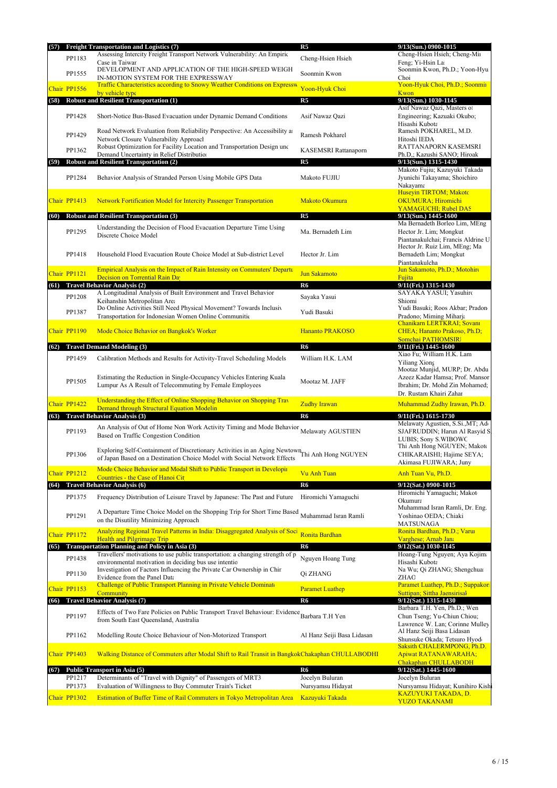| (57)           | <b>Freight Transportation and Logistics (7)</b>                                                                                                                            | R <sub>5</sub>             | 9/13(Sun.) 0900-1015                                                                           |
|----------------|----------------------------------------------------------------------------------------------------------------------------------------------------------------------------|----------------------------|------------------------------------------------------------------------------------------------|
| PP1183         | Assessing Intercity Freight Transport Network Vulnerability: An Empiric                                                                                                    | Cheng-Hsien Hsieh          | Cheng-Hsien Hsieh; Cheng-Mir                                                                   |
| PP1555         | Case in Taiwan<br>DEVELOPMENT AND APPLICATION OF THE HIGH-SPEED WEIGH<br>IN-MOTION SYSTEM FOR THE EXPRESSWAY                                                               | Soonmin Kwon               | Feng; Yi-Hsin La<br>Soonmin Kwon, Ph.D.; Yoon-Hyu<br>Choi                                      |
| Chair PP1556   | Traffic Characteristics according to Snowy Weather Conditions on Expressw                                                                                                  | Yoon-Hyuk Choi             | Yoon-Hyuk Choi, Ph.D.; Soonmir                                                                 |
| (58)           | by vehicle type<br><b>Robust and Resilient Transportation (1)</b>                                                                                                          | R5                         | <b>Kwon</b><br>$9/13$ (Sun.) 1030-1145                                                         |
|                |                                                                                                                                                                            |                            | Asif Nawaz Qazi, Masters o                                                                     |
| PP1428         | Short-Notice Bus-Based Evacuation under Dynamic Demand Conditions                                                                                                          | Asif Nawaz Qazi            | Engineering; Kazuaki Okubo;<br>Hisashi Kubota                                                  |
| PP1429         | Road Network Evaluation from Reliability Perspective: An Accessibility at<br>Network Closure Vulnerability Approacl                                                        | Ramesh Pokharel            | Ramesh POKHAREL, M.D.<br>Hitoshi IEDA                                                          |
| PP1362         | Robust Optimization for Facility Location and Transportation Design und<br>Demand Uncertainty in Relief Distribution                                                       | KASEMSRI Rattanaporn       | RATTANAPORN KASEMSRI<br>Ph.D.; Kazushi SANO; Hiroak                                            |
| (59)           | <b>Robust and Resilient Transportation (2)</b>                                                                                                                             | R <sub>5</sub>             | 9/13(Sun.) 1315-1430                                                                           |
| PP1284         | Behavior Analysis of Stranded Person Using Mobile GPS Data                                                                                                                 | Makoto FUJIU               | Makoto Fujiu; Kazuyuki Takada<br>Jyunichi Takayama; Shoichiro<br>Nakayama                      |
| Chair PP1413   | <b>Network Fortification Model for Intercity Passenger Transportation</b>                                                                                                  | Makoto Okumura             | Huseyin TIRTOM; Makotc<br><b>OKUMURA</b> ; Hiromichi<br><b>YAMAGUCHI: Rubel DAS</b>            |
| (60)           | <b>Robust and Resilient Transportation (3)</b>                                                                                                                             | R <sub>5</sub>             | $9/13(Sun.)$ 1445-1600                                                                         |
| PP1295         | Understanding the Decision of Flood Evacuation Departure Time Using<br>Discrete Choice Model                                                                               | Ma. Bernadeth Lim          | Ma Bernadeth Borleo Lim, MEng<br>Hector Jr. Lim; Mongkut<br>Piantanakulchai; Francis Aldrine U |
| PP1418         | Household Flood Evacuation Route Choice Model at Sub-district Level                                                                                                        | Hector Jr. Lim             | Hector Jr. Ruiz Lim, MEng; Ma<br>Bernadeth Lim; Mongkut<br>Piantanakulcha                      |
| Chair PP1121   | <b>Empirical Analysis on the Impact of Rain Intensity on Commuters' Departure</b>                                                                                          | <b>Jun Sakamoto</b>        | Jun Sakamoto, Ph.D.; Motohiro                                                                  |
| (61)           | Decision on Torrential Rain Da<br><b>Travel Behavior Analysis (2)</b>                                                                                                      | R <sub>6</sub>             | Fujita<br>9/11(Fri.) 1315-1430                                                                 |
| PP1208         | A Longitudinal Analysis of Built Environment and Travel Behavior                                                                                                           | Sayaka Yasui               | SAYAKA YASUI; Yasuhiro                                                                         |
|                | Keihanshin Metropolitan Area<br>Do Online Activities Still Need Physical Movement? Towards Inclusiv                                                                        |                            | Shiomi<br>Yudi Basuki; Roos Akbar; Pradon                                                      |
| PP1387         | Transportation for Indonesian Women Online Communitie                                                                                                                      | Yudi Basuki                | Pradono; Miming Miharja<br>Chanikarn LERTKRAI; Sovani                                          |
| Chair PP1190   | Mode Choice Behavior on Bangkok's Worker                                                                                                                                   | <b>Hananto PRAKOSO</b>     | CHEA; Hananto Prakoso, Ph.D;<br>Somchai PATHOMSIRI                                             |
| (62)           | <b>Travel Demand Modeling (3)</b>                                                                                                                                          | R <sub>6</sub>             | 9/11(Fri.) 1445-1600<br>Xiao Fu; William H.K. Lam                                              |
| PP1459         | Calibration Methods and Results for Activity-Travel Scheduling Models                                                                                                      | William H.K. LAM           | Yiliang Xiong<br>Mootaz Munjid, MURP; Dr. Abdu                                                 |
| PP1505         | Estimating the Reduction in Single-Occupancy Vehicles Entering Kuala<br>Lumpur As A Result of Telecommuting by Female Employees                                            | Mootaz M. JAFF             | Azeez Kadar Hamsa; Prof. Mansor<br>Ibrahim; Dr. Mohd Zin Mohamed;<br>Dr. Rustam Khairi Zahar   |
| Chair PP1422   | Understanding the Effect of Online Shopping Behavior on Shopping Trav<br>Demand through Structural Equation Modelin                                                        | <b>Zudhy Irawan</b>        | Muhammad Zudhy Irawan, Ph.D.                                                                   |
| (63)           | <b>Travel Behavior Analysis (3)</b>                                                                                                                                        | R6                         | 9/11(Fri.) 1615-1730                                                                           |
| PP1193         | An Analysis of Out of Home Non Work Activity Timing and Mode Behavior Melawaty AGUSTIEN<br>Based on Traffic Congestion Condition                                           |                            | Melawaty Agustien, S.Si., MT; Add<br>SJAFRUDDIN; Harun Al Rasyid S<br>LUBIS; Sony S.WIBOWC     |
| PP1306         | Exploring Self-Containment of Discretionary Activities in an Aging Newtown Thi Anh Hong NGUYEN<br>of Japan Based on a Destination Choice Model with Social Network Effects |                            | Thi Anh Hong NGUYEN; Makoto<br>CHIKARAISHI; Hajime SEYA;<br>Akimasa FUJIWARA; Juny             |
| Chair PP1212   | Mode Choice Behavior and Modal Shift to Public Transport in Developin<br>Countries - the Case of Hanoi Cit                                                                 | Vu Anh Tuan                | Anh Tuan Vu, Ph.D.                                                                             |
|                | (64) Travel Behavior Analysis (6)                                                                                                                                          | R6                         | 9/12(Sat.) 0900-1015                                                                           |
| PP1375         | Frequency Distribution of Leisure Travel by Japanese: The Past and Future                                                                                                  | Hiromichi Yamaguchi        | Hiromichi Yamaguchi; Makot<br>Okumura<br>Muhammad Isran Ramli, Dr. Eng.                        |
| PP1291         | A Departure Time Choice Model on the Shopping Trip for Short Time Based<br>on the Disutility Minimizing Approach                                                           | Muhammad Isran Ramli       | Yoshinao OEDA; Chiaki<br>MATSUNAGA                                                             |
| Chair PP1172   | Analyzing Regional Travel Patterns in India: Disaggregated Analysis of Soci<br><b>Health and Pilgrimage Trip</b>                                                           | Ronita Bardhan             | Ronita Bardhan, Ph.D.; Varui<br>Varghese; Arnab Jan:                                           |
|                | (65) Transportation Planning and Policy in Asia (3)                                                                                                                        | R6                         | 9/12(Sat.) 1030-1145                                                                           |
| PP1438         | Travellers' motivations to use public transportation: a changing strength of p<br>environmental motivation in deciding bus use intentio                                    | Nguyen Hoang Tung          | Hoang-Tung Nguyen; Aya Kojima<br>Hisashi Kubota                                                |
| PP1130         | Investigation of Factors Influencing the Private Car Ownership in Chir<br>Evidence from the Panel Data                                                                     | Qi ZHANG                   | Na Wu; Qi ZHANG; Shengchua<br>ZHAO                                                             |
| Chair PP1153   | Challenge of Public Transport Planning in Private Vehicle Dominate                                                                                                         | <b>Paramet Luathep</b>     | Paramet Luathep, Ph.D.; Suppakor                                                               |
|                | <b>Community</b><br><b>Travel Behavior Analysis (7)</b>                                                                                                                    | R6                         | Suttipan; Sittha Jaensirisal<br>9/12(Sat.) 1315-1430                                           |
| (66)           |                                                                                                                                                                            |                            | Barbara T.H. Yen, Ph.D.; Wen                                                                   |
| PP1197         | Effects of Two Fare Policies on Public Transport Travel Behaviour: Evidence Barbara T.H Yen<br>from South East Queensland, Australia                                       |                            | Chun Tseng; Yu-Chiun Chiou;<br>Lawrence W. Lan; Corinne Mulley                                 |
| PP1162         | Modelling Route Choice Behaviour of Non-Motorized Transport                                                                                                                | Al Hanz Seiji Basa Lidasan | Al Hanz Seiji Basa Lidasan<br>Shunsuke Okada; Tetsuro Hyodo                                    |
| Chair PP1403   | Walking Distance of Commuters after Modal Shift to Rail Transit in BangkokChakaphan CHULLABODHI                                                                            |                            | <b>Saksith CHALERMPONG, Ph.D.</b><br><b>Apiwat RATANAWARAHA;</b><br>Chakaphan CHULLABODH       |
| (67)<br>PP1217 | Public Transport in Asia (5)<br>Determinants of "Travel with Dignity" of Passengers of MRT3                                                                                | R6<br>Jocelyn Buluran      | 9/12(Sat.) 1445-1600                                                                           |
| PP1373         | Evaluation of Willingness to Buy Commuter Train's Ticket                                                                                                                   | Nursyamsu Hidayat          | Jocelyn Buluran<br>Nursyamsu Hidayat; Kunihiro Kishi                                           |
| Chair PP1302   | Estimation of Buffer Time of Rail Commuters in Tokyo Metropolitan Area                                                                                                     | <b>Kazuyuki Takada</b>     | <u>KAZUYUKI TAKADA, D.</u>                                                                     |
|                |                                                                                                                                                                            |                            | <b>YUZO TAKANAMI</b>                                                                           |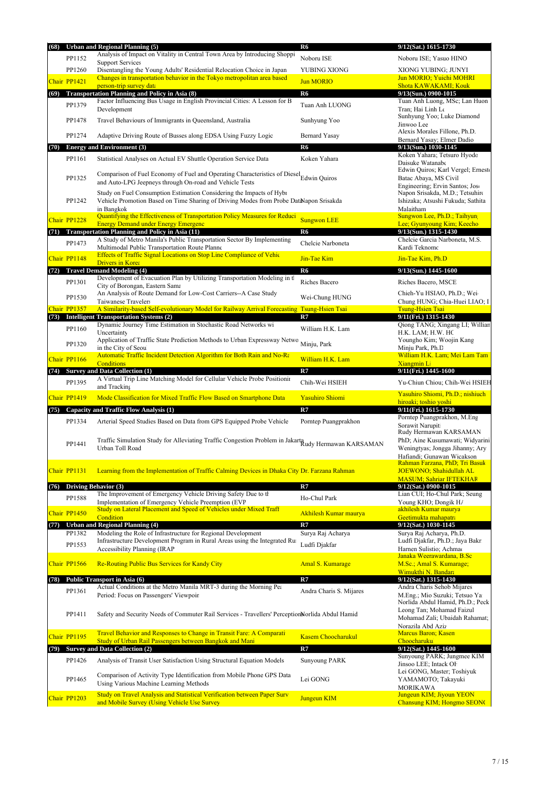| (68) |              | <b>Urban and Regional Planning (5)</b>                                                                                                    | R <sub>6</sub>               | 9/12(Sat.) 1615-1730                                              |
|------|--------------|-------------------------------------------------------------------------------------------------------------------------------------------|------------------------------|-------------------------------------------------------------------|
|      | PP1152       | Analysis of Impact on Vitality in Central Town Area by Introducing Shoppi                                                                 | Noboru ISE                   | Noboru ISE; Yasuo HINO                                            |
|      | PP1260       | <b>Support Services</b><br>Disentangling the Young Adults' Residential Relocation Choice in Japan                                         | YUBING XIONG                 | XIONG YUBING: JUNYI                                               |
|      | Chair PP1421 | Changes in transportation behavior in the Tokyo metropolitan area based                                                                   | <b>Jun MORIO</b>             | Jun MORIO; Yuichi MOHRI                                           |
|      |              | person-trip survey data                                                                                                                   | R6                           | <b>Shota KAWAKAMI; Kouk</b>                                       |
| (69) |              | <b>Transportation Planning and Policy in Asia (8)</b><br>Factor Influencing Bus Usage in English Provincial Cities: A Lesson for B        |                              | 9/13(Sun.) 0900-1015<br>Tuan Anh Luong, MSc; Lan Huon             |
|      | PP1379       | Development                                                                                                                               | Tuan Anh LUONG               | Tran; Hai Linh Le                                                 |
|      | PP1478       | Travel Behaviours of Immigrants in Queensland, Australia                                                                                  | Sunhyung Yoo                 | Sunhyung Yoo; Luke Diamond<br>Jinwoo Lee                          |
|      |              |                                                                                                                                           |                              | Alexis Morales Fillone, Ph.D.                                     |
|      | PP1274       | Adaptive Driving Route of Busses along EDSA Using Fuzzy Logic                                                                             | <b>Bernard Yasay</b>         | Bernard Yasay; Elmer Dadio                                        |
| (70) |              | <b>Energy and Environment (3)</b>                                                                                                         | R6                           | 9/13(Sun.) 1030-1145<br>Koken Yahara; Tetsuro Hyodc               |
|      | PP1161       | Statistical Analyses on Actual EV Shuttle Operation Service Data                                                                          | Koken Yahara                 | Daisuke Watanabe                                                  |
|      |              | Comparison of Fuel Economy of Fuel and Operating Characteristics of Diesel <sub>Edwin</sub> Quiros                                        |                              | Edwin Quiros; Karl Vergel; Ernest                                 |
|      | PP1325       | and Auto-LPG Jeepneys through On-road and Vehicle Tests                                                                                   |                              | Batac Abaya, MS Civil<br>Engineering; Ervin Santos; Jose          |
|      |              | Study on Fuel Consumption Estimation Considering the Impacts of Hybr                                                                      |                              | Napon Srisakda, M.D.; Tetsuhiro                                   |
|      | PP1242       | Vehicle Promotion Based on Time Sharing of Driving Modes from Probe DataNapon Srisakda                                                    |                              | Ishizaka; Atsushi Fukuda; Sathita                                 |
|      |              | in Bangkok<br>Quantifying the Effectiveness of Transportation Policy Measures for Reduci                                                  |                              | Malaitham<br>Sungwon Lee, Ph.D.; Taihyun                          |
|      | Chair PP1228 | <b>Energy Demand under Energy Emergenc</b>                                                                                                | <b>Sungwon LEE</b>           | Lee: Gyunyoung Kim; Keecho                                        |
| (71) |              | <b>Transportation Planning and Policy in Asia (11)</b>                                                                                    | R6                           | 9/13(Sun.) 1315-1430                                              |
|      | PP1473       | A Study of Metro Manila's Public Transportation Sector By Implementing<br>Multimodal Public Transportation Route Planne                   | Chelcie Narboneta            | Chelcie Garcia Narboneta, M.S.<br>Kardi Teknomc                   |
|      | Chair PP1148 | <b>Effects of Traffic Signal Locations on Stop Line Compliance of Vehic</b>                                                               | Jin-Tae Kim                  | Jin-Tae Kim, Ph.D                                                 |
|      |              | <b>Drivers in Korea</b>                                                                                                                   |                              |                                                                   |
|      |              | (72) Travel Demand Modeling (4)<br>Development of Evacuation Plan by Utilizing Transportation Modeling in th                              | R <sub>6</sub>               | 9/13(Sun.) 1445-1600                                              |
|      | PP1301       | City of Borongan, Eastern Sama                                                                                                            | Riches Bacero                | Riches Bacero, MSCE                                               |
|      | PP1530       | An Analysis of Route Demand for Low-Cost Carriers--A Case Study                                                                           | Wei-Chung HUNG               | Chieh-Yu HSIAO, Ph.D.; Wei-                                       |
|      | Chair PP1357 | Taiwanese Travelers<br>A Similarity-based Self-evolutionary Model for Railway Arrival Forecasting                                         | <b>Tsung-Hsien Tsai</b>      | Chung HUNG; Chia-Huei LIAO; I<br><b>Tsung-Hsien Tsai</b>          |
|      |              | (73) Intelligent Transportation Systems (2)                                                                                               | R7                           | 9/11(Fri.) 1315-1430                                              |
|      | PP1160       | Dynamic Journey Time Estimation in Stochastic Road Networks wi                                                                            | William H.K. Lam             | Qiong TANG; Xingang LI; Williar                                   |
|      |              | Uncertainty<br>Application of Traffic State Prediction Methods to Urban Expressway Netwo                                                  |                              | H.K. LAM; H.W. HC<br>Youngho Kim; Woojin Kang                     |
|      | PP1320       | in the City of Seou                                                                                                                       | Minju, Park                  | Minju Park, Ph.D                                                  |
|      | Chair PP1166 | <b>Automatic Traffic Incident Detection Algorithm for Both Rain and No-Ra</b>                                                             | William H.K. Lam             | William H.K. Lam; Mei Lam Tam                                     |
|      |              | <b>Conditions</b><br>(74) Survey and Data Collection (1)                                                                                  | R7                           | <b>Xiangmin Li</b><br>9/11(Fri.) 1445-1600                        |
|      | PP1395       | A Virtual Trip Line Matching Model for Cellular Vehicle Probe Positionin                                                                  | Chih-Wei HSIEH               | Yu-Chiun Chiou; Chih-Wei HSIEH                                    |
|      |              | and Tracking                                                                                                                              |                              | Yasuhiro Shiomi, Ph.D.; nishiuch                                  |
|      | Chair PP1419 | Mode Classification for Mixed Traffic Flow Based on Smartphone Data                                                                       | <b>Yasuhiro Shiomi</b>       | hiroaki; toshio yoshi                                             |
|      |              | (75) Capacity and Traffic Flow Analysis (1)                                                                                               | R7                           | 9/11(Fri.) 1615-1730                                              |
|      | PP1334       | Arterial Speed Studies Based on Data from GPS Equipped Probe Vehicle                                                                      | Porntep Puangprakhon         | Porntep Puangprakhon, M.Eng<br>Sorawit Narupit                    |
|      |              |                                                                                                                                           |                              | Rudy Hermawan KARSAMAN                                            |
|      | PP1441       | Traffic Simulation Study for Alleviating Traffic Congestion Problem in Jakarta Rudy Hermawan KARSAMAN                                     |                              | PhD; Aine Kusumawati; Widyarini                                   |
|      |              | Urban Toll Road                                                                                                                           |                              | Weningtyas; Jongga Jihanny; Ary<br>Hafiandi; Gunawan Wicakson     |
|      |              |                                                                                                                                           |                              | Rahman Farzana, PhD; Tri Basuk                                    |
|      | Chair PP1131 | Learning from the Implementation of Traffic Calming Devices in Dhaka City Dr. Farzana Rahman                                              |                              | JOEWONO; Shahidullah AL                                           |
| (76) |              | <b>Driving Behavior (3)</b>                                                                                                               | R7                           | <b>MASUM</b> ; Sahriar IFTEKHAR<br>9/12(Sat.) 0900-1015           |
|      | PP1588       | The Improvement of Emergency Vehicle Driving Safety Due to the                                                                            | Ho-Chul Park                 | Lian CUI; Ho-Chul Park; Seung                                     |
|      |              | Implementation of Emergency Vehicle Preemption (EVP<br>Study on Lateral Placement and Speed of Vehicles under Mixed Traff                 |                              | Young KHO; Dongik H/<br>akhilesh Kumar maurya                     |
|      | Chair PP1450 | Condition                                                                                                                                 | <b>Akhilesh Kumar maurya</b> | Geetimukta mahapatra                                              |
| (77) |              | <b>Urban and Regional Planning (4)</b>                                                                                                    | R7                           | 9/12(Sat.) 1030-1145                                              |
|      | PP1382       | Modeling the Role of Infrastructure for Regional Development<br>Infrastructure Development Program in Rural Areas using the Integrated Ru | Surya Raj Acharya            | Surya Raj Acharya, Ph.D.<br>Ludfi Djakfar, Ph.D.; Jaya Bakri      |
|      | PP1553       | Accessibility Planning (IRAP                                                                                                              | Ludfi Djakfar                | Harnen Sulistio; Achmac                                           |
|      |              |                                                                                                                                           |                              | Janaka Weerawardana, B.Sc                                         |
|      | Chair PP1566 | <b>Re-Routing Public Bus Services for Kandy City</b>                                                                                      | <b>Amal S. Kumarage</b>      | M.Sc.; Amal S. Kumarage;<br>Wimukthi N. Bandara                   |
| (78) |              | Public Transport in Asia (6)                                                                                                              | R7                           | 9/12(Sat.) 1315-1430                                              |
|      | PP1361       | Actual Conditions at the Metro Manila MRT-3 during the Morning Pea                                                                        | Andra Charis S. Mijares      | Andra Charis Sehob Mijares                                        |
|      |              | Period: Focus on Passengers' Viewpoir                                                                                                     |                              | M.Eng.; Mio Suzuki; Tetsuo Ya<br>Norlida Abdul Hamid, Ph.D.; Peck |
|      |              |                                                                                                                                           |                              | Leong Tan; Mohamad Faizul                                         |
|      | PP1411       | Safety and Security Needs of Commuter Rail Services - Travellers' PerceptionNorlida Abdul Hamid                                           |                              | Mohamad Zali; Ubaidah Rahamat;                                    |
|      |              | Travel Behavior and Responses to Change in Transit Fare: A Comparati                                                                      |                              | Norazila Abd Aziz<br><b>Marcus Baron</b> ; Kasen                  |
|      | Chair PP1195 | Study of Urban Rail Passengers between Bangkok and Mani                                                                                   | <b>Kasem Choocharukul</b>    | Choocharuku                                                       |
| (79) |              | <b>Survey and Data Collection (2)</b>                                                                                                     | R7                           | 9/12(Sat.) 1445-1600                                              |
|      | PP1426       | Analysis of Transit User Satisfaction Using Structural Equation Models                                                                    | <b>Sunyoung PARK</b>         | Sunyoung PARK; Jungmee KIM<br>Jinsoo LEE; Intack OH               |
|      |              | Comparison of Activity Type Identification from Mobile Phone GPS Data                                                                     |                              | Lei GONG, Master; Toshiyuk                                        |
|      | PP1465       | Using Various Machine Learning Methods                                                                                                    | Lei GONG                     | YAMAMOTO; Takayuki                                                |
|      |              | Study on Travel Analysis and Statistical Verification between Paper Surv                                                                  |                              | <b>MORIKAWA</b><br>Jungeun KIM; Jiyoun YEON                       |
|      | Chair PP1203 | and Mobile Survey (Using Vehicle Use Survey                                                                                               | <b>Jungeun KIM</b>           | <b>Chansung KIM; Hongmo SEONC</b>                                 |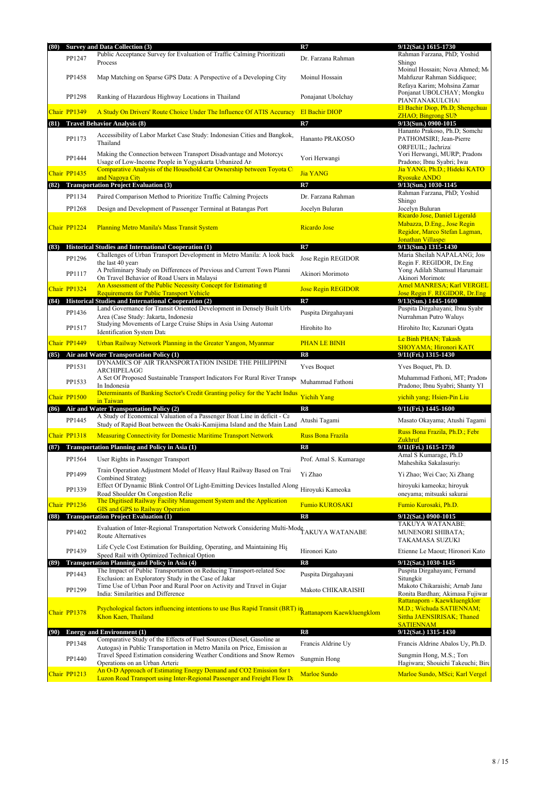| (80) |                        | <b>Survey and Data Collection (3)</b>                                                                                                                                  | R7                                        | 9/12(Sat.) 1615-1730                                                                                              |
|------|------------------------|------------------------------------------------------------------------------------------------------------------------------------------------------------------------|-------------------------------------------|-------------------------------------------------------------------------------------------------------------------|
|      | PP1247                 | Public Acceptance Survey for Evaluation of Traffic Calming Prioritizati<br>Process                                                                                     | Dr. Farzana Rahman                        | Rahman Farzana, PhD; Yoshida<br>Shingo                                                                            |
|      | PP1458                 | Map Matching on Sparse GPS Data: A Perspective of a Developing City                                                                                                    | Moinul Hossain                            | Moinul Hossain; Nova Ahmed; Mo<br>Mahfuzur Rahman Siddiquee;<br>Refaya Karim; Mohsina Zaman                       |
|      | PP1298                 | Ranking of Hazardous Highway Locations in Thailand                                                                                                                     | Ponajanat Ubolchay                        | Ponjanat UBOLCHAY; Mongku<br>PIANTANAKULCHAI                                                                      |
|      | Chair PP1349           | A Study On Drivers' Route Choice Under The Influence Of ATIS Accuracy                                                                                                  | <b>El Bachir DIOP</b>                     | El Bachir Diop, Ph.D; Shengchuar<br><b>ZHAO</b> ; Bingrong SUN                                                    |
| (81) |                        | <b>Travel Behavior Analysis (8)</b>                                                                                                                                    | R7                                        | 9/13(Sun.) 0900-1015                                                                                              |
|      | PP1173                 | Accessibility of Labor Market Case Study: Indonesian Cities and Bangkok,<br>Thailand                                                                                   | Hananto PRAKOSO                           | Hananto Prakoso, Ph.D; Somcha<br>PATHOMSIRI; Jean-Pierre                                                          |
|      | PP1444                 | Making the Connection between Transport Disadvantage and Motorcyc<br>Usage of Low-Income People in Yogyakarta Urbanized Are                                            | Yori Herwangi                             | ORFEUIL; Jachriza<br>Yori Herwangi, MURP; Pradono<br>Pradono; Ibnu Syabri; Iwai                                   |
|      | Chair PP1435           | Comparative Analysis of the Household Car Ownership between Toyota C                                                                                                   | <b>Jia YANG</b>                           | Jia YANG, Ph.D.; Hideki KATO                                                                                      |
| (82) |                        | and Nagova City<br><b>Transportation Project Evaluation (3)</b>                                                                                                        | R7                                        | <b>Ryosuke ANDC</b><br>9/13(Sun.) 1030-1145                                                                       |
|      | PP1134                 | Paired Comparison Method to Prioritize Traffic Calming Projects                                                                                                        | Dr. Farzana Rahman                        | Rahman Farzana, PhD; Yoshida                                                                                      |
|      | PP1268                 | Design and Development of Passenger Terminal at Batangas Port                                                                                                          | Jocelyn Buluran                           | Shingo<br>Jocelyn Buluran                                                                                         |
|      | Chair PP1224           | <b>Planning Metro Manila's Mass Transit System</b>                                                                                                                     | <b>Ricardo Jose</b>                       | Ricardo Jose, Daniel Ligeraldo<br>Mabazza, D.Eng., Jose Regin<br>Regidor, Marco Stefan Lagman,                    |
| (83) |                        | <b>Historical Studies and International Cooperation (1)</b>                                                                                                            | R7                                        | Jonathan Villasper<br>9/13(Sun.) 1315-1430                                                                        |
|      | PP1296                 | Challenges of Urban Transport Development in Metro Manila: A look back                                                                                                 | Jose Regin REGIDOR                        | Maria Sheilah NAPALANG; Jos                                                                                       |
|      | PP1117                 | the last 40 years<br>A Preliminary Study on Differences of Previous and Current Town Planni<br>On Travel Behavior of Road Users in Malaysi                             | Akinori Morimoto                          | Regin F. REGIDOR, Dr.Eng<br>Yong Adilah Shamsul Harumair<br>Akinori Morimotc                                      |
|      | Chair PP1324           | An Assessment of the Public Necessity Concept for Estimating th                                                                                                        | <b>Jose Regin REGIDOR</b>                 | Arnel MANRESA; Karl VERGEL                                                                                        |
| (84) |                        | <b>Requirements for Public Transport Vehicle</b><br>Historical Studies and International Cooperation (2)                                                               | R7                                        | Jose Regin F. REGIDOR, Dr. Eng<br>9/13(Sun.) 1445-1600                                                            |
|      | PP1436                 | Land Governance for Transit Oriented Development in Densely Built Urba                                                                                                 | Puspita Dirgahayani                       | Puspita Dirgahayani; Ibnu Syabr                                                                                   |
|      | PP1517                 | Area (Case Study: Jakarta, Indonesia<br>Studying Movements of Large Cruise Ships in Asia Using Automat                                                                 | Hirohito Ito                              | Nurrahman Putro Waluy<br>Hirohito Ito; Kazunari Ogata                                                             |
|      |                        | <b>Identification System Data</b>                                                                                                                                      |                                           | Le Binh PHAN; Takash                                                                                              |
|      | Chair PP1449           | Urban Railway Network Planning in the Greater Yangon, Myanmar                                                                                                          | <b>PHAN LE BINH</b>                       | <b>SHOYAMA</b> ; Hironori KAT(                                                                                    |
| (85) |                        | Air and Water Transportation Policy (1)<br>DYNAMICS OF AIR TRANSPORTATION INSIDE THE PHILIPPINE                                                                        | R8                                        | 9/11(Fri.) 1315-1430                                                                                              |
|      | PP1531<br>PP1533       | ARCHIPELAGC<br>A Set Of Proposed Sustainable Transport Indicators For Rural River Transport                                                                            | <b>Yves Boquet</b><br>Muhammad Fathoni    | Yves Boquet, Ph. D.<br>Muhammad Fathoni, MT; Pradono                                                              |
|      |                        | In Indonesia<br>Determinants of Banking Sector's Credit Granting policy for the Yacht Indus                                                                            |                                           | Pradono; Ibnu Syabri; Shanty YI                                                                                   |
|      | Chair PP1500           | in Taiwan                                                                                                                                                              | Yichih Yang                               | yichih yang; Hsien-Pin Liu                                                                                        |
| (86) |                        | Air and Water Transportation Policy (2)<br>A Study of Economical Valuation of a Passenger Boat Line in deficit - Ca                                                    | R8                                        | 9/11(Fri.) 1445-1600                                                                                              |
|      | PP1445<br>Chair PP1318 | Study of Rapid Boat between the Osaki-Kamijima Island and the Main Land                                                                                                | Atushi Tagami<br><b>Russ Bona Frazila</b> | Masato Okayama; Atushi Tagami<br>Russ Bona Frazila, Ph.D.; Febr                                                   |
|      |                        | <b>Measuring Connectivity for Domestic Maritime Transport Network</b>                                                                                                  |                                           | Zukhruf                                                                                                           |
| (87) |                        | <b>Transportation Planning and Policy in Asia (1)</b>                                                                                                                  | R8                                        | 9/11(Fri.) 1615-1730<br>Amal S Kumarage, Ph.D                                                                     |
|      | PP1564                 | User Rights in Passenger Transport                                                                                                                                     | Prof. Amal S. Kumarage                    | Maheshika Sakalasuriya                                                                                            |
|      | PP1499                 | Train Operation Adjustment Model of Heavy Haul Railway Based on Trai<br>Combined Strategy<br>Effect Of Dynamic Blink Control Of Light-Emitting Devices Installed Along | Yi Zhao                                   | Yi Zhao; Wei Cao; Xi Zhang<br>hiroyuki kameoka; hiroyuk                                                           |
|      | PP1339                 | Road Shoulder On Congestion Relie<br>The Digitised Railway Facility Management System and the Application                                                              | Hiroyuki Kameoka                          | oneyama; mitsuaki sakurai                                                                                         |
|      | Chair PP1236           | <b>GIS and GPS to Railway Operation</b>                                                                                                                                | <b>Fumio KUROSAKI</b>                     | Fumio Kurosaki, Ph.D.                                                                                             |
| (88) |                        | <b>Transportation Project Evaluation (1)</b>                                                                                                                           | R8                                        | 9/12(Sat.) 0900-1015                                                                                              |
|      | PP1402                 | Evaluation of Inter-Regional Transportation Network Considering Multi-Mode TAKUYA WATANABE<br>Route Alternatives                                                       |                                           | TAKUYA WATANABE:<br><b>MUNENORI SHIBATA;</b><br>TAKAMASA SUZUKI                                                   |
|      | PP1439                 | Life Cycle Cost Estimation for Building, Operating, and Maintaining His<br>Speed Rail with Optimized Technical Option                                                  | Hironori Kato                             | Etienne Le Maout; Hironori Kato                                                                                   |
| (89) |                        | <b>Transportation Planning and Policy in Asia (4)</b><br>The Impact of Public Transportation on Reducing Transport-related Soc                                         | R8                                        | 9/12(Sat.) 1030-1145<br>Puspita Dirgahayani; Fernand                                                              |
|      | PP1443                 | Exclusion: an Exploratory Study in the Case of Jakar<br>Time Use of Urban Poor and Rural Poor on Activity and Travel in Gujar                                          | Puspita Dirgahayani                       | Situngkit<br>Makoto Chikaraishi; Arnab Jana                                                                       |
|      | PP1299                 | India: Similarities and Difference                                                                                                                                     | Makoto CHIKARAISHI                        | Ronita Bardhan; Akimasa Fujiwar                                                                                   |
|      | Chair PP1378           | Psychological factors influencing intentions to use Bus Rapid Transit (BRT) in Rattanaporn Kaewkluengklom<br>Khon Kaen, Thailand                                       |                                           | Rattanaporn - Kaewkluengklon<br>M.D.; Wichuda SATIENNAM;<br><b>Sittha JAENSIRISAK; Thaned</b><br><b>SATIENNAM</b> |
| (90) |                        | <b>Energy and Environment (1)</b><br>Comparative Study of the Effects of Fuel Sources (Diesel, Gasoline are                                                            | R8                                        | 9/12(Sat.) 1315-1430                                                                                              |
|      | PP1348                 | Autogas) in Public Transportation in Metro Manila on Price, Emission and<br>Travel Speed Estimation considering Weather Conditions and Snow Remov                      | Francis Aldrine Uy                        | Francis Aldrine Abalos Uy, Ph.D.<br>Sungmin Hong, M.S.; Tort                                                      |
|      | PP1440                 | Operations on an Urban Arteria                                                                                                                                         | Sungmin Hong                              | Hagiwara; Shouichi Takeuchi; Bire                                                                                 |
|      | Chair PP1213           | An O-D Approach of Estimating Energy Demand and CO2 Emission for t<br>Luzon Road Transport using Inter-Regional Passenger and Freight Flow Da                          | Marloe Sundo                              | Marloe Sundo, MSci; Karl Vergel                                                                                   |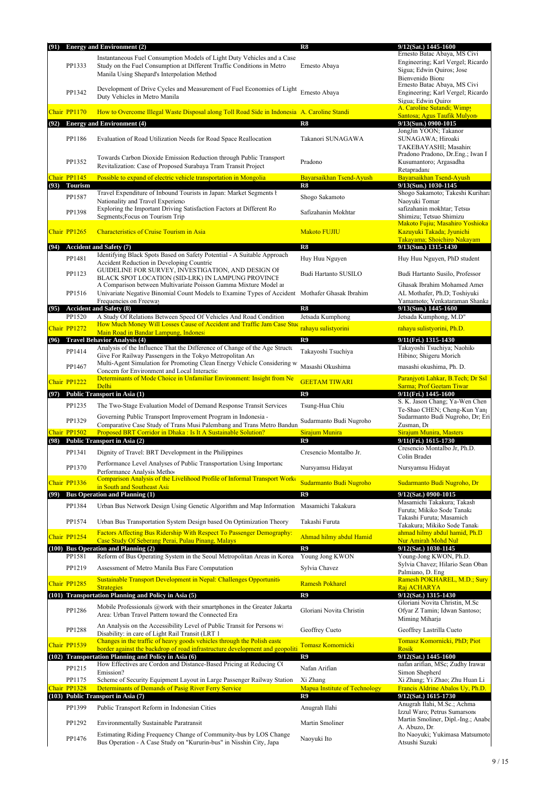| (91) |                              | <b>Energy and Environment (2)</b>                                                                                                                                                                | $\overline{\text{R8}}$                     | 9/12(Sat.) 1445-1600                                                                                               |
|------|------------------------------|--------------------------------------------------------------------------------------------------------------------------------------------------------------------------------------------------|--------------------------------------------|--------------------------------------------------------------------------------------------------------------------|
|      | PP1333                       | Instantaneous Fuel Consumption Models of Light Duty Vehicles and a Case<br>Study on the Fuel Consumption at Different Traffic Conditions in Metro<br>Manila Using Shepard's Interpolation Method | Ernesto Abaya                              | Ernesto Batac Abaya, MS Civi<br>Engineering; Karl Vergel; Ricardo<br>Sigua; Edwin Quiros; Jose<br>Bienvenido Biona |
|      | PP1342                       | Development of Drive Cycles and Measurement of Fuel Economies of Light<br>Duty Vehicles in Metro Manila                                                                                          | Ernesto Abaya                              | Ernesto Batac Abaya, MS Civi<br>Engineering; Karl Vergel; Ricardo<br>Sigua; Edwin Quiro:                           |
|      | Chair PP1170                 | How to Overcome Illegal Waste Disposal along Toll Road Side in Indonesia A. Caroline Standi                                                                                                      |                                            | A. Caroline Sutandi; Wimpy<br>Santosa; Agus Taufik Mulyon                                                          |
|      |                              | (92) Energy and Environment (4)                                                                                                                                                                  | R8                                         | 9/13(Sun.) 0900-1015                                                                                               |
|      | PP1186                       | Evaluation of Road Utilization Needs for Road Space Reallocation                                                                                                                                 | Takanori SUNAGAWA                          | JongJin YOON; Takanor<br>SUNAGAWA; Hiroaki<br>TAKEBAYASHI; Masahiro                                                |
|      | PP1352                       | Towards Carbon Dioxide Emission Reduction through Public Transport<br>Revitalization: Case of Proposed Surabaya Tram Transit Project                                                             | Pradono                                    | Pradono Pradono, Dr.Eng.; Iwan F<br>Kusumantoro; Argasadha<br>Retapradana                                          |
|      | Chair PP1145<br>(93) Tourism | Possible to expand of electric vehicle transportation in Mongolia                                                                                                                                | Bayarsaikhan Tsend-Ayush<br>R8             | Bayarsaikhan Tsend-Ayush<br>9/13(Sun.) 1030-1145                                                                   |
|      | PP1587                       | Travel Expenditure of Inbound Tourists in Japan: Market Segments ł                                                                                                                               | Shogo Sakamoto                             | Shogo Sakamoto; Takeshi Kurihara                                                                                   |
|      | PP1398                       | Nationality and Travel Experience<br>Exploring the Important Driving Satisfaction Factors at Different Ro<br>Segments; Focus on Tourism Trip                                                     | Safizahanin Mokhtar                        | Naoyuki Tomar<br>safizahanin mokhtar; Tetsuo<br>Shimizu; Tetsuo Shimizu                                            |
|      | Chair PP1265                 | <b>Characteristics of Cruise Tourism in Asia</b>                                                                                                                                                 | <b>Makoto FUJIU</b>                        | Makoto Fujiu; Masahiro Yoshioka<br>Kazuyuki Takada; Jyunichi<br>Takayama; Shoichiro Nakayam                        |
| (94) |                              | <b>Accident and Safety (7)</b>                                                                                                                                                                   | R <sub>8</sub>                             | 9/13(Sun.) 1315-1430                                                                                               |
|      | PP1481                       | Identifying Black Spots Based on Safety Potential - A Suitable Approach<br>Accident Reduction in Developing Countrie                                                                             | Huy Huu Nguyen                             | Huy Huu Nguyen, PhD student                                                                                        |
|      | PP1123                       | GUIDELINE FOR SURVEY, INVESTIGATION, AND DESIGN OF<br>BLACK SPOT LOCATION (SID-LRK) IN LAMPUNG PROVINCE<br>A Comparison between Multivariate Poisson Gamma Mixture Model are                     | Budi Hartanto SUSILO                       | Budi Hartanto Susilo, Professor<br>Ghasak Ibrahim Mohamed Amer                                                     |
|      | PP1516                       | Univariate Negative Binomial Count Models to Examine Types of Accident Mothafer Ghasak Ibrahim                                                                                                   |                                            | AL Mothafer, Ph.D; Toshiyuki                                                                                       |
| (95) |                              | Frequencies on Freeway<br><b>Accident and Safety (8)</b>                                                                                                                                         | R8                                         | Yamamoto; Venkataraman Shanka<br>9/13(Sun.) 1445-1600                                                              |
|      | PP1520                       | A Study Of Relations Between Speed Of Vehicles And Road Condition<br>How Much Money Will Losses Cause of Accident and Traffic Jam Case Stud                                                      | Jetsada Kumphong                           | Jetsada Kumphong, M.D"                                                                                             |
|      | Chair PP1272                 | Main Road in Bandar Lampung, Indonesi                                                                                                                                                            | rahayu sulistyorini                        | rahayu sulistyorini, Ph.D.                                                                                         |
| (96) |                              | <b>Travel Behavior Analysis (4)</b><br>Analysis of the Influence That the Difference of Change of the Age Structu                                                                                | R9                                         | 9/11(Fri.) 1315-1430<br>Takayoshi Tsuchiya; Naohiko                                                                |
|      | PP1414                       | Give For Railway Passengers in the Tokyo Metropolitan Are<br>Multi-Agent Simulation for Promoting Clean Energy Vehicle Considering wi                                                            | Takayoshi Tsuchiya                         | Hibino; Shigeru Morich                                                                                             |
|      | PP1467                       | Concern for Environment and Local Interactio                                                                                                                                                     | Masashi Okushima                           | masashi okushima, Ph. D.                                                                                           |
| (97) | Chair PP1222                 | Determinants of Mode Choice in Unfamiliar Environment: Insight from Ne<br>Delhi<br>Public Transport in Asia (1)                                                                                  | <b>GEETAM TIWARI</b><br>R9                 | Paranjyoti Lahkar, B.Tech; Dr Ssl<br><b>Sarma: Prof Geetam Tiwar</b><br>9/11(Fri.) 1445-1600                       |
|      | PP1235                       | The Two-Stage Evaluation Model of Demand Response Transit Services                                                                                                                               | Tsung-Hua Chiu                             | S. K. Jason Chang; Ya-Wen Chen                                                                                     |
|      | PP1329                       | Governing Public Transport Improvement Program in Indonesia -                                                                                                                                    | Sudarmanto Budi Nugroho                    | Te-Shao CHEN; Cheng-Kun Yan<br>Sudarmanto Budi Nugroho, Dr; Eri                                                    |
|      | Chair PP1502                 | Comparative Case Study of Trans Musi Palembang and Trans Metro Bandun<br>Proposed BRT Corridor in Dhaka : Is It A Sustainable Solution?                                                          | Sirajum Munira                             | Zusman, Dr<br>Sirajum Munira, Masters                                                                              |
|      |                              | (98) Public Transport in Asia (2)                                                                                                                                                                | R9                                         | 9/11(Fri.) 1615-1730<br>Cresencio Montalbo Jr, Ph.D.                                                               |
|      | PP1341                       | Dignity of Travel: BRT Development in the Philippines                                                                                                                                            | Cresencio Montalbo Jr.                     | Colin Brader                                                                                                       |
|      | PP1370                       | Performance Level Analyses of Public Transportation Using Importanc<br>Performance Analysis Methor<br>Comparison Analysis of the Livelihood Profile of Informal Transport Work                   | Nursyamsu Hidayat                          | Nursyamsu Hidayat                                                                                                  |
|      | Chair PP1336                 | in South and Southeast Asia                                                                                                                                                                      | Sudarmanto Budi Nugroho                    | Sudarmanto Budi Nugroho, Dr                                                                                        |
| (99) |                              | <b>Bus Operation and Planning (1)</b>                                                                                                                                                            | R9                                         | 9/12(Sat.) 0900-1015<br>Masamichi Takakura; Takash                                                                 |
|      | PP1384                       | Urban Bus Network Design Using Genetic Algorithm and Map Information                                                                                                                             | Masamichi Takakura                         | Furuta; Mikiko Sode Tanaka<br>Takashi Furuta; Masamich                                                             |
|      | PP1574                       | Urban Bus Transportation System Design based On Optimization Theory                                                                                                                              | Takashi Furuta                             | Takakura; Mikiko Sode Tanak                                                                                        |
|      | Chair PP1254                 | Factors Affecting Bus Ridership With Respect To Passenger Demography:<br>Case Study Of Seberang Perai, Pulau Pinang, Malays                                                                      | Ahmad hilmy abdul Hamid                    | ahmad hilmy abdul hamid, Ph.D<br>Nur Amirah Mohd Nul                                                               |
|      | PP1581                       | (100) Bus Operation and Planning (2)<br>Reform of Bus Operating System in the Seoul Metropolitan Areas in Korea                                                                                  | R9<br>Young Jong KWON                      | 9/12(Sat.) 1030-1145<br>Young-Jong KWON, Ph.D.                                                                     |
|      | PP1219                       | Assessment of Metro Manila Bus Fare Computation                                                                                                                                                  | Sylvia Chavez                              | Sylvia Chavez; Hilario Sean Oban                                                                                   |
|      |                              | Sustainable Transport Development in Nepal: Challenges Opportunition                                                                                                                             |                                            | Palmiano, D. Eng<br>Ramesh POKHAREL, M.D.; Sury                                                                    |
|      | Chair PP1285                 | <b>Strategies</b><br>(101) Transportation Planning and Policy in Asia (5)                                                                                                                        | <b>Ramesh Pokharel</b><br>R9               | Raj ACHARYA<br>$9/12$ (Sat.) 1315-1430                                                                             |
|      | PP1286                       | Mobile Professionals @work with their smartphones in the Greater Jakarta<br>Area: Urban Travel Pattern toward the Connected Era                                                                  | Gloriani Novita Christin                   | Gloriani Novita Christin, M.Sc<br>Ofyar Z Tamin; Idwan Santoso;                                                    |
|      | PP1288                       | An Analysis on the Accessibility Level of Public Transit for Persons wi<br>Disability: in care of Light Rail Transit (LRT 1                                                                      | Geoffrey Cueto                             | Miming Miharja<br>Geoffrey Lastrilla Cueto                                                                         |
|      | Chair PP1539                 | Changes in the traffic of heavy goods vehicles through the Polish easte<br>border against the backdrop of road infrastructure development and geopoliti                                          | Tomasz Komornicki                          | Tomasz Komornicki, PhD; Piot<br><b>Rosik</b>                                                                       |
|      |                              | (102) Transportation Planning and Policy in Asia (6)                                                                                                                                             | R9                                         | 9/12(Sat.) 1445-1600                                                                                               |
|      | PP1215                       | How Effectives are Cordon and Distance-Based Pricing at Reducing CO<br>Emission?                                                                                                                 | Nafan Arifian                              | nafan arifian, MSc; Zudhy Irawar<br>Simon Shepherd                                                                 |
|      | PP1175                       | Scheme of Security Equipment Layout in Large Passenger Railway Station                                                                                                                           | Xi Zhang                                   | Xi Zhang; Yi Zhao; Zhu Huan Li                                                                                     |
|      | Chair PP1328                 | Determinants of Demands of Pasig River Ferry Service<br>(103) Public Transport in Asia (7)                                                                                                       | <b>Mapua Institute of Technology</b><br>R9 | Francis Aldrine Abalos Uy, Ph.D.<br>9/12(Sat.) 1615-1730                                                           |
|      | PP1399                       | Public Transport Reform in Indonesian Cities                                                                                                                                                     | Anugrah Ilahi                              | Anugrah Ilahi, M.Sc.; Achma<br>Izzul Waro; Petrus Sumarsono                                                        |
|      | PP1292                       | Environmentally Sustainable Paratransit                                                                                                                                                          | Martin Smoliner                            | Martin Smoliner, Dipl.-Ing.; Anabe<br>A. Abuzo, Dr.                                                                |
|      | PP1476                       | Estimating Riding Frequency Change of Community-bus by LOS Change<br>Bus Operation - A Case Study on "Kururin-bus" in Nisshin City, Japa                                                         | Naoyuki Ito                                | Ito Naoyuki; Yukimasa Matsumoto<br>Atsushi Suzuki                                                                  |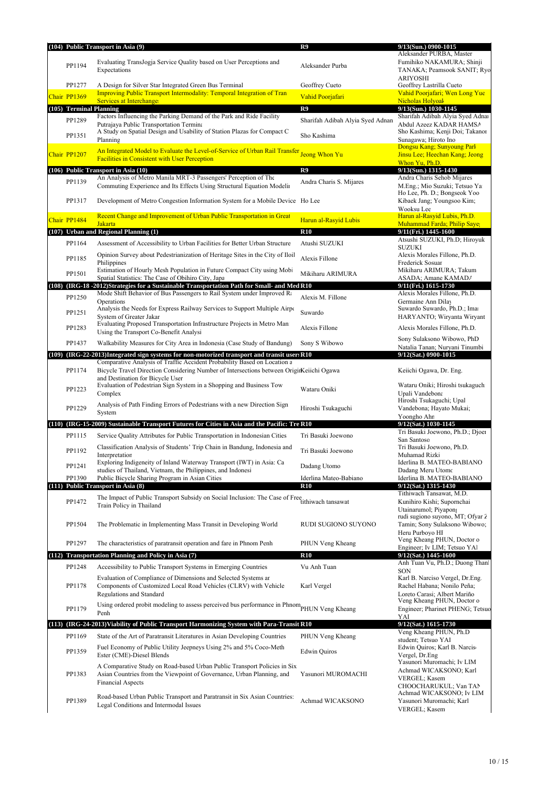|                         | (104) Public Transport in Asia (9)                                                                                                                                     | R9                               | 9/13(Sun.) 0900-1015                                                                                    |
|-------------------------|------------------------------------------------------------------------------------------------------------------------------------------------------------------------|----------------------------------|---------------------------------------------------------------------------------------------------------|
| PP1194                  | Evaluating TransJogja Service Quality based on User Perceptions and<br>Expectations                                                                                    | Aleksander Purba                 | Aleksander PURBA, Master<br>Fumihiko NAKAMURA; Shinji<br>TANAKA; Peamsook SANIT; Ryo<br><b>ARIYOSHI</b> |
| PP1277                  | A Design for Silver Star Integrated Green Bus Terminal                                                                                                                 | Geoffrey Cueto                   | Geoffrey Lastrilla Cueto                                                                                |
| Chair PP1369            | Improving Public Transport Intermodality: Temporal Integration of Tran<br><b>Services at Interchange:</b>                                                              | Vahid Poorjafari                 | Vahid Poorjafari; Wen Long Yue<br>Nicholas Holvoal                                                      |
| (105) Terminal Planning |                                                                                                                                                                        | R9                               | 9/13(Sun.) 1030-1145                                                                                    |
| PP1289                  | Factors Influencing the Parking Demand of the Park and Ride Facility                                                                                                   | Sharifah Adibah Alyia Syed Adnan | Sharifah Adibah Alyia Syed Adna<br>Abdul Azeez KADAR HAMSA                                              |
| PP1351                  | Putrajaya Public Transportation Termina<br>A Study on Spatial Design and Usability of Station Plazas for Compact C<br>Planning                                         | Sho Kashima                      | Sho Kashima; Kenji Doi; Takanor<br>Sunagawa; Hiroto Ino                                                 |
| Chair PP1207            | An Integrated Model to Evaluate the Level-of-Service of Urban Rail Transfer Jeong Whon Yu<br><b>Facilities in Consistent with User Perception</b>                      |                                  | Dongsu Kang; Sunyoung Parl<br>Jinsu Lee; Heechan Kang; Jeong<br>Whon Yu, Ph.D.                          |
|                         | (106) Public Transport in Asia (10)                                                                                                                                    | R9                               | 9/13(Sun.) 1315-1430                                                                                    |
| PP1139                  | An Analysis of Metro Manila MRT-3 Passengers' Perception of The<br>Commuting Experience and Its Effects Using Structural Equation Modelin                              | Andra Charis S. Mijares          | Andra Charis Sehob Mijares<br>M.Eng.; Mio Suzuki; Tetsuo Ya<br>Ho Lee, Ph. D.; Bongseok Yoo             |
| PP1317                  | Development of Metro Congestion Information System for a Mobile Device Ho Lee                                                                                          |                                  | Kibaek Jang; Youngsoo Kim;<br>Wooksu Lee                                                                |
| Chair PP1484            | Recent Change and Improvement of Urban Public Transportation in Great<br><b>Jakarta</b>                                                                                | Harun al-Rasyid Lubis            | Harun al-Rasyid Lubis, Ph.D.<br>Muhammad Farda; Philip Saye                                             |
|                         | (107) Urban and Regional Planning (1)                                                                                                                                  | <b>R10</b>                       | 9/11(Fri.) 1445-1600                                                                                    |
| PP1164                  | Assessment of Accessibility to Urban Facilities for Better Urban Structure                                                                                             | Atushi SUZUKI                    | Atsushi SUZUKI, Ph.D; Hiroyuk<br><b>SUZUKI</b>                                                          |
| PP1185                  | Opinion Survey about Pedestrianization of Heritage Sites in the City of Iloil                                                                                          | Alexis Fillone                   | Alexis Morales Fillone, Ph.D.                                                                           |
|                         | Philippines<br>Estimation of Hourly Mesh Population in Future Compact City using Mobi                                                                                  |                                  | Frederick Sosuar<br>Mikiharu ARIMURA; Takum                                                             |
| PP1501                  | Spatial Statistics: The Case of Obihiro City, Japa                                                                                                                     | Mikiharu ARIMURA                 | ASADA; Amane KAMADA                                                                                     |
|                         | (108) (IRG-18 -2012)Strategies for a Sustainable Transportation Path for Small- and Med R10<br>Mode Shift Behavior of Bus Passengers to Rail System under Improved Ra  |                                  | 9/11(Fri.) 1615-1730<br>Alexis Morales Fillone, Ph.D.                                                   |
| PP1250                  | Operations                                                                                                                                                             | Alexis M. Fillone                | Germaine Ann Dilay                                                                                      |
| PP1251                  | Analysis the Needs for Express Railway Services to Support Multiple Airpo<br>System of Greater Jakar                                                                   | Suwardo                          | Suwardo Suwardo, Ph.D.; Ima<br>HARYANTO; Wiryanta Wiryant                                               |
| PP1283                  | Evaluating Proposed Transportation Infrastructure Projects in Metro Man<br>Using the Transport Co-Benefit Analysi                                                      | Alexis Fillone                   | Alexis Morales Fillone, Ph.D.                                                                           |
| PP1437                  | Walkability Measures for City Area in Indonesia (Case Study of Bandung)                                                                                                | Sony S Wibowo                    | Sony Sulaksono Wibowo, PhD<br>Natalia Tanan; Nuryani Tinumbi                                            |
|                         | (109) (IRG-22-2013)Integrated sign systems for non-motorized transport and transit users R10                                                                           |                                  | 9/12(Sat.) 0900-1015                                                                                    |
| PP1174                  | Comparative Analysis of Traffic Accident Probability Based on Location a<br>Bicycle Travel Direction Considering Number of Intersections between Origin Keiichi Ogawa  |                                  | Keiichi Ogawa, Dr. Eng.                                                                                 |
| PP1223                  | and Destination for Bicycle User<br>Evaluation of Pedestrian Sign System in a Shopping and Business Tow<br>Complex                                                     | Wataru Oniki                     | Wataru Oniki; Hiroshi tsukaguchi<br>Upali Vandebona                                                     |
| PP1229                  | Analysis of Path Finding Errors of Pedestrians with a new Direction Sign<br>System                                                                                     | Hiroshi Tsukaguchi               | Hiroshi Tsukaguchi; Upal<br>Vandebona; Hayato Mukai;                                                    |
|                         | (110) (IRG-15-2009) Sustainable Transport Futures for Cities in Asia and the Pacific: Tre R10                                                                          |                                  | Yoongho Ahr<br>9/12(Sat.) 1030-1145                                                                     |
| PP1115                  |                                                                                                                                                                        | Tri Basuki Joewono               | Tri Basuki Joewono, Ph.D.; Djoer                                                                        |
|                         | Service Quality Attributes for Public Transportation in Indonesian Cities<br>Classification Analysis of Students' Trip Chain in Bandung, Indonesia and                 |                                  | San Santosc<br>Tri Basuki Joewono, Ph.D.                                                                |
| PP1192                  | Interpretation                                                                                                                                                         | Tri Basuki Joewono               | Muhamad Rizki                                                                                           |
| PP1241                  | Exploring Indigeneity of Inland Waterway Transport (IWT) in Asia: Ca<br>studies of Thailand, Vietnam, the Philippines, and Indonesi                                    | Dadang Utomo                     | Iderlina B. MATEO-BABIANO<br>Dadang Meru Utomo                                                          |
| PP1390                  | Public Bicycle Sharing Program in Asian Cities                                                                                                                         | Iderlina Mateo-Babiano           | Iderlina B. MATEO-BABIANO                                                                               |
|                         | (111) Public Transport in Asia (8)                                                                                                                                     | <b>R10</b>                       | 9/12(Sat.) 1315-1430                                                                                    |
| PP1472                  | The Impact of Public Transport Subsidy on Social Inclusion: The Case of Free tithiwach tansawat<br>Train Policy in Thailand                                            |                                  | Tithiwach Tansawat, M.D.<br>Kunihiro Kishi; Supornchai<br>Utainarumol; Piyapon;                         |
| PP1504                  | The Problematic in Implementing Mass Transit in Developing World                                                                                                       | RUDI SUGIONO SUYONO              | rudi sugiono suyono, MT; Ofyar 2<br>Tamin; Sony Sulaksono Wibowo;<br>Heru Purbovo HI                    |
| PP1297                  | The characteristics of paratransit operation and fare in Phnom Penh                                                                                                    | PHUN Veng Kheang                 | Veng Kheang PHUN, Doctor o<br>Engineer; Iv LIM; Tetsuo YAl                                              |
|                         | (112) Transportation Planning and Policy in Asia (7)                                                                                                                   | <b>R10</b>                       | 9/12(Sat.) 1445-1600                                                                                    |
| PP1248                  | Accessibility to Public Transport Systems in Emerging Countries                                                                                                        | Vu Anh Tuan                      | Anh Tuan Vu, Ph.D.; Duong Than                                                                          |
| PP1178                  | Evaluation of Compliance of Dimensions and Selected Systems are<br>Components of Customized Local Road Vehicles (CLRV) with Vehicle                                    | Karl Vergel                      | SON<br>Karl B. Narciso Vergel, Dr.Eng.<br>Rachel Habana; Nonilo Peña;                                   |
| PP1179                  | Regulations and Standard<br>Using ordered probit modeling to assess perceived bus performance in Phnom PHUN Veng Kheang                                                |                                  | Loreto Carasi; Albert Mariño<br>Veng Kheang PHUN, Doctor o<br>Engineer; Pharinet PHENG; Tetsuo          |
|                         | Penh                                                                                                                                                                   |                                  | YAI                                                                                                     |
|                         | (113) (IRG-24-2013) Viability of Public Transport Harmonizing System with Para-Transit R10                                                                             |                                  | 9/12(Sat.) 1615-1730<br>Veng Kheang PHUN, Ph.D                                                          |
| PP1169                  | State of the Art of Paratransit Literatures in Asian Developing Countries                                                                                              | PHUN Veng Kheang                 | student; Tetsuo YAI                                                                                     |
| PP1359                  | Fuel Economy of Public Utility Jeepneys Using 2% and 5% Coco-Meth<br>Ester (CME)-Diesel Blends                                                                         | <b>Edwin Quiros</b>              | Edwin Quiros; Karl B. Narciso<br>Vergel, Dr.Eng<br>Yasunori Muromachi; Iv LIM                           |
| PP1383                  | A Comparative Study on Road-based Urban Public Transport Policies in Six<br>Asian Countries from the Viewpoint of Governance, Urban Planning, and<br>Financial Aspects | Yasunori MUROMACHI               | Achmad WICAKSONO; Karl<br>VERGEL; Kasem<br>CHOOCHARUKUL; Van TAN<br>Achmad WICAKSONO; Iv LIM            |
| PP1389                  | Road-based Urban Public Transport and Paratransit in Six Asian Countries:<br>Legal Conditions and Intermodal Issues                                                    | Achmad WICAKSONO                 | Yasunori Muromachi; Karl<br>VERGEL; Kasem                                                               |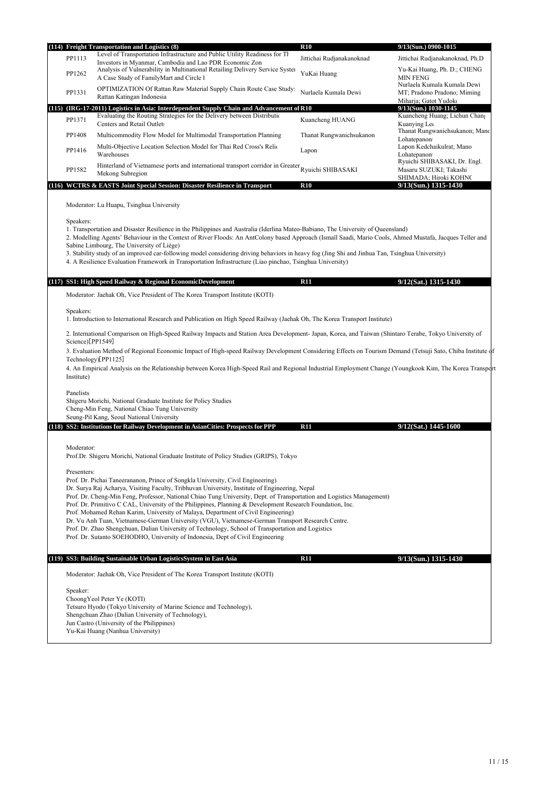|                                             | (114) Freight Transportation and Logistics (8)                                                                                                                                                                                                                                                                                                                                                                                                                                                                                                                                                                                                                                                                                                                                                              | <b>R10</b>                | 9/13(Sun.) 0900-1015                                                                |
|---------------------------------------------|-------------------------------------------------------------------------------------------------------------------------------------------------------------------------------------------------------------------------------------------------------------------------------------------------------------------------------------------------------------------------------------------------------------------------------------------------------------------------------------------------------------------------------------------------------------------------------------------------------------------------------------------------------------------------------------------------------------------------------------------------------------------------------------------------------------|---------------------------|-------------------------------------------------------------------------------------|
| PP1113                                      | Level of Transportation Infrastructure and Public Utility Readiness for The<br>Investors in Myanmar, Cambodia and Lao PDR Economic Zon                                                                                                                                                                                                                                                                                                                                                                                                                                                                                                                                                                                                                                                                      | Jittichai Rudjanakanoknad | Jittichai Rudjanakanoknad, Ph.D                                                     |
| PP1262                                      | Analysis of Vulnerability in Multinational Retailing Delivery Service System<br>A Case Study of FamilyMart and Circle I                                                                                                                                                                                                                                                                                                                                                                                                                                                                                                                                                                                                                                                                                     | YuKai Huang               | Yu-Kai Huang, Ph. D.; CHENG<br><b>MIN FENG</b>                                      |
| PP1331                                      | OPTIMIZATION Of Rattan Raw Material Supply Chain Route Case Study:<br>Rattan Katingan Indonesia                                                                                                                                                                                                                                                                                                                                                                                                                                                                                                                                                                                                                                                                                                             | Nurlaela Kumala Dewi      | Nurlaela Kumala Kumala Dewi<br>MT; Pradono Pradono; Miming<br>Miharja; Gatot Yudoko |
|                                             | (115) (IRG-17-2011) Logistics in Asia: Interdependent Supply Chain and Advancement of R10                                                                                                                                                                                                                                                                                                                                                                                                                                                                                                                                                                                                                                                                                                                   |                           | 9/13(Sun.) 1030-1145                                                                |
| PP1371                                      | Evaluating the Routing Strategies for the Delivery between Distribution<br>Centers and Retail Outlets                                                                                                                                                                                                                                                                                                                                                                                                                                                                                                                                                                                                                                                                                                       | Kuancheng HUANG           | Kuancheng Huang; Lichun Chang<br>Kuanving Let<br>Thanat Rungwanichsukanon; Mano     |
| PP1408                                      | Multicommodity Flow Model for Multimodal Transportation Planning                                                                                                                                                                                                                                                                                                                                                                                                                                                                                                                                                                                                                                                                                                                                            | Thanat Rungwanichsukanon  | Lohatepanon                                                                         |
| PP1416                                      | Multi-Objective Location Selection Model for Thai Red Cross's Relic<br>Warehouses                                                                                                                                                                                                                                                                                                                                                                                                                                                                                                                                                                                                                                                                                                                           | Lapon                     | Lapon Kedchaikulrat; Mano<br>Lohatepanon                                            |
| PP1582                                      | Hinterland of Vietnamese ports and international transport corridor in Greater<br>Mekong Subregion                                                                                                                                                                                                                                                                                                                                                                                                                                                                                                                                                                                                                                                                                                          | Ryuichi SHIBASAKI         | Ryuichi SHIBASAKI, Dr. Engl.<br>Masaru SUZUKI; Takashi<br>SHIMADA; Hiroki KOHNC     |
|                                             | (116) WCTRS & EASTS Joint Special Session: Disaster Resilience in Transport                                                                                                                                                                                                                                                                                                                                                                                                                                                                                                                                                                                                                                                                                                                                 | <b>R10</b>                | 9/13(Sun.) 1315-1430                                                                |
| Speakers:                                   | Moderator: Lu Huapu, Tsinghua University<br>1. Transportation and Disaster Resilience in the Philippines and Australia (Iderlina Mateo-Babiano, The University of Queensland)<br>2. Modelling Agents' Behaviour in the Context of River Floods: An AntColony based Approach (Ismaïl Saadi, Mario Cools, Ahmed Mustafa, Jacques Teller and<br>Sabine Limbourg, The University of Liège)<br>3. Stability study of an improved car-following model considering driving behaviors in heavy fog (Jing Shi and Jinhua Tan, Tsinghua University)<br>4. A Resilience Evaluation Framework in Transportation Infrastructure (Liao pinchao, Tsinghua University)                                                                                                                                                      |                           |                                                                                     |
|                                             |                                                                                                                                                                                                                                                                                                                                                                                                                                                                                                                                                                                                                                                                                                                                                                                                             |                           |                                                                                     |
| (117)                                       | SS1: High Speed Railway & Regional EconomicDevelopment                                                                                                                                                                                                                                                                                                                                                                                                                                                                                                                                                                                                                                                                                                                                                      | R11                       | 9/12(Sat.) 1315-1430                                                                |
| Science)[PP1549]<br>Institute)<br>Panelists | 1. Introduction to International Research and Publication on High Speed Railway (Jaehak Oh, The Korea Transport Institute)<br>2. International Comparison on High-Speed Railway Impacts and Station Area Development- Japan, Korea, and Taiwan (Shintaro Terabe, Tokyo University of<br>3. Evaluation Method of Regional Economic Impact of High-speed Railway Development Considering Effects on Tourism Demand (Tetsuji Sato, Chiba Institute of<br>Technology)[PP1125]<br>4. An Empirical Analysis on the Relationship between Korea High-Speed Rail and Regional Industrial Employment Change (Youngkook Kim, The Korea Transpor<br>Shigeru Morichi, National Graduate Institute for Policy Studies                                                                                                     |                           |                                                                                     |
|                                             | Cheng-Min Feng, National Chiao Tung University                                                                                                                                                                                                                                                                                                                                                                                                                                                                                                                                                                                                                                                                                                                                                              |                           |                                                                                     |
|                                             | Seung-Pil Kang, Seoul National University<br>(118) SS2: Institutions for Railway Development in AsianCities: Prospects for PPP                                                                                                                                                                                                                                                                                                                                                                                                                                                                                                                                                                                                                                                                              | <b>R11</b>                | 9/12(Sat.) 1445-1600                                                                |
|                                             |                                                                                                                                                                                                                                                                                                                                                                                                                                                                                                                                                                                                                                                                                                                                                                                                             |                           |                                                                                     |
| Moderator:                                  | Prof.Dr. Shigeru Morichi, National Graduate Institute of Policy Studies (GRIPS), Tokyo                                                                                                                                                                                                                                                                                                                                                                                                                                                                                                                                                                                                                                                                                                                      |                           |                                                                                     |
| Presenters:                                 | Prof. Dr. Pichai Taneerananon, Prince of Songkla University, Civil Engineering)<br>Dr. Surya Raj Acharya, Visiting Faculty, Tribhuvan University, Institute of Engineering, Nepal<br>Prof. Dr. Cheng-Min Feng, Professor, National Chiao Tung University, Dept. of Transportation and Logistics Management)<br>Prof. Dr. Primitivo C CAL, University of the Philippines, Planning & Development Research Foundation, Inc.<br>Prof. Mohamed Rehan Karim, University of Malaya, Department of Civil Engineering)<br>Dr. Vu Anh Tuan, Vietnamese-German University (VGU), Vietnamese-German Transport Research Centre.<br>Prof. Dr. Zhao Shengchuan, Dalian University of Technology, School of Transportation and Logistics<br>Prof. Dr. Sutanto SOEHODHO, University of Indonesia, Dept of Civil Engineering |                           |                                                                                     |
|                                             | (119) SS3: Building Sustainable Urban LogisticsSystem in East Asia                                                                                                                                                                                                                                                                                                                                                                                                                                                                                                                                                                                                                                                                                                                                          | <b>R11</b>                | $9/13$ (Sun.) 1315-1430                                                             |
|                                             | Moderator: Jaehak Oh, Vice President of The Korea Transport Institute (KOTI)                                                                                                                                                                                                                                                                                                                                                                                                                                                                                                                                                                                                                                                                                                                                |                           |                                                                                     |
| Speaker:                                    | ChoongYeol Peter Ye (KOTI)<br>Tetsuro Hyodo (Tokyo University of Marine Science and Technology),<br>Shengchuan Zhao (Dalian University of Technology),<br>Jun Castro (University of the Philippines)<br>Yu-Kai Huang (Nanhua University)                                                                                                                                                                                                                                                                                                                                                                                                                                                                                                                                                                    |                           |                                                                                     |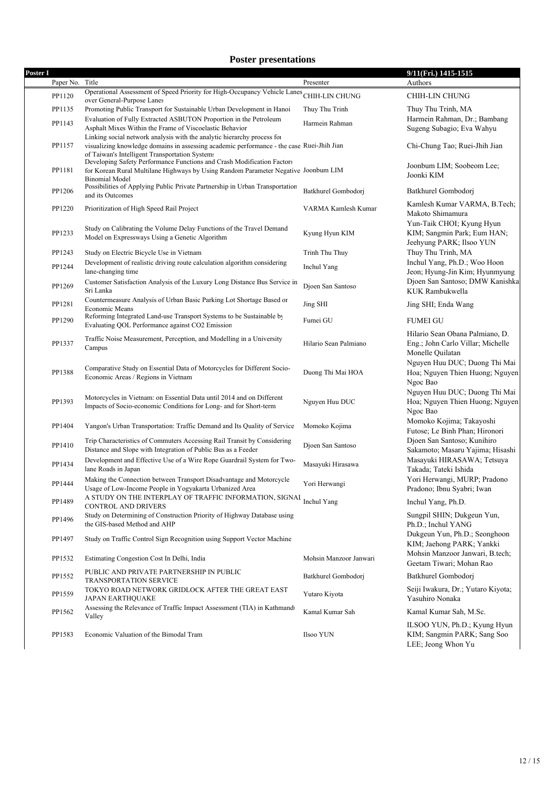## **Poster presentations**

| Poster I |           |                                                                                                                                                                                                         |                        | 9/11(Fri.) 1415-1515                                                                     |
|----------|-----------|---------------------------------------------------------------------------------------------------------------------------------------------------------------------------------------------------------|------------------------|------------------------------------------------------------------------------------------|
|          | Paper No. | Title                                                                                                                                                                                                   | Presenter              | Authors                                                                                  |
|          | PP1120    | Operational Assessment of Speed Priority for High-Occupancy Vehicle Lanes<br>over General-Purpose Lanes                                                                                                 | CHIH-LIN CHUNG         | <b>CHIH-LIN CHUNG</b>                                                                    |
|          | PP1135    | Promoting Public Transport for Sustainable Urban Development in Hanoi                                                                                                                                   | Thuy Thu Trinh         | Thuy Thu Trinh, MA                                                                       |
|          | PP1143    | Evaluation of Fully Extracted ASBUTON Proportion in the Petroleum<br>Asphalt Mixes Within the Frame of Viscoelastic Behavior<br>Linking social network analysis with the analytic hierarchy process for | Harmein Rahman         | Harmein Rahman, Dr.; Bambang<br>Sugeng Subagio; Eva Wahyu                                |
|          | PP1157    | visualizing knowledge domains in assessing academic performance - the case Ruei-Jhih Jian<br>of Taiwan's Intelligent Transportation Systems                                                             |                        | Chi-Chung Tao; Ruei-Jhih Jian                                                            |
|          | PP1181    | Developing Safety Performance Functions and Crash Modification Factors<br>for Korean Rural Multilane Highways by Using Random Parameter Negative Joonbum LIM<br><b>Binomial Model</b>                   |                        | Joonbum LIM; Soobeom Lee;<br>Joonki KIM                                                  |
|          | PP1206    | Possibilities of Applying Public Private Partnership in Urban Transportation<br>and its Outcomes                                                                                                        | Batkhurel Gombodorj    | Batkhurel Gombodorj                                                                      |
|          | PP1220    | Prioritization of High Speed Rail Project                                                                                                                                                               | VARMA Kamlesh Kumar    | Kamlesh Kumar VARMA, B.Tech;<br>Makoto Shimamura                                         |
|          | PP1233    | Study on Calibrating the Volume Delay Functions of the Travel Demand<br>Model on Expressways Using a Genetic Algorithm                                                                                  | Kyung Hyun KIM         | Yun-Taik CHOI; Kyung Hyun<br>KIM; Sangmin Park; Eum HAN;<br>Jeehyung PARK; Ilsoo YUN     |
|          | PP1243    | Study on Electric Bicycle Use in Vietnam                                                                                                                                                                | Trinh Thu Thuy         | Thuy Thu Trinh, MA                                                                       |
|          | PP1244    | Development of realistic driving route calculation algorithm considering<br>lane-changing time                                                                                                          | Inchul Yang            | Inchul Yang, Ph.D.; Woo Hoon<br>Jeon; Hyung-Jin Kim; Hyunmyung                           |
|          | PP1269    | Customer Satisfaction Analysis of the Luxury Long Distance Bus Service in<br>Sri Lanka                                                                                                                  | Djoen San Santoso      | Djoen San Santoso; DMW Kanishka<br>KUK Rambukwella                                       |
|          | PP1281    | Countermeasure Analysis of Urban Basic Parking Lot Shortage Based or<br>Economic Means                                                                                                                  | Jing SHI               | Jing SHI; Enda Wang                                                                      |
|          | PP1290    | Reforming Integrated Land-use Transport Systems to be Sustainable by<br>Evaluating OOL Performance against CO2 Emission                                                                                 | Fumei GU               | <b>FUMEI GU</b>                                                                          |
|          | PP1337    | Traffic Noise Measurement, Perception, and Modelling in a University<br>Campus                                                                                                                          | Hilario Sean Palmiano  | Hilario Sean Obana Palmiano, D.<br>Eng.; John Carlo Villar; Michelle<br>Monelle Quilatan |
|          | PP1388    | Comparative Study on Essential Data of Motorcycles for Different Socio-<br>Economic Areas / Regions in Vietnam                                                                                          | Duong Thi Mai HOA      | Nguyen Huu DUC; Duong Thi Mai<br>Hoa; Nguyen Thien Huong; Nguyen<br>Ngoc Bao             |
|          | PP1393    | Motorcycles in Vietnam: on Essential Data until 2014 and on Different<br>Impacts of Socio-economic Conditions for Long- and for Short-term                                                              | Nguyen Huu DUC         | Nguyen Huu DUC; Duong Thi Mai<br>Hoa; Nguyen Thien Huong; Nguyen<br>Ngoc Bao             |
|          | PP1404    | Yangon's Urban Transportation: Traffic Demand and Its Quality of Service                                                                                                                                | Momoko Kojima          | Momoko Kojima; Takayoshi<br>Futose; Le Binh Phan; Hironori                               |
|          | PP1410    | Trip Characteristics of Commuters Accessing Rail Transit by Considering<br>Distance and Slope with Integration of Public Bus as a Feeder                                                                | Djoen San Santoso      | Djoen San Santoso; Kunihiro<br>Sakamoto; Masaru Yajima; Hisashi                          |
|          | PP1434    | Development and Effective Use of a Wire Rope Guardrail System for Two-<br>lane Roads in Japan                                                                                                           | Masayuki Hirasawa      | Masayuki HIRASAWA; Tetsuya<br>Takada; Tateki Ishida                                      |
|          | PP1444    | Making the Connection between Transport Disadvantage and Motorcycle<br>Usage of Low-Income People in Yogyakarta Urbanized Area                                                                          | Yori Herwangi          | Yori Herwangi, MURP; Pradono<br>Pradono; Ibnu Syabri; Iwan                               |
|          | PP1489    | A STUDY ON THE INTERPLAY OF TRAFFIC INFORMATION, SIGNAI Inchul Yang<br>CONTROL AND DRIVERS                                                                                                              |                        | Inchul Yang, Ph.D.                                                                       |
|          | PP1496    | Study on Determining of Construction Priority of Highway Database using<br>the GIS-based Method and AHP                                                                                                 |                        | Sungpil SHIN; Dukgeun Yun,<br>Ph.D.; Inchul YANG                                         |
|          | PP1497    | Study on Traffic Control Sign Recognition using Support Vector Machine                                                                                                                                  |                        | Dukgeun Yun, Ph.D.; Seonghoon<br>KIM; Jaehong PARK; Yankki                               |
|          | PP1532    | Estimating Congestion Cost In Delhi, India                                                                                                                                                              | Mohsin Manzoor Janwari | Mohsin Manzoor Janwari, B.tech;<br>Geetam Tiwari; Mohan Rao                              |
|          | PP1552    | PUBLIC AND PRIVATE PARTNERSHIP IN PUBLIC<br>TRANSPORTATION SERVICE                                                                                                                                      | Batkhurel Gombodori    | Batkhurel Gombodorj                                                                      |
|          | PP1559    | TOKYO ROAD NETWORK GRIDLOCK AFTER THE GREAT EAST<br><b>JAPAN EARTHQUAKE</b>                                                                                                                             | Yutaro Kiyota          | Seiji Iwakura, Dr.; Yutaro Kiyota;<br>Yasuhiro Nonaka                                    |
|          | PP1562    | Assessing the Relevance of Traffic Impact Assessment (TIA) in Kathmand                                                                                                                                  | Kamal Kumar Sah        | Kamal Kumar Sah, M.Sc.                                                                   |
|          | PP1583    | Valley<br>Economic Valuation of the Bimodal Tram                                                                                                                                                        | Ilsoo YUN              | ILSOO YUN, Ph.D.; Kyung Hyun<br>KIM; Sangmin PARK; Sang Soo<br>LEE; Jeong Whon Yu        |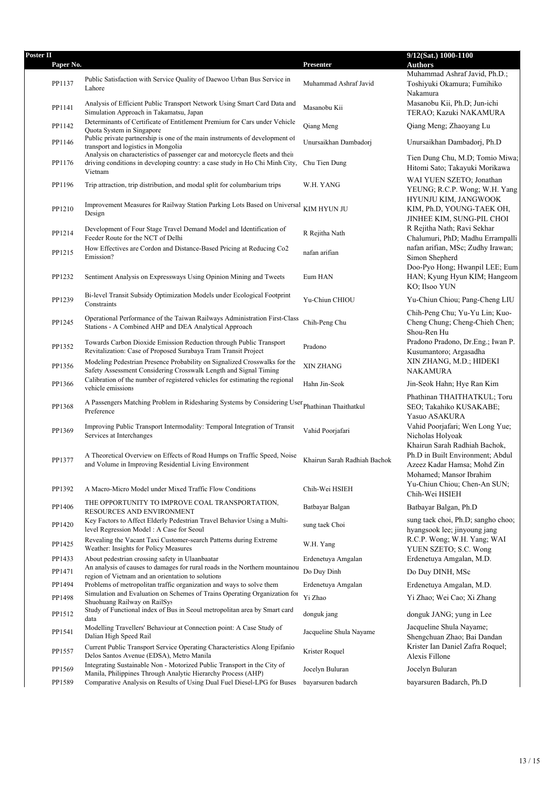| Poster II | Paper No. |                                                                                                                                                                        | Presenter                    | $9/12(Sat.)$ $\overline{1000-1100}$<br><b>Authors</b>                                      |
|-----------|-----------|------------------------------------------------------------------------------------------------------------------------------------------------------------------------|------------------------------|--------------------------------------------------------------------------------------------|
|           |           |                                                                                                                                                                        |                              | Muhammad Ashraf Javid, Ph.D.;                                                              |
|           | PP1137    | Public Satisfaction with Service Quality of Daewoo Urban Bus Service in<br>Lahore                                                                                      | Muhammad Ashraf Javid        | Toshiyuki Okamura; Fumihiko<br>Nakamura                                                    |
|           | PP1141    | Analysis of Efficient Public Transport Network Using Smart Card Data and<br>Simulation Approach in Takamatsu, Japan                                                    | Masanobu Kii                 | Masanobu Kii, Ph.D; Jun-ichi<br>TERAO; Kazuki NAKAMURA                                     |
|           | PP1142    | Determinants of Certificate of Entitlement Premium for Cars under Vehicle<br>Quota System in Singapore                                                                 | Qiang Meng                   | Qiang Meng; Zhaoyang Lu                                                                    |
|           | PP1146    | Public private partnership is one of the main instruments of development of<br>transport and logistics in Mongolia                                                     | Unursaikhan Dambadori        | Unursaikhan Dambadorj, Ph.D                                                                |
|           | PP1176    | Analysis on characteristics of passenger car and motorcycle fleets and their<br>driving conditions in developing country: a case study in Ho Chi Minh City,<br>Vietnam | Chu Tien Dung                | Tien Dung Chu, M.D; Tomio Miwa;<br>Hitomi Sato; Takayuki Morikawa                          |
|           | PP1196    | Trip attraction, trip distribution, and modal split for columbarium trips                                                                                              | W.H. YANG                    | WAI YUEN SZETO; Jonathan<br>YEUNG; R.C.P. Wong; W.H. Yang                                  |
|           | PP1210    | Improvement Measures for Railway Station Parking Lots Based on Universal<br>Design                                                                                     | KIM HYUN JU                  | HYUNJU KIM, JANGWOOK<br>KIM, Ph.D, YOUNG-TAEK OH,<br>JINHEE KIM, SUNG-PIL CHOI             |
|           | PP1214    | Development of Four Stage Travel Demand Model and Identification of<br>Feeder Route for the NCT of Delhi                                                               | R Rejitha Nath               | R Rejitha Nath; Ravi Sekhar<br>Chalumuri, PhD; Madhu Errampalli                            |
|           | PP1215    | How Effectives are Cordon and Distance-Based Pricing at Reducing Co2<br>Emission?                                                                                      | nafan arifian                | nafan arifian, MSc; Zudhy Irawan;<br>Simon Shepherd                                        |
|           | PP1232    | Sentiment Analysis on Expressways Using Opinion Mining and Tweets                                                                                                      | Eum HAN                      | Doo-Pyo Hong; Hwanpil LEE; Eum<br>HAN; Kyung Hyun KIM; Hangeom<br>KO; Ilsoo YUN            |
|           | PP1239    | Bi-level Transit Subsidy Optimization Models under Ecological Footprint<br>Constraints                                                                                 | Yu-Chiun CHIOU               | Yu-Chiun Chiou; Pang-Cheng LIU                                                             |
|           | PP1245    | Operational Performance of the Taiwan Railways Administration First-Class<br>Stations - A Combined AHP and DEA Analytical Approach                                     | Chih-Peng Chu                | Chih-Peng Chu; Yu-Yu Lin; Kuo-<br>Cheng Chung; Cheng-Chieh Chen;<br>Shou-Ren Hu            |
|           | PP1352    | Towards Carbon Dioxide Emission Reduction through Public Transport<br>Revitalization: Case of Proposed Surabaya Tram Transit Project                                   | Pradono                      | Pradono Pradono, Dr.Eng.; Iwan P.<br>Kusumantoro; Argasadha                                |
|           | PP1356    | Modeling Pedestrian Presence Probability on Signalized Crosswalks for the<br>Safety Assessment Considering Crosswalk Length and Signal Timing                          | XIN ZHANG                    | XIN ZHANG, M.D.; HIDEKI<br>NAKAMURA                                                        |
|           | PP1366    | Calibration of the number of registered vehicles for estimating the regional<br>vehicle emissions                                                                      | Hahn Jin-Seok                | Jin-Seok Hahn; Hye Ran Kim                                                                 |
|           | PP1368    | A Passengers Matching Problem in Ridesharing Systems by Considering User Phathinan Thaithatkul<br>Preference                                                           |                              | Phathinan THAITHATKUL; Toru<br>SEO; Takahiko KUSAKABE;<br>Yasuo ASAKURA                    |
|           | PP1369    | Improving Public Transport Intermodality: Temporal Integration of Transit<br>Services at Interchanges                                                                  | Vahid Poorjafari             | Vahid Poorjafari; Wen Long Yue;<br>Nicholas Holyoak<br>Khairun Sarah Radhiah Bachok,       |
|           | PP1377    | A Theoretical Overview on Effects of Road Humps on Traffic Speed, Noise<br>and Volume in Improving Residential Living Environment                                      | Khairun Sarah Radhiah Bachok | Ph.D in Built Environment; Abdul<br>Azeez Kadar Hamsa; Mohd Zin<br>Mohamed; Mansor Ibrahim |
|           | PP1392    | A Macro-Micro Model under Mixed Traffic Flow Conditions                                                                                                                | Chih-Wei HSIEH               | Yu-Chiun Chiou; Chen-An SUN;<br>Chih-Wei HSIEH                                             |
|           | PP1406    | THE OPPORTUNITY TO IMPROVE COAL TRANSPORTATION,<br>RESOURCES AND ENVIRONMENT                                                                                           | Batbayar Balgan              | Batbayar Balgan, Ph.D                                                                      |
|           | PP1420    | Key Factors to Affect Elderly Pedestrian Travel Behavior Using a Multi-<br>level Regression Model: A Case for Seoul                                                    | sung taek Choi               | sung taek choi, Ph.D; sangho choo;<br>hyangsook lee; jinyoung jang                         |
|           | PP1425    | Revealing the Vacant Taxi Customer-search Patterns during Extreme<br>Weather: Insights for Policy Measures                                                             | W.H. Yang                    | R.C.P. Wong; W.H. Yang; WAI<br>YUEN SZETO; S.C. Wong                                       |
|           | PP1433    | About pedestrian crossing safety in Ulaanbaatar                                                                                                                        | Erdenetuya Amgalan           | Erdenetuya Amgalan, M.D.                                                                   |
|           | PP1471    | An analysis of causes to damages for rural roads in the Northern mountainou<br>region of Vietnam and an orientation to solutions                                       | Do Duy Dinh                  | Do Duy DINH, MSc                                                                           |
|           | PP1494    | Problems of metropolitan traffic organization and ways to solve them                                                                                                   | Erdenetuya Amgalan           | Erdenetuya Amgalan, M.D.                                                                   |
|           | PP1498    | Simulation and Evaluation on Schemes of Trains Operating Organization for<br>Shuohuang Railway on RailSys                                                              | Yi Zhao                      | Yi Zhao; Wei Cao; Xi Zhang                                                                 |
|           | PP1512    | Study of Functional index of Bus in Seoul metropolitan area by Smart card<br>data                                                                                      | donguk jang                  | donguk JANG; yung in Lee                                                                   |
|           | PP1541    | Modelling Travellers' Behaviour at Connection point: A Case Study of<br>Dalian High Speed Rail                                                                         | Jacqueline Shula Nayame      | Jacqueline Shula Nayame;<br>Shengchuan Zhao; Bai Dandan                                    |
|           | PP1557    | Current Public Transport Service Operating Characteristics Along Epifanio<br>Delos Santos Avenue (EDSA), Metro Manila                                                  | Krister Roquel               | Krister Ian Daniel Zafra Roquel;<br>Alexis Fillone                                         |
|           | PP1569    | Integrating Sustainable Non - Motorized Public Transport in the City of<br>Manila, Philippines Through Analytic Hierarchy Process (AHP)                                | Jocelyn Buluran              | Jocelyn Buluran                                                                            |
|           | PP1589    | Comparative Analysis on Results of Using Dual Fuel Diesel-LPG for Buses                                                                                                | bayarsuren badarch           | bayarsuren Badarch, Ph.D                                                                   |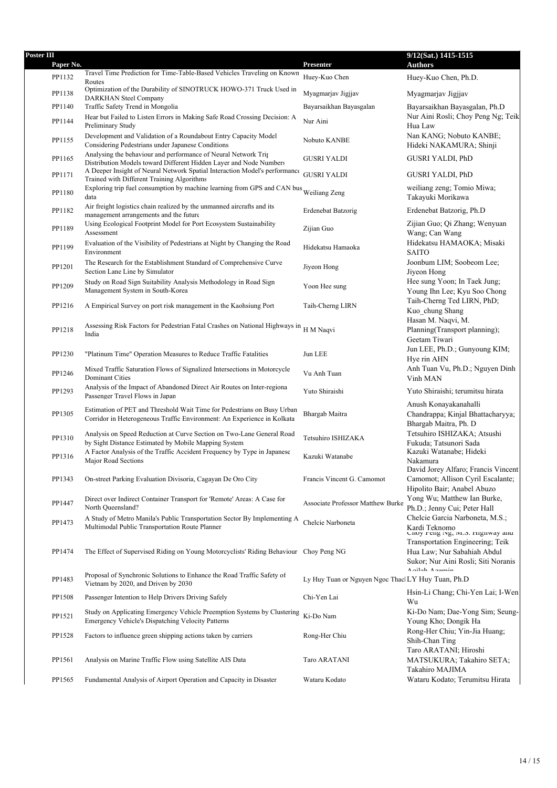| <b>Poster III</b><br>Paper No. |                                                                                                                                                    | Presenter                                          | 9/12(Sat.) 1415-1515<br><b>Authors</b>                                                                 |
|--------------------------------|----------------------------------------------------------------------------------------------------------------------------------------------------|----------------------------------------------------|--------------------------------------------------------------------------------------------------------|
| PP1132                         | Travel Time Prediction for Time-Table-Based Vehicles Traveling on Known                                                                            | Huev-Kuo Chen                                      | Huey-Kuo Chen, Ph.D.                                                                                   |
|                                | Routes<br>Optimization of the Durability of SINOTRUCK HOWO-371 Truck Used in                                                                       |                                                    |                                                                                                        |
| PP1138                         | <b>DARKHAN Steel Company</b>                                                                                                                       | Myagmarjav Jigjjav                                 | Myagmarjav Jigjjav                                                                                     |
| PP1140<br>PP1144               | Traffic Safety Trend in Mongolia<br>Hear but Failed to Listen Errors in Making Safe Road Crossing Decision: A                                      | Bayarsaikhan Bayasgalan<br>Nur Aini                | Bayarsaikhan Bayasgalan, Ph.D<br>Nur Aini Rosli; Choy Peng Ng; Teik                                    |
| PP1155                         | Preliminary Study<br>Development and Validation of a Roundabout Entry Capacity Model<br>Considering Pedestrians under Japanese Conditions          | Nobuto KANBE                                       | Hua Law<br>Nan KANG; Nobuto KANBE;<br>Hideki NAKAMURA; Shinji                                          |
| PP1165                         | Analysing the behaviour and performance of Neural Network Trip                                                                                     | <b>GUSRI YALDI</b>                                 | <b>GUSRI YALDI, PhD</b>                                                                                |
| PP1171                         | Distribution Models toward Different Hidden Layer and Node Numbers<br>A Deeper Insight of Neural Network Spatial Interaction Model's performance   | <b>GUSRI YALDI</b>                                 | GUSRI YALDI, PhD                                                                                       |
| PP1180                         | Trained with Different Training Algorithms<br>Exploring trip fuel consumption by machine learning from GPS and CAN bus Weiliang Zeng               |                                                    | weiliang zeng; Tomio Miwa;                                                                             |
| PP1182                         | data<br>Air freight logistics chain realized by the unmanned aircrafts and its                                                                     | Erdenebat Batzorig                                 | Takayuki Morikawa<br>Erdenebat Batzorig, Ph.D                                                          |
| PP1189                         | management arrangements and the future<br>Using Ecological Footprint Model for Port Ecosystem Sustainability                                       | Zijian Guo                                         | Zijian Guo; Qi Zhang; Wenyuan                                                                          |
| PP1199                         | Assessment<br>Evaluation of the Visibility of Pedestrians at Night by Changing the Road<br>Environment                                             | Hidekatsu Hamaoka                                  | Wang; Can Wang<br>Hidekatsu HAMAOKA; Misaki<br><b>SAITO</b>                                            |
| PP1201                         | The Research for the Establishment Standard of Comprehensive Curve<br>Section Lane Line by Simulator                                               | Jiyeon Hong                                        | Joonbum LIM; Soobeom Lee;<br>Jiyeon Hong                                                               |
| PP1209                         | Study on Road Sign Suitability Analysis Methodology in Road Sign<br>Management System in South-Korea                                               | Yoon Hee sung                                      | Hee sung Yoon; In Taek Jung;<br>Young Ihn Lee; Kyu Soo Chong                                           |
| PP1216                         | A Empirical Survey on port risk management in the Kaohsiung Port                                                                                   | Taih-Cherng LIRN                                   | Taih-Cherng Ted LIRN, PhD;<br>Kuo_chung Shang                                                          |
| PP1218                         | Assessing Risk Factors for Pedestrian Fatal Crashes on National Highways in<br>India                                                               | H M Naqvi                                          | Hasan M. Naqvi, M.<br>Planning(Transport planning);<br>Geetam Tiwari                                   |
| PP1230                         | "Platinum Time" Operation Measures to Reduce Traffic Fatalities                                                                                    | Jun LEE                                            | Jun LEE, Ph.D.; Gunyoung KIM;<br>Hye rin AHN                                                           |
| PP1246                         | Mixed Traffic Saturation Flows of Signalized Intersections in Motorcycle<br><b>Dominant Cities</b>                                                 | Vu Anh Tuan                                        | Anh Tuan Vu, Ph.D.; Nguyen Dinh<br>Vinh MAN                                                            |
| PP1293                         | Analysis of the Impact of Abandoned Direct Air Routes on Inter-regiona<br>Passenger Travel Flows in Japan                                          | Yuto Shiraishi                                     | Yuto Shiraishi; terumitsu hirata                                                                       |
| PP1305                         | Estimation of PET and Threshold Wait Time for Pedestrians on Busy Urban<br>Corridor in Heterogeneous Traffic Environment: An Experience in Kolkata | Bhargab Maitra                                     | Anush Konayakanahalli<br>Chandrappa; Kinjal Bhattacharyya;<br>Bhargab Maitra, Ph. D                    |
| PP1310                         | Analysis on Speed Reduction at Curve Section on Two-Lane General Road<br>by Sight Distance Estimated by Mobile Mapping System                      | Tetsuhiro ISHIZAKA                                 | Tetsuhiro ISHIZAKA; Atsushi<br>Fukuda; Tatsunori Sada                                                  |
| PP1316                         | A Factor Analysis of the Traffic Accident Frequency by Type in Japanese<br>Major Road Sections                                                     | Kazuki Watanabe                                    | Kazuki Watanabe; Hideki<br>Nakamura<br>David Jorey Alfaro; Francis Vincent                             |
| PP1343                         | On-street Parking Evaluation Divisoria, Cagayan De Oro City                                                                                        | Francis Vincent G. Camomot                         | Camomot; Allison Cyril Escalante;<br>Hipolito Bair; Anabel Abuzo                                       |
| PP1447                         | Direct over Indirect Container Transport for 'Remote' Areas: A Case for<br>North Queensland?                                                       | Associate Professor Matthew Burke                  | Yong Wu; Matthew Ian Burke,<br>Ph.D.; Jenny Cui; Peter Hall                                            |
| PP1473                         | A Study of Metro Manila's Public Transportation Sector By Implementing A<br>Multimodal Public Transportation Route Planner                         | Chelcie Narboneta                                  | Chelcie Garcia Narboneta, M.S.;<br>Kardi Teknomo<br>Cnoy reng iyg, m.s. ruguway ang                    |
| PP1474                         | The Effect of Supervised Riding on Young Motorcyclists' Riding Behaviour Choy Peng NG                                                              |                                                    | Transportation Engineering; Teik<br>Hua Law; Nur Sabahiah Abdul<br>Sukor; Nur Aini Rosli; Siti Noranis |
| PP1483                         | Proposal of Synchronic Solutions to Enhance the Road Traffic Safety of<br>Vietnam by 2020, and Driven by 2030                                      | Ly Huy Tuan or Nguyen Ngoc Thacl LY Huy Tuan, Ph.D | $A$ ailah $A$ manin                                                                                    |
| PP1508                         | Passenger Intention to Help Drivers Driving Safely                                                                                                 | Chi-Yen Lai                                        | Hsin-Li Chang; Chi-Yen Lai; I-Wen<br>Wu                                                                |
| PP1521                         | Study on Applicating Emergency Vehicle Preemption Systems by Clustering<br>Emergency Vehicle's Dispatching Velocity Patterns                       | Ki-Do Nam                                          | Ki-Do Nam; Dae-Yong Sim; Seung-<br>Young Kho; Dongik Ha                                                |
| PP1528                         | Factors to influence green shipping actions taken by carriers                                                                                      | Rong-Her Chiu                                      | Rong-Her Chiu; Yin-Jia Huang;<br>Shih-Chan Ting<br>Taro ARATANI; Hiroshi                               |
| PP1561                         | Analysis on Marine Traffic Flow using Satellite AIS Data                                                                                           | Taro ARATANI                                       | MATSUKURA; Takahiro SETA;<br>Takahiro MAJIMA                                                           |
| PP1565                         | Fundamental Analysis of Airport Operation and Capacity in Disaster                                                                                 | Wataru Kodato                                      | Wataru Kodato; Terumitsu Hirata                                                                        |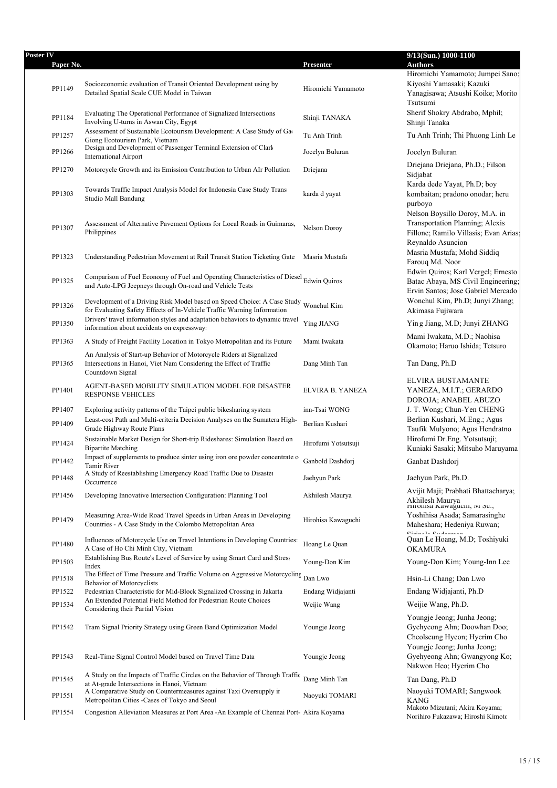| Poster IV | Paper No. |                                                                                                                                                                                     | Presenter           | 9/13(Sun.) 1000-1100<br><b>Authors</b>                                                                                    |
|-----------|-----------|-------------------------------------------------------------------------------------------------------------------------------------------------------------------------------------|---------------------|---------------------------------------------------------------------------------------------------------------------------|
|           |           |                                                                                                                                                                                     |                     | Hiromichi Yamamoto; Jumpei Sano;                                                                                          |
|           | PP1149    | Socioeconomic evaluation of Transit Oriented Development using by<br>Detailed Spatial Scale CUE Model in Taiwan                                                                     | Hiromichi Yamamoto  | Kiyoshi Yamasaki; Kazuki<br>Yanagisawa; Atsushi Koike; Morito<br>Tsutsumi                                                 |
|           | PP1184    | Evaluating The Operational Performance of Signalized Intersections<br>Involving U-turns in Aswan City, Egypt                                                                        | Shinji TANAKA       | Sherif Shokry Abdrabo, Mphil;<br>Shinji Tanaka                                                                            |
|           | PP1257    | Assessment of Sustainable Ecotourism Development: A Case Study of Gao<br>Giong Ecotourism Park, Vietnam                                                                             | Tu Anh Trinh        | Tu Anh Trinh; Thi Phuong Linh Le                                                                                          |
|           | PP1266    | Design and Development of Passenger Terminal Extension of Clark<br><b>International Airport</b>                                                                                     | Jocelyn Buluran     | Jocelyn Buluran                                                                                                           |
|           | PP1270    | Motorcycle Growth and its Emission Contribution to Urban AIr Pollution                                                                                                              | Driejana            | Driejana Driejana, Ph.D.; Filson<br>Sidjabat                                                                              |
|           | PP1303    | Towards Traffic Impact Analysis Model for Indonesia Case Study Trans<br>Studio Mall Bandung                                                                                         | karda d yayat       | Karda dede Yayat, Ph.D; boy<br>kombaitan; pradono onodar; heru<br>purboyo<br>Nelson Boysillo Doroy, M.A. in               |
|           | PP1307    | Assessment of Alternative Pavement Options for Local Roads in Guimaras,<br>Philippines                                                                                              | Nelson Doroy        | Transportation Planning; Alexis<br>Fillone; Ramilo Villasis; Evan Arias:<br>Reynaldo Asuncion                             |
|           | PP1323    | Understanding Pedestrian Movement at Rail Transit Station Ticketing Gate                                                                                                            | Masria Mustafa      | Masria Mustafa; Mohd Siddiq<br>Farouq Md. Noor                                                                            |
|           | PP1325    | Comparison of Fuel Economy of Fuel and Operating Characteristics of Diesel Edwin Quiros<br>and Auto-LPG Jeepneys through On-road and Vehicle Tests                                  |                     | Edwin Quiros; Karl Vergel; Ernesto<br>Batac Abaya, MS Civil Engineering;<br>Ervin Santos; Jose Gabriel Mercado            |
|           | PP1326    | Development of a Driving Risk Model based on Speed Choice: A Case Study Wonchul Kim<br>for Evaluating Safety Effects of In-Vehicle Traffic Warning Information                      |                     | Wonchul Kim, Ph.D; Junyi Zhang;<br>Akimasa Fujiwara                                                                       |
|           | PP1350    | Drivers' travel information styles and adaptation behaviors to dynamic travel<br>information about accidents on expressway.                                                         | Ying JIANG          | Ying Jiang, M.D; Junyi ZHANG                                                                                              |
|           | PP1363    | A Study of Freight Facility Location in Tokyo Metropolitan and its Future                                                                                                           | Mami Iwakata        | Mami Iwakata, M.D.; Naohisa<br>Okamoto; Haruo Ishida; Tetsuro                                                             |
|           | PP1365    | An Analysis of Start-up Behavior of Motorcycle Riders at Signalized<br>Intersections in Hanoi, Viet Nam Considering the Effect of Traffic<br>Countdown Signal                       | Dang Minh Tan       | Tan Dang, Ph.D                                                                                                            |
|           | PP1401    | AGENT-BASED MOBILITY SIMULATION MODEL FOR DISASTER<br><b>RESPONSE VEHICLES</b>                                                                                                      | ELVIRA B. YANEZA    | ELVIRA BUSTAMANTE<br>YANEZA, M.I.T.; GERARDO<br>DOROJA; ANABEL ABUZO                                                      |
|           | PP1407    | Exploring activity patterns of the Taipei public bikesharing system                                                                                                                 | inn-Tsai WONG       | J. T. Wong; Chun-Yen CHENG                                                                                                |
|           | PP1409    | Least-cost Path and Multi-criteria Decision Analyses on the Sumatera High-<br>Grade Highway Route Plans<br>Sustainable Market Design for Short-trip Rideshares: Simulation Based on | Berlian Kushari     | Berlian Kushari, M.Eng.; Agus<br>Taufik Mulyono; Agus Hendratno<br>Hirofumi Dr.Eng. Yotsutsuji;                           |
|           | PP1424    | <b>Bipartite Matching</b>                                                                                                                                                           | Hirofumi Yotsutsuji | Kuniaki Sasaki; Mitsuho Maruyama                                                                                          |
|           | PP1442    | Impact of supplements to produce sinter using iron ore powder concentrate o<br>Tamir River                                                                                          | Ganbold Dashdorj    | Ganbat Dashdorj                                                                                                           |
|           | PP1448    | A Study of Reestablishing Emergency Road Traffic Due to Disaster<br>Occurrence                                                                                                      | Jaehyun Park        | Jaehyun Park, Ph.D.                                                                                                       |
|           | PP1456    | Developing Innovative Intersection Configuration: Planning Tool                                                                                                                     | Akhilesh Maurya     | Avijit Maji; Prabhati Bhattacharya;<br>Akhilesh Maurya<br>rmonisa Nawagucin, ivi oc.,                                     |
|           | PP1479    | Measuring Area-Wide Road Travel Speeds in Urban Areas in Developing<br>Countries - A Case Study in the Colombo Metropolitan Area                                                    | Hirohisa Kawaguchi  | Yoshihisa Asada; Samarasinghe<br>Maheshara; Hedeniya Ruwan;<br>Ciminala Cudamnan                                          |
|           | PP1480    | Influences of Motorcycle Use on Travel Intentions in Developing Countries:<br>A Case of Ho Chi Minh City, Vietnam                                                                   | Hoang Le Quan       | Quan Le Hoang, M.D; Toshiyuki<br><b>OKAMURA</b>                                                                           |
|           | PP1503    | Establishing Bus Route's Level of Service by using Smart Card and Stress<br>Index                                                                                                   | Young-Don Kim       | Young-Don Kim; Young-Inn Lee                                                                                              |
|           | PP1518    | The Effect of Time Pressure and Traffic Volume on Aggressive Motorcycling<br><b>Behavior of Motorcyclists</b>                                                                       | Dan Lwo             | Hsin-Li Chang; Dan Lwo                                                                                                    |
|           | PP1522    | Pedestrian Characteristic for Mid-Block Signalized Crossing in Jakarta                                                                                                              | Endang Widjajanti   | Endang Widjajanti, Ph.D                                                                                                   |
|           | PP1534    | An Extended Potential Field Method for Pedestrian Route Choices<br>Considering their Partial Vision                                                                                 | Weijie Wang         | Weijie Wang, Ph.D.                                                                                                        |
|           | PP1542    | Tram Signal Priority Strategy using Green Band Optimization Model                                                                                                                   | Youngje Jeong       | Youngje Jeong; Junha Jeong;<br>Gyehyeong Ahn; Doowhan Doo;<br>Cheolseung Hyeon; Hyerim Cho<br>Youngje Jeong; Junha Jeong; |
|           | PP1543    | Real-Time Signal Control Model based on Travel Time Data                                                                                                                            | Youngje Jeong       | Gyehyeong Ahn; Gwangyong Ko;<br>Nakwon Heo; Hyerim Cho                                                                    |
|           | PP1545    | A Study on the Impacts of Traffic Circles on the Behavior of Through Traffic<br>at At-grade Intersections in Hanoi, Vietnam                                                         | Dang Minh Tan       | Tan Dang, Ph.D                                                                                                            |
|           | PP1551    | A Comparative Study on Countermeasures against Taxi Oversupply in<br>Metropolitan Cities - Cases of Tokyo and Seoul                                                                 | Naoyuki TOMARI      | Naoyuki TOMARI; Sangwook<br><b>KANG</b>                                                                                   |
|           | PP1554    | Congestion Alleviation Measures at Port Area - An Example of Chennai Port- Akira Koyama                                                                                             |                     | Makoto Mizutani; Akira Koyama;<br>Norihiro Fukazawa; Hiroshi Kimoto                                                       |